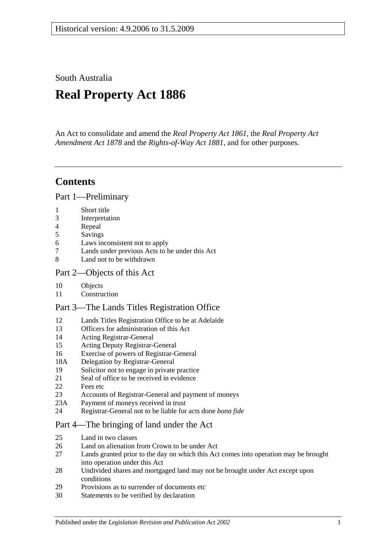South Australia

# **Real Property Act 1886**

An Act to consolidate and amend the *[Real Property Act](http://www.legislation.sa.gov.au/index.aspx?action=legref&type=act&legtitle=Real%20Property%20Act%201861) 1861*, the *[Real Property Act](http://www.legislation.sa.gov.au/index.aspx?action=legref&type=act&legtitle=Real%20Property%20Act%20Amendment%20Act%201878)  [Amendment Act](http://www.legislation.sa.gov.au/index.aspx?action=legref&type=act&legtitle=Real%20Property%20Act%20Amendment%20Act%201878) 1878* and the *[Rights-of-Way Act](http://www.legislation.sa.gov.au/index.aspx?action=legref&type=act&legtitle=Rights-of-Way%20Act%201881) 1881*, and for other purposes.

## **Contents**

[Part 1—Preliminary](#page-10-0)

- 1 [Short title](#page-10-1)
- 3 [Interpretation](#page-10-2)
- 4 [Repeal](#page-11-0)
- 5 [Savings](#page-12-0)
- 6 [Laws inconsistent not to apply](#page-12-1)
- 7 [Lands under previous Acts to be under this Act](#page-12-2)
- 8 [Land not to be withdrawn](#page-12-3)

## [Part 2—Objects of this Act](#page-14-0)

- 10 [Objects](#page-14-1)
- 11 [Construction](#page-14-2)

## [Part 3—The Lands Titles Registration Office](#page-16-0)

- 12 [Lands Titles Registration Office to be at Adelaide](#page-16-1)
- 13 [Officers for administration of this Act](#page-16-2)
- 14 [Acting Registrar-General](#page-16-3)
- 15 [Acting Deputy Registrar-General](#page-16-4)
- 16 [Exercise of powers of Registrar-General](#page-16-5)
- 18A [Delegation by Registrar-General](#page-17-0)
- 19 [Solicitor not to engage in private practice](#page-17-1)
- 21 [Seal of office to be received in evidence](#page-17-2)
- 22 [Fees etc](#page-17-3)
- 23 [Accounts of Registrar-General and payment of moneys](#page-17-4)
- 23A [Payment of moneys received in trust](#page-17-5)
- 24 [Registrar-General not to be liable for acts done](#page-18-0) *bona fide*

## [Part 4—The bringing of land under the Act](#page-20-0)

- 25 [Land in two classes](#page-20-1)
- 26 [Land on alienation from Crown to be under Act](#page-20-2)<br>27 Lands granted prior to the day on which this Act
- Lands granted prior to the day on which this Act comes into operation may be brought [into operation under this Act](#page-20-3)
- 28 [Undivided shares and mortgaged land may not be brought under Act except upon](#page-21-0)  [conditions](#page-21-0)
- 29 [Provisions as to surrender of documents etc](#page-21-1)
- 30 [Statements to be verified by declaration](#page-21-2)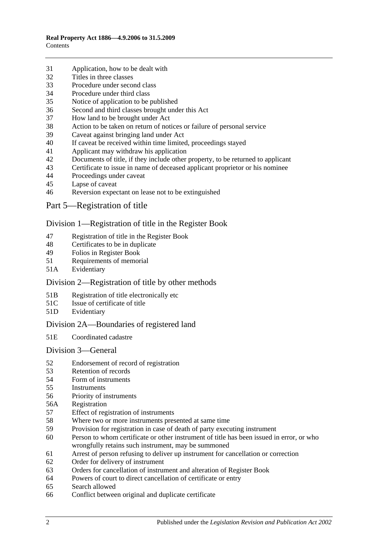- [Application, how to be dealt with](#page-21-3)
- [Titles in three classes](#page-22-0)
- [Procedure under second class](#page-22-1)
- [Procedure under third class](#page-23-0)
- [Notice of application to be published](#page-23-1)
- [Second and third classes brought under this Act](#page-23-2)
- [How land to be brought under Act](#page-23-3)
- [Action to be taken on return of notices or failure of personal service](#page-24-0)
- [Caveat against bringing land under Act](#page-24-1)
- [If caveat be received within time limited, proceedings stayed](#page-24-2)
- [Applicant may withdraw his application](#page-24-3)
- [Documents of title, if they include other property, to be returned to applicant](#page-24-4)<br>43 Certificate to issue in name of deceased applicant proprietor or his nominee
- [Certificate to issue in name of deceased applicant proprietor or his nominee](#page-25-0)
- [Proceedings under caveat](#page-25-1)
- [Lapse of caveat](#page-25-2)
- [Reversion expectant on lease not to be extinguished](#page-25-3)
- [Part 5—Registration of title](#page-26-0)

#### [Division 1—Registration of title in the Register Book](#page-26-1)

- [Registration of title in the Register Book](#page-26-2)
- [Certificates to be in duplicate](#page-26-3)
- [Folios in Register Book](#page-26-4)
- [Requirements of memorial](#page-26-5)
- 51A [Evidentiary](#page-26-6)

## [Division 2—Registration of title by other methods](#page-26-7)

- 51B [Registration of title electronically etc](#page-26-8)
- 51C [Issue of certificate of title](#page-27-0)
- 51D [Evidentiary](#page-28-0)

## [Division 2A—Boundaries of registered land](#page-28-1)

51E [Coordinated cadastre](#page-28-2)

#### [Division 3—General](#page-28-3)

- [Endorsement of record of registration](#page-28-4)
- [Retention of records](#page-29-0)
- [Form of instruments](#page-29-1)<br>55 Instruments
- **[Instruments](#page-29-2)**
- [Priority of instruments](#page-29-3)
- 56A [Registration](#page-30-0)
- [Effect of registration of instruments](#page-30-1)
- [Where two or more instruments presented at same time](#page-30-2)
- [Provision for registration in case of death of party executing instrument](#page-30-3)
- [Person to whom certificate or other instrument of title has been issued in error, or who](#page-30-4)  [wrongfully retains such instrument, may be summoned](#page-30-4)
- [Arrest of person refusing to deliver up instrument for cancellation or correction](#page-31-0)
- [Order for delivery of instrument](#page-31-1)
- [Orders for cancellation of instrument and alteration of Register Book](#page-31-2)
- [Powers of court to direct cancellation of certificate or entry](#page-31-3)
- [Search allowed](#page-31-4)
- [Conflict between original and duplicate certificate](#page-31-5)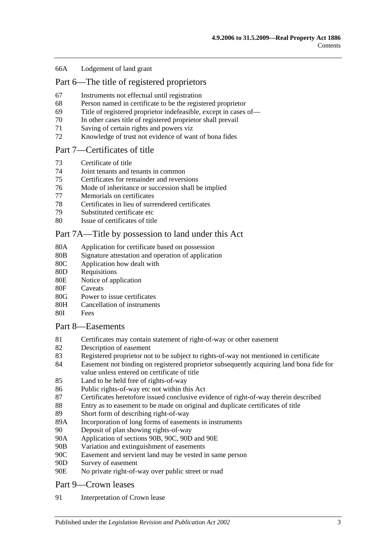#### 66A [Lodgement of land grant](#page-32-0)

## [Part 6—The title of registered proprietors](#page-34-0)

- 67 [Instruments not effectual until registration](#page-34-1)
- 68 [Person named in certificate to be the registered proprietor](#page-34-2)
- 69 [Title of registered proprietor indefeasible, except in cases of—](#page-34-3)
- 70 [In other cases title of registered proprietor shall prevail](#page-35-0)
- 71 [Saving of certain rights and powers viz](#page-36-0)
- 72 [Knowledge of trust not evidence of want of bona fides](#page-36-1)

#### [Part 7—Certificates of title](#page-38-0)

- 73 [Certificate of title](#page-38-1)
- 74 [Joint tenants and tenants in common](#page-38-2)
- 75 [Certificates for remainder and reversions](#page-38-3)
- 76 [Mode of inheritance or succession shall be implied](#page-38-4)
- 77 [Memorials on certificates](#page-38-5)<br>78 Certificates in lieu of surr
- [Certificates in lieu of surrendered certificates](#page-38-6)
- 79 [Substituted certificate etc](#page-39-0)
- 80 [Issue of certificates of title](#page-39-1)

## [Part 7A—Title by possession to land under this Act](#page-40-0)

- 80A [Application for certificate based on possession](#page-40-1)
- 80B [Signature attestation and operation of application](#page-40-2)
- 80C [Application how dealt with](#page-40-3)
- 80D [Requisitions](#page-40-4)
- 80E [Notice of application](#page-40-5)
- 80F [Caveats](#page-41-0)
- 80G [Power to issue certificates](#page-41-1)
- 80H [Cancellation of instruments](#page-42-0)
- 80I [Fees](#page-42-1)

#### [Part 8—Easements](#page-44-0)

- 81 [Certificates may contain statement of right-of-way or other easement](#page-44-1)
- 82 [Description of easement](#page-44-2)
- 83 [Registered proprietor not to be subject to rights-of-way not mentioned in certificate](#page-44-3)
- 84 [Easement not binding on registered proprietor subsequently acquiring land bona fide for](#page-44-4)  [value unless entered on certificate of title](#page-44-4)
- 85 [Land to be held free of rights-of-way](#page-44-5)
- 86 [Public rights-of-way etc not within this Act](#page-44-6)
- 87 [Certificates heretofore issued conclusive evidence of right-of-way therein described](#page-45-0)
- 88 [Entry as to easement to be made on original and duplicate certificates of title](#page-45-1)
- 89 [Short form of describing right-of-way](#page-45-2)
- 89A [Incorporation of long forms of easements in instruments](#page-45-3)
- 90 [Deposit of plan showing rights-of-way](#page-45-4)
- 90A [Application of sections](#page-45-5) 90B, [90C, 90D](#page-45-5) and [90E](#page-45-5)
- 90B [Variation and extinguishment of easements](#page-46-0)
- 90C [Easement and servient land may be vested in same person](#page-48-0)
- 90D [Survey of easement](#page-49-0)
- 90E [No private right-of-way over public street or road](#page-49-1)

#### [Part 9—Crown leases](#page-50-0)

91 [Interpretation of Crown lease](#page-50-1)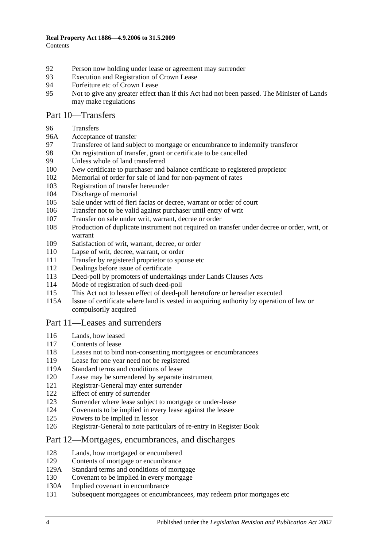- [Person now holding under lease or agreement may surrender](#page-50-2)
- [Execution and Registration of Crown Lease](#page-50-3)
- [Forfeiture etc of Crown Lease](#page-50-4)
- [Not to give any greater effect than if this Act had not been passed. The Minister of Lands](#page-50-5)  [may make regulations](#page-50-5)

### [Part 10—Transfers](#page-52-0)

#### [Transfers](#page-52-1)

- 96A [Acceptance of transfer](#page-52-2)
- [Transferee of land subject to mortgage or encumbrance to indemnify transferor](#page-52-3)
- [On registration of transfer, grant or certificate to be cancelled](#page-52-4)
- [Unless whole of land transferred](#page-53-0)
- [New certificate to purchaser and balance certificate to registered proprietor](#page-53-1)
- [Memorial of order for sale of land for non-payment of rates](#page-53-2)
- [Registration of transfer hereunder](#page-53-3)
- [Discharge of memorial](#page-53-4)
- [Sale under writ of fieri facias or decree, warrant or order of court](#page-54-0)
- [Transfer not to be valid against purchaser until entry of writ](#page-54-1)
- [Transfer on sale under writ, warrant, decree or order](#page-54-2)
- [Production of duplicate instrument not required on transfer under decree or order, writ, or](#page-54-3)  [warrant](#page-54-3)
- [Satisfaction of writ, warrant, decree, or order](#page-54-4)
- [Lapse of writ, decree, warrant, or order](#page-54-5)
- [Transfer by registered proprietor to spouse etc](#page-55-0)
- [Dealings before issue of certificate](#page-55-1)
- [Deed-poll by promoters of undertakings under Lands Clauses Acts](#page-55-2)
- [Mode of registration of such deed-poll](#page-55-3)
- [This Act not to lessen effect of deed-poll heretofore or hereafter executed](#page-56-0)
- 115A [Issue of certificate where land is vested in acquiring authority by operation of law or](#page-56-1)  [compulsorily acquired](#page-56-1)

#### [Part 11—Leases and surrenders](#page-58-0)

- [Lands, how leased](#page-58-1)
- [Contents of lease](#page-58-2)
- [Leases not to bind non-consenting mortgagees or encumbrancees](#page-58-3)
- [Lease for one year need not be registered](#page-58-4)
- 119A [Standard terms and conditions of lease](#page-58-5)
- [Lease may be surrendered by separate instrument](#page-59-0)
- [Registrar-General may enter surrender](#page-59-1)
- [Effect of entry of surrender](#page-59-2)
- [Surrender where lease subject to mortgage or under-lease](#page-59-3)
- [Covenants to be implied in every lease against the lessee](#page-59-4)
- [Powers to be implied in lessor](#page-59-5)
- [Registrar-General to note particulars of re-entry in Register Book](#page-60-0)

#### [Part 12—Mortgages, encumbrances, and discharges](#page-62-0)

- [Lands, how mortgaged or encumbered](#page-62-1)
- [Contents of mortgage or encumbrance](#page-62-2)
- 129A [Standard terms and conditions of mortgage](#page-62-3)
- [Covenant to be implied in every mortgage](#page-63-0)
- 130A [Implied covenant in encumbrance](#page-63-1)
- [Subsequent mortgagees or encumbrancees, may redeem prior mortgages etc](#page-63-2)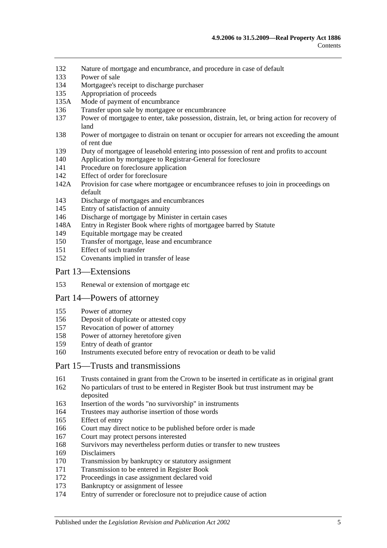- [Nature of mortgage and encumbrance, and procedure in case of default](#page-63-3)
- [Power of sale](#page-64-0)
- [Mortgagee's receipt to discharge purchaser](#page-64-1)
- [Appropriation of proceeds](#page-64-2)
- 135A [Mode of payment of encumbrance](#page-64-3)
- [Transfer upon sale by mortgagee or encumbrancee](#page-64-4)
- [Power of mortgagee to enter, take possession, distrain, let, or bring action for recovery of](#page-65-0)  [land](#page-65-0)
- Power of mortgagee to distrain on tenant [or occupier for arrears not exceeding the amount](#page-65-1)  [of rent due](#page-65-1)
- [Duty of mortgagee of leasehold entering into possession of rent and profits to account](#page-66-0)
- [Application by mortgagee to Registrar-General for foreclosure](#page-66-1)
- [Procedure on foreclosure application](#page-66-2)
- [Effect of order for foreclosure](#page-67-0)
- 142A [Provision for case where mortgagee or encumbrancee refuses to join in proceedings on](#page-67-1)  [default](#page-67-1)
- [Discharge of mortgages and encumbrances](#page-67-2)
- [Entry of satisfaction of annuity](#page-68-0)
- [Discharge of mortgage by Minister in certain cases](#page-68-1)
- 148A [Entry in Register Book where rights of mortgagee barred by Statute](#page-69-0)
- [Equitable mortgage may be created](#page-69-1)
- [Transfer of mortgage, lease and encumbrance](#page-69-2)
- [Effect of such transfer](#page-69-3)
- [Covenants implied in transfer of lease](#page-70-0)

#### [Part 13—Extensions](#page-72-0)

[Renewal or extension of mortgage etc](#page-72-1)

#### [Part 14—Powers of attorney](#page-74-0)

- [Power of attorney](#page-74-1)
- [Deposit of duplicate or attested copy](#page-74-2)
- [Revocation of power of attorney](#page-74-3)
- [Power of attorney heretofore given](#page-74-4)
- [Entry of death of grantor](#page-74-5)
- [Instruments executed before entry of revocation or death to be valid](#page-74-6)

#### [Part 15—Trusts and transmissions](#page-76-0)

- [Trusts contained in grant from the Crown to be inserted in certificate as in original grant](#page-76-1)
- [No particulars of trust to be entered in Register Book but trust instrument may be](#page-76-2) [deposited](#page-76-2)
- [Insertion of the words "no survivorship" in instruments](#page-76-3)
- [Trustees may authorise insertion](#page-76-4) of those words
- [Effect of entry](#page-77-0)
- [Court may direct notice to be published before order is made](#page-77-1)
- [Court may protect persons interested](#page-77-2)
- [Survivors may nevertheless perform duties or transfer to new trustees](#page-77-3)
- [Disclaimers](#page-77-4)
- [Transmission by bankruptcy or statutory assignment](#page-78-0)
- [Transmission to be entered in Register Book](#page-79-0)
- [Proceedings in case assignment declared void](#page-79-1)
- [Bankruptcy or assignment of lessee](#page-79-2)
- [Entry of surrender or foreclosure not to prejudice cause of action](#page-81-0)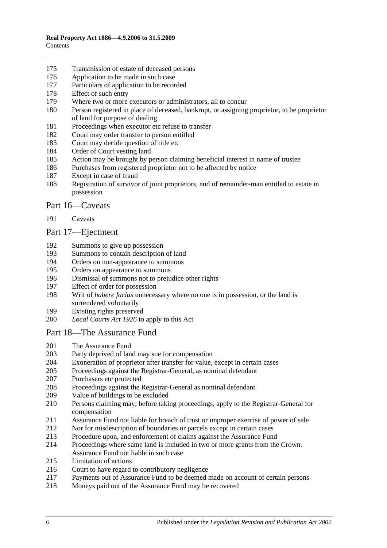- [Transmission of estate of deceased persons](#page-81-1)
- [Application to be made in such case](#page-81-2)
- [Particulars of application to be recorded](#page-81-3)
- [Effect of such entry](#page-81-4)
- [Where two or more executors or administrators, all to concur](#page-81-5)
- [Person registered in place of deceased, bankrupt, or assigning proprietor, to be proprietor](#page-81-6)  [of land for purpose of dealing](#page-81-6)
- [Proceedings when executor etc refuse to transfer](#page-82-0)
- [Court may order transfer to person entitled](#page-82-1)
- [Court may decide question of title etc](#page-82-2)
- [Order of Court vesting land](#page-82-3)
- [Action may be brought by person claiming beneficial interest in name of trustee](#page-82-4)
- [Purchases from registered proprietor not to be affected by notice](#page-82-5)
- [Except in case of fraud](#page-83-0)
- [Registration of survivor of joint proprietors, and of remainder-man entitled to estate in](#page-83-1)  [possession](#page-83-1)

#### [Part 16—Caveats](#page-84-0)

[Caveats](#page-84-1)

## [Part 17—Ejectment](#page-88-0)

- [Summons to give up possession](#page-88-1)<br>193 Summons to contain description
- [Summons to contain description of land](#page-88-2)
- [Orders on non-appearance to summons](#page-88-3)
- [Orders on appearance to summons](#page-88-4)
- [Dismissal of summons not to prejudice other rights](#page-88-5)
- [Effect of order for possession](#page-88-6)
- Writ of *habere facias* [unnecessary where no one is in possession, or the land is](#page-89-0)  [surrendered voluntarily](#page-89-0)
- [Existing rights preserved](#page-89-1)
- *Local Courts Act 1926* [to apply to this Act](#page-89-2)

## [Part 18—The Assurance Fund](#page-90-0)

- [The Assurance Fund](#page-90-1)
- [Party deprived of land may sue for compensation](#page-91-0)
- [Exoneration of proprietor after transfer for value, except in certain cases](#page-91-1)
- [Proceedings against the Registrar-General, as nominal defendant](#page-91-2)
- [Purchasers etc protected](#page-91-3)
- [Proceedings against the Registrar-General as nominal defendant](#page-92-0)
- [Value of buildings to be excluded](#page-92-1)
- [Persons claiming may, before taking proceedings, apply to the Registrar-General for](#page-92-2)  [compensation](#page-92-2)
- [Assurance Fund not liable for breach of trust or improper exercise of power of sale](#page-92-3)
- [Nor for misdescription of boundaries or parcels except in certain cases](#page-93-0)
- [Procedure upon, and enforcement of claims against the Assurance Fund](#page-93-1)
- [Proceedings where same land is included in two or more grants from the Crown.](#page-94-0)  Assurance Fund [not liable in such case](#page-94-0)
- [Limitation of actions](#page-94-1)
- [Court to have regard to contributory negligence](#page-95-0)
- [Payments out of Assurance Fund to be deemed made on account of certain persons](#page-95-1)
- Moneys paid out of the [Assurance Fund may be recovered](#page-95-2)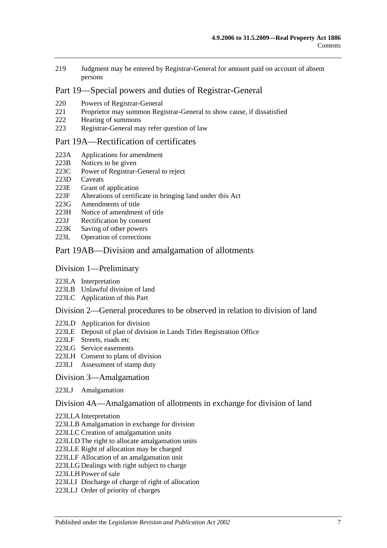219 [Judgment may be entered by Registrar-General for amount paid on account of absent](#page-95-3)  [persons](#page-95-3)

## [Part 19—Special powers and duties of Registrar-General](#page-96-0)

- 220 [Powers of Registrar-General](#page-96-1)
- 221 [Proprietor may summon Registrar-General to show cause, if dissatisfied](#page-99-0)<br>222 Hearing of summons
- [Hearing of summons](#page-99-1)
- 223 [Registrar-General may refer question of law](#page-99-2)

#### [Part 19A—Rectification of certificates](#page-100-0)

- 223A [Applications for amendment](#page-100-1)
- 223B [Notices to be given](#page-100-2)
- 223C [Power of Registrar-General to reject](#page-100-3)
- 223D [Caveats](#page-100-4)
- 223E [Grant of application](#page-101-0)
- 223F [Alterations of certificate in bringing land under this Act](#page-101-1)
- 223G [Amendments of title](#page-101-2)<br>223H Notice of amendmen
- [Notice of amendment of title](#page-101-3)
- 223J [Rectification by consent](#page-102-0)
- 223K [Saving of other powers](#page-102-1)
- 223L [Operation of corrections](#page-102-2)

#### [Part 19AB—Division and amalgamation of allotments](#page-104-0)

#### [Division 1—Preliminary](#page-104-1)

- 223LA [Interpretation](#page-104-2)
- 223LB [Unlawful division of land](#page-106-0)
- 223LC [Application of this Part](#page-107-0)

#### [Division 2—General procedures to be observed in relation to division of land](#page-107-1)

- 223LD [Application for division](#page-107-2)
- 223LE [Deposit of plan of division in Lands Titles Registration Office](#page-109-0)
- 223LF [Streets, roads etc](#page-109-1)
- 223LG [Service easements](#page-110-0)
- 223LH [Consent to plans of division](#page-112-0)
- 223LI [Assessment of stamp duty](#page-112-1)

#### [Division 3—Amalgamation](#page-112-2)

223LJ [Amalgamation](#page-112-3)

#### [Division 4A—Amalgamation of allotments in exchange for division of land](#page-114-0)

- 223LLA [Interpretation](#page-114-1)
- 223LLB [Amalgamation in exchange for division](#page-114-2)
- 223LLC [Creation of amalgamation units](#page-115-0)
- 223LLD [The right to allocate amalgamation units](#page-115-1)
- 223LLE [Right of allocation may be charged](#page-116-0)
- 223LLF [Allocation of an amalgamation unit](#page-116-1)
- 223LLG [Dealings with right subject to charge](#page-116-2)
- 223LLH [Power of sale](#page-116-3)
- 223LLI [Discharge of charge of right of allocation](#page-117-0)
- 223LLJ [Order of priority of charges](#page-117-1)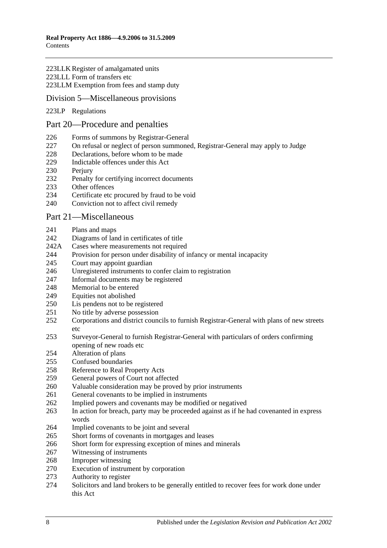## 223LLK [Register of amalgamated units](#page-117-2) 223LLL [Form of transfers etc](#page-118-0)

223LLM [Exemption from fees and stamp duty](#page-118-1)

## [Division 5—Miscellaneous provisions](#page-118-2)

#### 223LP [Regulations](#page-118-3)

## [Part 20—Procedure and penalties](#page-120-0)

- [Forms of summons by Registrar-General](#page-120-1)
- [On refusal or neglect of person summoned, Registrar-General may apply to Judge](#page-120-2)
- [Declarations, before whom to be made](#page-120-3)
- [Indictable offences under this Act](#page-120-4)
- 230 Periury
- [Penalty for certifying incorrect documents](#page-121-1)
- [Other offences](#page-121-2)
- [Certificate etc procured by fraud to be void](#page-122-0)
- [Conviction not to affect civil remedy](#page-122-1)

#### [Part 21—Miscellaneous](#page-124-0)

- [Plans and maps](#page-124-1)
- [Diagrams of land in certificates of title](#page-124-2)
- 242A [Cases where measurements not required](#page-124-3)
- [Provision for person under disability of infancy or mental incapacity](#page-124-4)
- [Court may appoint guardian](#page-125-0)
- [Unregistered instruments to confer claim to registration](#page-125-1)
- [Informal documents may be registered](#page-125-2)
- [Memorial to be entered](#page-125-3)
- [Equities not abolished](#page-125-4)
- [Lis pendens not to be registered](#page-126-0)
- [No title by adverse possession](#page-126-1)
- [Corporations and district councils to furnish Registrar-General with plans of new streets](#page-126-2)  [etc](#page-126-2)
- [Surveyor-General to furnish Registrar-General with particulars of orders confirming](#page-126-3)  [opening of new roads etc](#page-126-3)
- [Alteration of plans](#page-126-4)
- [Confused boundaries](#page-127-0)
- [Reference to Real Property Acts](#page-127-1)
- [General powers of Court not affected](#page-127-2)
- [Valuable consideration may be proved by prior instruments](#page-127-3)
- [General covenants to be implied in instruments](#page-128-0)
- [Implied powers and covenants may be modified or negatived](#page-128-1)
- [In action for breach, party may be proceeded against as if he had covenanted in express](#page-128-2)  [words](#page-128-2)
- [Implied covenants to be joint and several](#page-128-3)
- [Short forms of covenants in mortgages and leases](#page-128-4)
- [Short form for expressing exception of mines and minerals](#page-128-5)
- [Witnessing of instruments](#page-129-0)
- [Improper witnessing](#page-129-1)<br>270 Execution of instrum
- [Execution of instrument by corporation](#page-129-2)
- [Authority to register](#page-129-3)
- [Solicitors and land brokers to be generally entitled](#page-130-0) to recover fees for work done under [this Act](#page-130-0)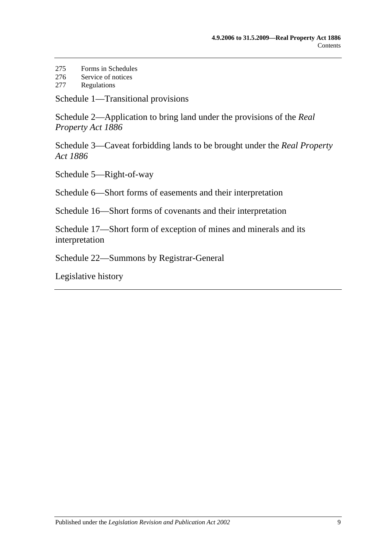- 275 [Forms in Schedules](#page-130-1)
- 276 [Service of notices](#page-130-2)
- 277 [Regulations](#page-130-3)

[Schedule 1—Transitional provisions](#page-132-0)

[Schedule 2—Application to bring land under the provisions of the](#page-135-0) *Real [Property Act](#page-135-0) 1886*

[Schedule 3—Caveat forbidding lands to be brought under the](#page-136-0) *Real Property Act [1886](#page-136-0)*

[Schedule 5—Right-of-way](#page-136-1)

[Schedule 6—Short forms of easements and their interpretation](#page-136-2)

[Schedule 16—Short forms of covenants and their interpretation](#page-138-0)

[Schedule 17—Short form of exception of mines and minerals and its](#page-140-0)  [interpretation](#page-140-0)

[Schedule 22—Summons by Registrar-General](#page-140-1)

[Legislative history](#page-142-0)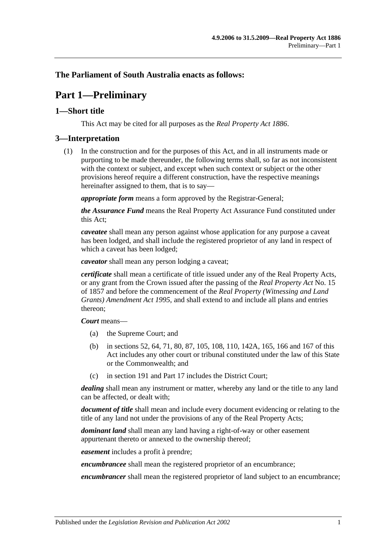## <span id="page-10-0"></span>**The Parliament of South Australia enacts as follows:**

## **Part 1—Preliminary**

## <span id="page-10-1"></span>**1—Short title**

This Act may be cited for all purposes as the *[Real Property Act](http://www.legislation.sa.gov.au/index.aspx?action=legref&type=act&legtitle=Real%20Property%20Act%201886) 1886*.

## <span id="page-10-2"></span>**3—Interpretation**

(1) In the construction and for the purposes of this Act, and in all instruments made or purporting to be made thereunder, the following terms shall, so far as not inconsistent with the context or subject, and except when such context or subject or the other provisions hereof require a different construction, have the respective meanings hereinafter assigned to them, that is to say—

*appropriate form* means a form approved by the Registrar-General;

*the Assurance Fund* means the Real Property Act Assurance Fund constituted under this Act;

*caveatee* shall mean any person against whose application for any purpose a caveat has been lodged, and shall include the registered proprietor of any land in respect of which a caveat has been lodged;

*caveator* shall mean any person lodging a caveat;

*certificate* shall mean a certificate of title issued under any of the Real Property Acts, or any grant from the Crown issued after the passing of the *[Real Property Act](http://www.legislation.sa.gov.au/index.aspx?action=legref&type=act&legtitle=Real%20Property%20Act)* No. 15 of 1857 and before the commencement of the *[Real Property \(Witnessing and Land](http://www.legislation.sa.gov.au/index.aspx?action=legref&type=act&legtitle=Real%20Property%20(Witnessing%20and%20Land%20Grants)%20Amendment%20Act%201995)  [Grants\) Amendment Act](http://www.legislation.sa.gov.au/index.aspx?action=legref&type=act&legtitle=Real%20Property%20(Witnessing%20and%20Land%20Grants)%20Amendment%20Act%201995) 1995*, and shall extend to and include all plans and entries thereon;

#### *Court* means—

- (a) the Supreme Court; and
- (b) in [sections](#page-28-4) 52, [64,](#page-31-3) [71,](#page-36-0) [80,](#page-39-1) [87,](#page-45-0) [105,](#page-54-0) [108,](#page-54-3) [110,](#page-54-5) [142A,](#page-67-1) [165,](#page-77-0) [166](#page-77-1) and [167](#page-77-2) of this Act includes any other court or tribunal constituted under the law of this State or the Commonwealth; and
- (c) in [section](#page-84-1) 191 and [Part 17](#page-88-0) includes the District Court;

*dealing* shall mean any instrument or matter, whereby any land or the title to any land can be affected, or dealt with;

*document of title* shall mean and include every document evidencing or relating to the title of any land not under the provisions of any of the Real Property Acts;

*dominant land* shall mean any land having a right-of-way or other easement appurtenant thereto or annexed to the ownership thereof;

*easement* includes a profit à prendre;

*encumbrancee* shall mean the registered proprietor of an encumbrance;

*encumbrancer* shall mean the registered proprietor of land subject to an encumbrance;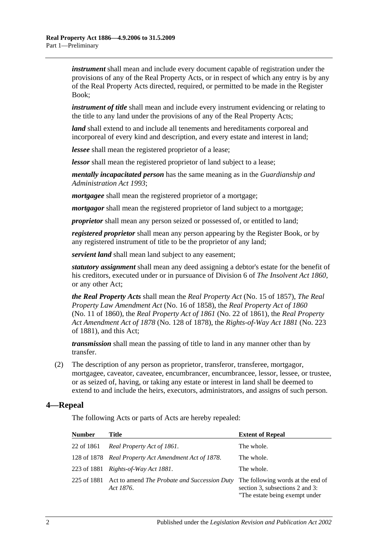*instrument* shall mean and include every document capable of registration under the provisions of any of the Real Property Acts, or in respect of which any entry is by any of the Real Property Acts directed, required, or permitted to be made in the Register Book;

*instrument of title* shall mean and include every instrument evidencing or relating to the title to any land under the provisions of any of the Real Property Acts;

*land* shall extend to and include all tenements and hereditaments corporeal and incorporeal of every kind and description, and every estate and interest in land;

*lessee* shall mean the registered proprietor of a lease;

*lessor* shall mean the registered proprietor of land subject to a lease;

*mentally incapacitated person* has the same meaning as in the *[Guardianship and](http://www.legislation.sa.gov.au/index.aspx?action=legref&type=act&legtitle=Guardianship%20and%20Administration%20Act%201993)  [Administration Act](http://www.legislation.sa.gov.au/index.aspx?action=legref&type=act&legtitle=Guardianship%20and%20Administration%20Act%201993) 1993*;

*mortgagee* shall mean the registered proprietor of a mortgage;

*mortgagor* shall mean the registered proprietor of land subject to a mortgage;

*proprietor* shall mean any person seized or possessed of, or entitled to land;

*registered proprietor* shall mean any person appearing by the Register Book, or by any registered instrument of title to be the proprietor of any land;

*servient land* shall mean land subject to any easement;

*statutory assignment* shall mean any deed assigning a debtor's estate for the benefit of his creditors, executed under or in pursuance of Division 6 of *[The Insolvent Act](http://www.legislation.sa.gov.au/index.aspx?action=legref&type=act&legtitle=The%20Insolvent%20Act%201860) 1860*, or any other Act;

*the Real Property Acts* shall mean the *[Real Property Act](http://www.legislation.sa.gov.au/index.aspx?action=legref&type=act&legtitle=Real%20Property%20Act)* (No. 15 of 1857), *[The Real](http://www.legislation.sa.gov.au/index.aspx?action=legref&type=act&legtitle=The%20Real%20Property%20Law%20Amendment%20Act)  [Property Law Amendment Act](http://www.legislation.sa.gov.au/index.aspx?action=legref&type=act&legtitle=The%20Real%20Property%20Law%20Amendment%20Act)* (No. 16 of 1858), the *[Real Property Act of](http://www.legislation.sa.gov.au/index.aspx?action=legref&type=act&legtitle=Real%20Property%20Act%20of%201860) 1860* (No. 11 of 1860), the *[Real Property Act of](http://www.legislation.sa.gov.au/index.aspx?action=legref&type=act&legtitle=Real%20Property%20Act%20of%201861) 1861* (No. 22 of 1861), the *[Real Property](http://www.legislation.sa.gov.au/index.aspx?action=legref&type=act&legtitle=Real%20Property%20Act%20Amendment%20Act%20of%201878)  [Act Amendment Act of](http://www.legislation.sa.gov.au/index.aspx?action=legref&type=act&legtitle=Real%20Property%20Act%20Amendment%20Act%20of%201878) 1878* (No. 128 of 1878), the *[Rights-of-Way Act](http://www.legislation.sa.gov.au/index.aspx?action=legref&type=act&legtitle=Rights-of-Way%20Act%201881) 1881* (No. 223 of 1881), and this Act;

*transmission* shall mean the passing of title to land in any manner other than by transfer.

(2) The description of any person as proprietor, transferor, transferee, mortgagor, mortgagee, caveator, caveatee, encumbrancer, encumbrancee, lessor, lessee, or trustee, or as seized of, having, or taking any estate or interest in land shall be deemed to extend to and include the heirs, executors, administrators, and assigns of such person.

## <span id="page-11-0"></span>**4—Repeal**

The following Acts or parts of Acts are hereby repealed:

| <b>Number</b> | Title                                                            | <b>Extent of Repeal</b>                                                                                |
|---------------|------------------------------------------------------------------|--------------------------------------------------------------------------------------------------------|
| 22 of 1861    | Real Property Act of 1861.                                       | The whole.                                                                                             |
|               | 128 of 1878 Real Property Act Amendment Act of 1878.             | The whole.                                                                                             |
| 223 of 1881   | Rights-of-Way Act 1881.                                          | The whole.                                                                                             |
| 225 of 1881   | Act to amend <i>The Probate and Succession Duty</i><br>Act 1876. | The following words at the end of<br>section 3, subsections 2 and 3:<br>"The estate being exempt under |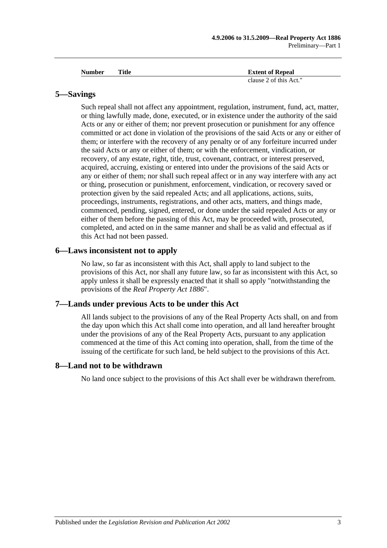| <b>Number</b> | Title | <b>Extent of Repeal</b> |
|---------------|-------|-------------------------|
|               |       | clause 2 of this Act."  |

#### <span id="page-12-0"></span>**5—Savings**

Such repeal shall not affect any appointment, regulation, instrument, fund, act, matter, or thing lawfully made, done, executed, or in existence under the authority of the said Acts or any or either of them; nor prevent prosecution or punishment for any offence committed or act done in violation of the provisions of the said Acts or any or either of them; or interfere with the recovery of any penalty or of any forfeiture incurred under the said Acts or any or either of them; or with the enforcement, vindication, or recovery, of any estate, right, title, trust, covenant, contract, or interest preserved, acquired, accruing, existing or entered into under the provisions of the said Acts or any or either of them; nor shall such repeal affect or in any way interfere with any act or thing, prosecution or punishment, enforcement, vindication, or recovery saved or protection given by the said repealed Acts; and all applications, actions, suits, proceedings, instruments, registrations, and other acts, matters, and things made, commenced, pending, signed, entered, or done under the said repealed Acts or any or either of them before the passing of this Act, may be proceeded with, prosecuted, completed, and acted on in the same manner and shall be as valid and effectual as if this Act had not been passed.

#### <span id="page-12-1"></span>**6—Laws inconsistent not to apply**

No law, so far as inconsistent with this Act, shall apply to land subject to the provisions of this Act, nor shall any future law, so far as inconsistent with this Act, so apply unless it shall be expressly enacted that it shall so apply "notwithstanding the provisions of the *[Real Property Act](http://www.legislation.sa.gov.au/index.aspx?action=legref&type=act&legtitle=Real%20Property%20Act%201886) 1886*".

#### <span id="page-12-2"></span>**7—Lands under previous Acts to be under this Act**

All lands subject to the provisions of any of the Real Property Acts shall, on and from the day upon which this Act shall come into operation, and all land hereafter brought under the provisions of any of the Real Property Acts, pursuant to any application commenced at the time of this Act coming into operation, shall, from the time of the issuing of the certificate for such land, be held subject to the provisions of this Act.

#### <span id="page-12-3"></span>**8—Land not to be withdrawn**

No land once subject to the provisions of this Act shall ever be withdrawn therefrom.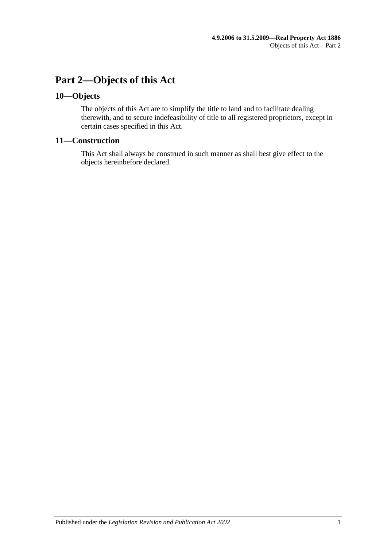## <span id="page-14-0"></span>**Part 2—Objects of this Act**

## <span id="page-14-1"></span>**10—Objects**

The objects of this Act are to simplify the title to land and to facilitate dealing therewith, and to secure indefeasibility of title to all registered proprietors, except in certain cases specified in this Act.

## <span id="page-14-2"></span>**11—Construction**

This Act shall always be construed in such manner as shall best give effect to the objects hereinbefore declared.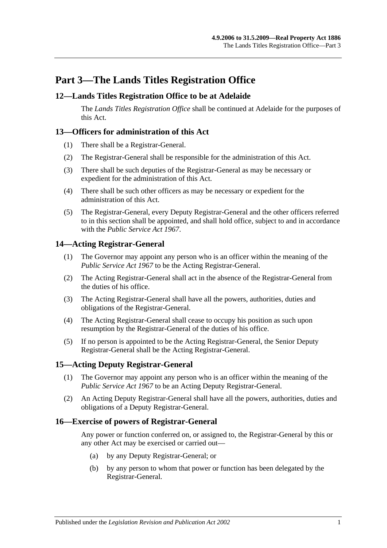## <span id="page-16-0"></span>**Part 3—The Lands Titles Registration Office**

## <span id="page-16-1"></span>**12—Lands Titles Registration Office to be at Adelaide**

The *Lands Titles Registration Office* shall be continued at Adelaide for the purposes of this Act.

## <span id="page-16-2"></span>**13—Officers for administration of this Act**

- (1) There shall be a Registrar-General.
- (2) The Registrar-General shall be responsible for the administration of this Act.
- (3) There shall be such deputies of the Registrar-General as may be necessary or expedient for the administration of this Act.
- (4) There shall be such other officers as may be necessary or expedient for the administration of this Act.
- (5) The Registrar-General, every Deputy Registrar-General and the other officers referred to in this section shall be appointed, and shall hold office, subject to and in accordance with the *[Public Service Act](http://www.legislation.sa.gov.au/index.aspx?action=legref&type=act&legtitle=Public%20Service%20Act%201967) 1967*.

## <span id="page-16-3"></span>**14—Acting Registrar-General**

- (1) The Governor may appoint any person who is an officer within the meaning of the *[Public Service Act](http://www.legislation.sa.gov.au/index.aspx?action=legref&type=act&legtitle=Public%20Service%20Act%201967) 1967* to be the Acting Registrar-General.
- (2) The Acting Registrar-General shall act in the absence of the Registrar-General from the duties of his office.
- (3) The Acting Registrar-General shall have all the powers, authorities, duties and obligations of the Registrar-General.
- (4) The Acting Registrar-General shall cease to occupy his position as such upon resumption by the Registrar-General of the duties of his office.
- (5) If no person is appointed to be the Acting Registrar-General, the Senior Deputy Registrar-General shall be the Acting Registrar-General.

## <span id="page-16-4"></span>**15—Acting Deputy Registrar-General**

- (1) The Governor may appoint any person who is an officer within the meaning of the *[Public Service Act](http://www.legislation.sa.gov.au/index.aspx?action=legref&type=act&legtitle=Public%20Service%20Act%201967) 1967* to be an Acting Deputy Registrar-General.
- (2) An Acting Deputy Registrar-General shall have all the powers, authorities, duties and obligations of a Deputy Registrar-General.

#### <span id="page-16-5"></span>**16—Exercise of powers of Registrar-General**

Any power or function conferred on, or assigned to, the Registrar-General by this or any other Act may be exercised or carried out—

- (a) by any Deputy Registrar-General; or
- (b) by any person to whom that power or function has been delegated by the Registrar-General.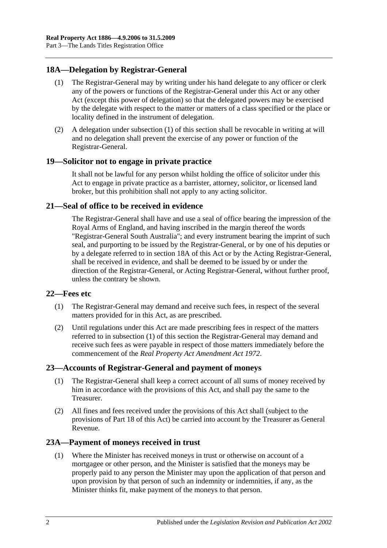## <span id="page-17-6"></span><span id="page-17-0"></span>**18A—Delegation by Registrar-General**

- (1) The Registrar-General may by writing under his hand delegate to any officer or clerk any of the powers or functions of the Registrar-General under this Act or any other Act (except this power of delegation) so that the delegated powers may be exercised by the delegate with respect to the matter or matters of a class specified or the place or locality defined in the instrument of delegation.
- (2) A delegation under [subsection](#page-17-6) (1) of this section shall be revocable in writing at will and no delegation shall prevent the exercise of any power or function of the Registrar-General.

#### <span id="page-17-1"></span>**19—Solicitor not to engage in private practice**

It shall not be lawful for any person whilst holding the office of solicitor under this Act to engage in private practice as a barrister, attorney, solicitor, or licensed land broker, but this prohibition shall not apply to any acting solicitor.

## <span id="page-17-2"></span>**21—Seal of office to be received in evidence**

The Registrar-General shall have and use a seal of office bearing the impression of the Royal Arms of England, and having inscribed in the margin thereof the words "Registrar-General South Australia"; and every instrument bearing the imprint of such seal, and purporting to be issued by the Registrar-General, or by one of his deputies or by a delegate referred to in [section](#page-17-0) 18A of this Act or by the Acting Registrar-General, shall be received in evidence, and shall be deemed to be issued by or under the direction of the Registrar-General, or Acting Registrar-General, without further proof, unless the contrary be shown.

#### <span id="page-17-7"></span><span id="page-17-3"></span>**22—Fees etc**

- (1) The Registrar-General may demand and receive such fees, in respect of the several matters provided for in this Act, as are prescribed.
- (2) Until regulations under this Act are made prescribing fees in respect of the matters referred to in [subsection](#page-17-7) (1) of this section the Registrar-General may demand and receive such fees as were payable in respect of those matters immediately before the commencement of the *[Real Property Act Amendment Act](http://www.legislation.sa.gov.au/index.aspx?action=legref&type=act&legtitle=Real%20Property%20Act%20Amendment%20Act%201972) 1972*.

## <span id="page-17-4"></span>**23—Accounts of Registrar-General and payment of moneys**

- (1) The Registrar-General shall keep a correct account of all sums of money received by him in accordance with the provisions of this Act, and shall pay the same to the Treasurer.
- (2) All fines and fees received under the provisions of this Act shall (subject to the provisions of [Part 18](#page-90-0) of this Act) be carried into account by the Treasurer as General Revenue.

## <span id="page-17-8"></span><span id="page-17-5"></span>**23A—Payment of moneys received in trust**

(1) Where the Minister has received moneys in trust or otherwise on account of a mortgagee or other person, and the Minister is satisfied that the moneys may be properly paid to any person the Minister may upon the application of that person and upon provision by that person of such an indemnity or indemnities, if any, as the Minister thinks fit, make payment of the moneys to that person.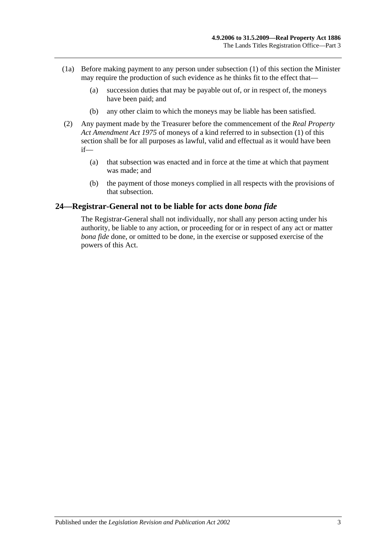- (1a) Before making payment to any person under [subsection](#page-17-8) (1) of this section the Minister may require the production of such evidence as he thinks fit to the effect that—
	- (a) succession duties that may be payable out of, or in respect of, the moneys have been paid; and
	- (b) any other claim to which the moneys may be liable has been satisfied.
- (2) Any payment made by the Treasurer before the commencement of the *[Real Property](http://www.legislation.sa.gov.au/index.aspx?action=legref&type=act&legtitle=Real%20Property%20Act%20Amendment%20Act%201975)  [Act Amendment Act](http://www.legislation.sa.gov.au/index.aspx?action=legref&type=act&legtitle=Real%20Property%20Act%20Amendment%20Act%201975) 1975* of moneys of a kind referred to in [subsection](#page-17-8) (1) of this section shall be for all purposes as lawful, valid and effectual as it would have been if—
	- (a) that subsection was enacted and in force at the time at which that payment was made; and
	- (b) the payment of those moneys complied in all respects with the provisions of that subsection.

#### <span id="page-18-0"></span>**24—Registrar-General not to be liable for acts done** *bona fide*

The Registrar-General shall not individually, nor shall any person acting under his authority, be liable to any action, or proceeding for or in respect of any act or matter *bona fide* done, or omitted to be done, in the exercise or supposed exercise of the powers of this Act.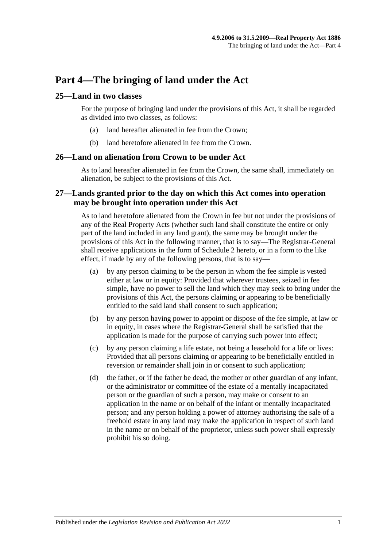## <span id="page-20-0"></span>**Part 4—The bringing of land under the Act**

### <span id="page-20-1"></span>**25—Land in two classes**

For the purpose of bringing land under the provisions of this Act, it shall be regarded as divided into two classes, as follows:

- (a) land hereafter alienated in fee from the Crown;
- (b) land heretofore alienated in fee from the Crown.

### <span id="page-20-2"></span>**26—Land on alienation from Crown to be under Act**

As to land hereafter alienated in fee from the Crown, the same shall, immediately on alienation, be subject to the provisions of this Act.

## <span id="page-20-3"></span>**27—Lands granted prior to the day on which this Act comes into operation may be brought into operation under this Act**

As to land heretofore alienated from the Crown in fee but not under the provisions of any of the Real Property Acts (whether such land shall constitute the entire or only part of the land included in any land grant), the same may be brought under the provisions of this Act in the following manner, that is to say—The Registrar-General shall receive applications in the form of [Schedule 2](#page-135-0) hereto, or in a form to the like effect, if made by any of the following persons, that is to say—

- (a) by any person claiming to be the person in whom the fee simple is vested either at law or in equity: Provided that wherever trustees, seized in fee simple, have no power to sell the land which they may seek to bring under the provisions of this Act, the persons claiming or appearing to be beneficially entitled to the said land shall consent to such application;
- (b) by any person having power to appoint or dispose of the fee simple, at law or in equity, in cases where the Registrar-General shall be satisfied that the application is made for the purpose of carrying such power into effect;
- (c) by any person claiming a life estate, not being a leasehold for a life or lives: Provided that all persons claiming or appearing to be beneficially entitled in reversion or remainder shall join in or consent to such application;
- (d) the father, or if the father be dead, the mother or other guardian of any infant, or the administrator or committee of the estate of a mentally incapacitated person or the guardian of such a person, may make or consent to an application in the name or on behalf of the infant or mentally incapacitated person; and any person holding a power of attorney authorising the sale of a freehold estate in any land may make the application in respect of such land in the name or on behalf of the proprietor, unless such power shall expressly prohibit his so doing.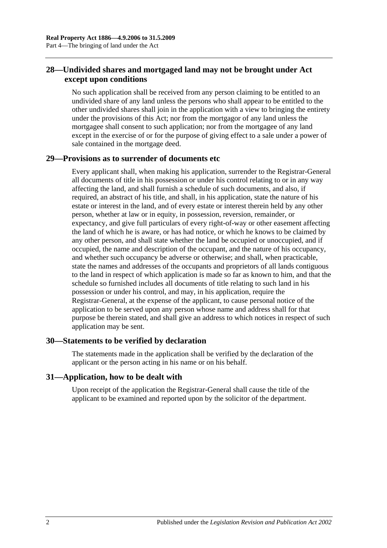## <span id="page-21-0"></span>**28—Undivided shares and mortgaged land may not be brought under Act except upon conditions**

No such application shall be received from any person claiming to be entitled to an undivided share of any land unless the persons who shall appear to be entitled to the other undivided shares shall join in the application with a view to bringing the entirety under the provisions of this Act; nor from the mortgagor of any land unless the mortgagee shall consent to such application; nor from the mortgagee of any land except in the exercise of or for the purpose of giving effect to a sale under a power of sale contained in the mortgage deed.

## <span id="page-21-1"></span>**29—Provisions as to surrender of documents etc**

Every applicant shall, when making his application, surrender to the Registrar-General all documents of title in his possession or under his control relating to or in any way affecting the land, and shall furnish a schedule of such documents, and also, if required, an abstract of his title, and shall, in his application, state the nature of his estate or interest in the land, and of every estate or interest therein held by any other person, whether at law or in equity, in possession, reversion, remainder, or expectancy, and give full particulars of every right-of-way or other easement affecting the land of which he is aware, or has had notice, or which he knows to be claimed by any other person, and shall state whether the land be occupied or unoccupied, and if occupied, the name and description of the occupant, and the nature of his occupancy, and whether such occupancy be adverse or otherwise; and shall, when practicable, state the names and addresses of the occupants and proprietors of all lands contiguous to the land in respect of which application is made so far as known to him, and that the schedule so furnished includes all documents of title relating to such land in his possession or under his control, and may, in his application, require the Registrar-General, at the expense of the applicant, to cause personal notice of the application to be served upon any person whose name and address shall for that purpose be therein stated, and shall give an address to which notices in respect of such application may be sent.

## <span id="page-21-2"></span>**30—Statements to be verified by declaration**

The statements made in the application shall be verified by the declaration of the applicant or the person acting in his name or on his behalf.

## <span id="page-21-3"></span>**31—Application, how to be dealt with**

Upon receipt of the application the Registrar-General shall cause the title of the applicant to be examined and reported upon by the solicitor of the department.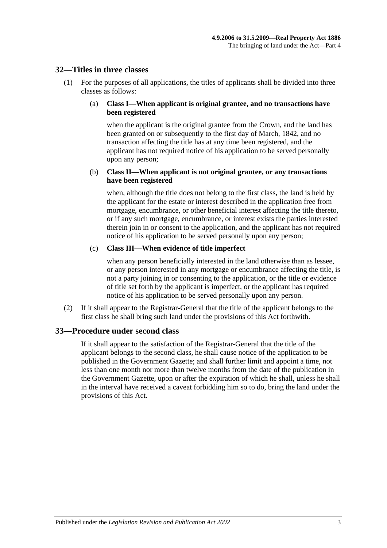#### <span id="page-22-0"></span>**32—Titles in three classes**

(1) For the purposes of all applications, the titles of applicants shall be divided into three classes as follows:

#### (a) **Class I—When applicant is original grantee, and no transactions have been registered**

when the applicant is the original grantee from the Crown, and the land has been granted on or subsequently to the first day of March, 1842, and no transaction affecting the title has at any time been registered, and the applicant has not required notice of his application to be served personally upon any person;

#### (b) **Class II—When applicant is not original grantee, or any transactions have been registered**

when, although the title does not belong to the first class, the land is held by the applicant for the estate or interest described in the application free from mortgage, encumbrance, or other beneficial interest affecting the title thereto, or if any such mortgage, encumbrance, or interest exists the parties interested therein join in or consent to the application, and the applicant has not required notice of his application to be served personally upon any person;

#### (c) **Class III—When evidence of title imperfect**

when any person beneficially interested in the land otherwise than as lessee, or any person interested in any mortgage or encumbrance affecting the title, is not a party joining in or consenting to the application, or the title or evidence of title set forth by the applicant is imperfect, or the applicant has required notice of his application to be served personally upon any person.

(2) If it shall appear to the Registrar-General that the title of the applicant belongs to the first class he shall bring such land under the provisions of this Act forthwith.

## <span id="page-22-1"></span>**33—Procedure under second class**

If it shall appear to the satisfaction of the Registrar-General that the title of the applicant belongs to the second class, he shall cause notice of the application to be published in the Government Gazette; and shall further limit and appoint a time, not less than one month nor more than twelve months from the date of the publication in the Government Gazette, upon or after the expiration of which he shall, unless he shall in the interval have received a caveat forbidding him so to do, bring the land under the provisions of this Act.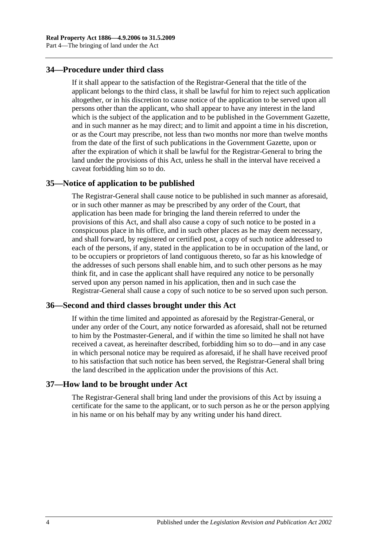## <span id="page-23-0"></span>**34—Procedure under third class**

If it shall appear to the satisfaction of the Registrar-General that the title of the applicant belongs to the third class, it shall be lawful for him to reject such application altogether, or in his discretion to cause notice of the application to be served upon all persons other than the applicant, who shall appear to have any interest in the land which is the subject of the application and to be published in the Government Gazette, and in such manner as he may direct; and to limit and appoint a time in his discretion, or as the Court may prescribe, not less than two months nor more than twelve months from the date of the first of such publications in the Government Gazette, upon or after the expiration of which it shall be lawful for the Registrar-General to bring the land under the provisions of this Act, unless he shall in the interval have received a caveat forbidding him so to do.

#### <span id="page-23-1"></span>**35—Notice of application to be published**

The Registrar-General shall cause notice to be published in such manner as aforesaid, or in such other manner as may be prescribed by any order of the Court, that application has been made for bringing the land therein referred to under the provisions of this Act, and shall also cause a copy of such notice to be posted in a conspicuous place in his office, and in such other places as he may deem necessary, and shall forward, by registered or certified post, a copy of such notice addressed to each of the persons, if any, stated in the application to be in occupation of the land, or to be occupiers or proprietors of land contiguous thereto, so far as his knowledge of the addresses of such persons shall enable him, and to such other persons as he may think fit, and in case the applicant shall have required any notice to be personally served upon any person named in his application, then and in such case the Registrar-General shall cause a copy of such notice to be so served upon such person.

#### <span id="page-23-2"></span>**36—Second and third classes brought under this Act**

If within the time limited and appointed as aforesaid by the Registrar-General, or under any order of the Court, any notice forwarded as aforesaid, shall not be returned to him by the Postmaster-General, and if within the time so limited he shall not have received a caveat, as hereinafter described, forbidding him so to do—and in any case in which personal notice may be required as aforesaid, if he shall have received proof to his satisfaction that such notice has been served, the Registrar-General shall bring the land described in the application under the provisions of this Act.

#### <span id="page-23-3"></span>**37—How land to be brought under Act**

The Registrar-General shall bring land under the provisions of this Act by issuing a certificate for the same to the applicant, or to such person as he or the person applying in his name or on his behalf may by any writing under his hand direct.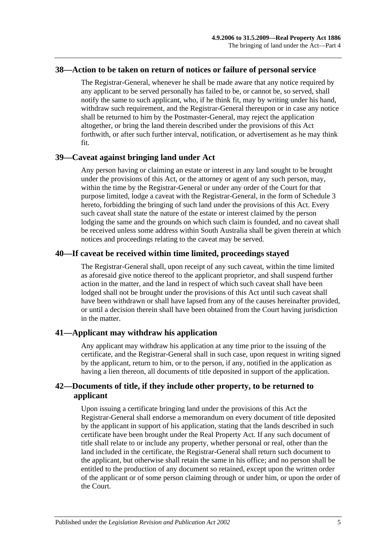#### <span id="page-24-0"></span>**38—Action to be taken on return of notices or failure of personal service**

The Registrar-General, whenever he shall be made aware that any notice required by any applicant to be served personally has failed to be, or cannot be, so served, shall notify the same to such applicant, who, if he think fit, may by writing under his hand, withdraw such requirement, and the Registrar-General thereupon or in case any notice shall be returned to him by the Postmaster-General, may reject the application altogether, or bring the land therein described under the provisions of this Act forthwith, or after such further interval, notification, or advertisement as he may think fit.

#### <span id="page-24-1"></span>**39—Caveat against bringing land under Act**

Any person having or claiming an estate or interest in any land sought to be brought under the provisions of this Act, or the attorney or agent of any such person, may, within the time by the Registrar-General or under any order of the Court for that purpose limited, lodge a caveat with the Registrar-General, in the form of [Schedule 3](#page-136-0) hereto, forbidding the bringing of such land under the provisions of this Act. Every such caveat shall state the nature of the estate or interest claimed by the person lodging the same and the grounds on which such claim is founded, and no caveat shall be received unless some address within South Australia shall be given therein at which notices and proceedings relating to the caveat may be served.

### <span id="page-24-2"></span>**40—If caveat be received within time limited, proceedings stayed**

The Registrar-General shall, upon receipt of any such caveat, within the time limited as aforesaid give notice thereof to the applicant proprietor, and shall suspend further action in the matter, and the land in respect of which such caveat shall have been lodged shall not be brought under the provisions of this Act until such caveat shall have been withdrawn or shall have lapsed from any of the causes hereinafter provided, or until a decision therein shall have been obtained from the Court having jurisdiction in the matter.

#### <span id="page-24-3"></span>**41—Applicant may withdraw his application**

Any applicant may withdraw his application at any time prior to the issuing of the certificate, and the Registrar-General shall in such case, upon request in writing signed by the applicant, return to him, or to the person, if any, notified in the application as having a lien thereon, all documents of title deposited in support of the application.

## <span id="page-24-4"></span>**42—Documents of title, if they include other property, to be returned to applicant**

Upon issuing a certificate bringing land under the provisions of this Act the Registrar-General shall endorse a memorandum on every document of title deposited by the applicant in support of his application, stating that the lands described in such certificate have been brought under the Real Property Act. If any such document of title shall relate to or include any property, whether personal or real, other than the land included in the certificate, the Registrar-General shall return such document to the applicant, but otherwise shall retain the same in his office; and no person shall be entitled to the production of any document so retained, except upon the written order of the applicant or of some person claiming through or under him, or upon the order of the Court.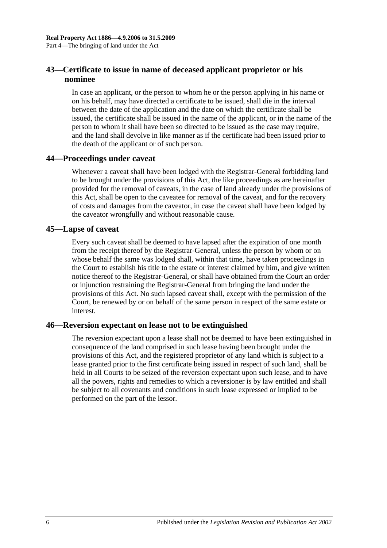## <span id="page-25-0"></span>**43—Certificate to issue in name of deceased applicant proprietor or his nominee**

In case an applicant, or the person to whom he or the person applying in his name or on his behalf, may have directed a certificate to be issued, shall die in the interval between the date of the application and the date on which the certificate shall be issued, the certificate shall be issued in the name of the applicant, or in the name of the person to whom it shall have been so directed to be issued as the case may require, and the land shall devolve in like manner as if the certificate had been issued prior to the death of the applicant or of such person.

## <span id="page-25-1"></span>**44—Proceedings under caveat**

Whenever a caveat shall have been lodged with the Registrar-General forbidding land to be brought under the provisions of this Act, the like proceedings as are hereinafter provided for the removal of caveats, in the case of land already under the provisions of this Act, shall be open to the caveatee for removal of the caveat, and for the recovery of costs and damages from the caveator, in case the caveat shall have been lodged by the caveator wrongfully and without reasonable cause.

#### <span id="page-25-2"></span>**45—Lapse of caveat**

Every such caveat shall be deemed to have lapsed after the expiration of one month from the receipt thereof by the Registrar-General, unless the person by whom or on whose behalf the same was lodged shall, within that time, have taken proceedings in the Court to establish his title to the estate or interest claimed by him, and give written notice thereof to the Registrar-General, or shall have obtained from the Court an order or injunction restraining the Registrar-General from bringing the land under the provisions of this Act. No such lapsed caveat shall, except with the permission of the Court, be renewed by or on behalf of the same person in respect of the same estate or interest.

## <span id="page-25-3"></span>**46—Reversion expectant on lease not to be extinguished**

The reversion expectant upon a lease shall not be deemed to have been extinguished in consequence of the land comprised in such lease having been brought under the provisions of this Act, and the registered proprietor of any land which is subject to a lease granted prior to the first certificate being issued in respect of such land, shall be held in all Courts to be seized of the reversion expectant upon such lease, and to have all the powers, rights and remedies to which a reversioner is by law entitled and shall be subject to all covenants and conditions in such lease expressed or implied to be performed on the part of the lessor.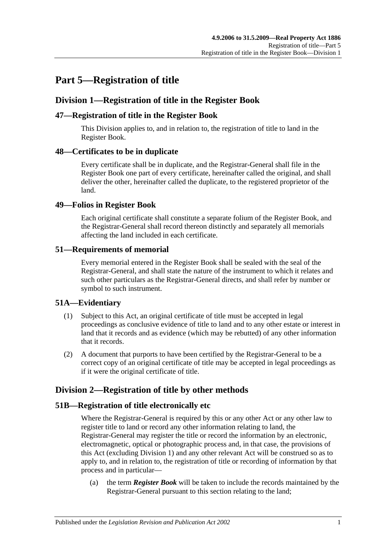## <span id="page-26-0"></span>**Part 5—Registration of title**

## <span id="page-26-1"></span>**Division 1—Registration of title in the Register Book**

## <span id="page-26-2"></span>**47—Registration of title in the Register Book**

This Division applies to, and in relation to, the registration of title to land in the Register Book.

## <span id="page-26-3"></span>**48—Certificates to be in duplicate**

Every certificate shall be in duplicate, and the Registrar-General shall file in the Register Book one part of every certificate, hereinafter called the original, and shall deliver the other, hereinafter called the duplicate, to the registered proprietor of the land.

## <span id="page-26-4"></span>**49—Folios in Register Book**

Each original certificate shall constitute a separate folium of the Register Book, and the Registrar-General shall record thereon distinctly and separately all memorials affecting the land included in each certificate.

## <span id="page-26-5"></span>**51—Requirements of memorial**

Every memorial entered in the Register Book shall be sealed with the seal of the Registrar-General, and shall state the nature of the instrument to which it relates and such other particulars as the Registrar-General directs, and shall refer by number or symbol to such instrument.

## <span id="page-26-6"></span>**51A—Evidentiary**

- (1) Subject to this Act, an original certificate of title must be accepted in legal proceedings as conclusive evidence of title to land and to any other estate or interest in land that it records and as evidence (which may be rebutted) of any other information that it records.
- (2) A document that purports to have been certified by the Registrar-General to be a correct copy of an original certificate of title may be accepted in legal proceedings as if it were the original certificate of title.

## <span id="page-26-7"></span>**Division 2—Registration of title by other methods**

## <span id="page-26-8"></span>**51B—Registration of title electronically etc**

Where the Registrar-General is required by this or any other Act or any other law to register title to land or record any other information relating to land, the Registrar-General may register the title or record the information by an electronic, electromagnetic, optical or photographic process and, in that case, the provisions of this Act (excluding [Division 1\)](#page-26-1) and any other relevant Act will be construed so as to apply to, and in relation to, the registration of title or recording of information by that process and in particular—

(a) the term *Register Book* will be taken to include the records maintained by the Registrar-General pursuant to this section relating to the land;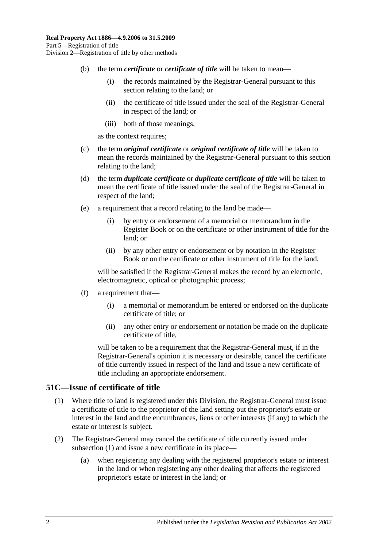- (b) the term *certificate* or *certificate of title* will be taken to mean—
	- (i) the records maintained by the Registrar-General pursuant to this section relating to the land; or
	- (ii) the certificate of title issued under the seal of the Registrar-General in respect of the land; or
	- (iii) both of those meanings,

as the context requires;

- (c) the term *original certificate* or *original certificate of title* will be taken to mean the records maintained by the Registrar-General pursuant to this section relating to the land;
- (d) the term *duplicate certificate* or *duplicate certificate of title* will be taken to mean the certificate of title issued under the seal of the Registrar-General in respect of the land;
- (e) a requirement that a record relating to the land be made—
	- (i) by entry or endorsement of a memorial or memorandum in the Register Book or on the certificate or other instrument of title for the land; or
	- (ii) by any other entry or endorsement or by notation in the Register Book or on the certificate or other instrument of title for the land,

will be satisfied if the Registrar-General makes the record by an electronic, electromagnetic, optical or photographic process;

- (f) a requirement that—
	- (i) a memorial or memorandum be entered or endorsed on the duplicate certificate of title; or
	- (ii) any other entry or endorsement or notation be made on the duplicate certificate of title,

will be taken to be a requirement that the Registrar-General must, if in the Registrar-General's opinion it is necessary or desirable, cancel the certificate of title currently issued in respect of the land and issue a new certificate of title including an appropriate endorsement.

#### <span id="page-27-1"></span><span id="page-27-0"></span>**51C—Issue of certificate of title**

- (1) Where title to land is registered under this Division, the Registrar-General must issue a certificate of title to the proprietor of the land setting out the proprietor's estate or interest in the land and the encumbrances, liens or other interests (if any) to which the estate or interest is subject.
- (2) The Registrar-General may cancel the certificate of title currently issued under [subsection](#page-27-1) (1) and issue a new certificate in its place—
	- (a) when registering any dealing with the registered proprietor's estate or interest in the land or when registering any other dealing that affects the registered proprietor's estate or interest in the land; or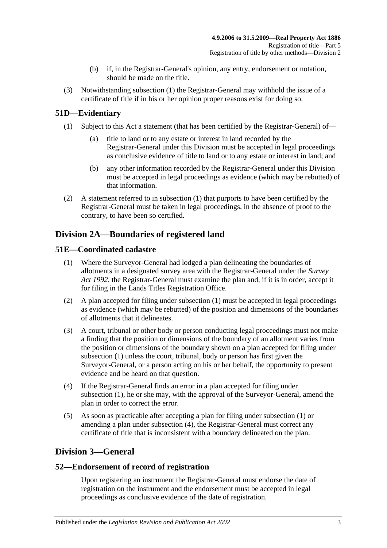- (b) if, in the Registrar-General's opinion, any entry, endorsement or notation, should be made on the title.
- (3) Notwithstanding [subsection](#page-27-1) (1) the Registrar-General may withhold the issue of a certificate of title if in his or her opinion proper reasons exist for doing so.

## <span id="page-28-5"></span><span id="page-28-0"></span>**51D—Evidentiary**

- (1) Subject to this Act a statement (that has been certified by the Registrar-General) of
	- title to land or to any estate or interest in land recorded by the Registrar-General under this Division must be accepted in legal proceedings as conclusive evidence of title to land or to any estate or interest in land; and
	- (b) any other information recorded by the Registrar-General under this Division must be accepted in legal proceedings as evidence (which may be rebutted) of that information.
- (2) A statement referred to in [subsection](#page-28-5) (1) that purports to have been certified by the Registrar-General must be taken in legal proceedings, in the absence of proof to the contrary, to have been so certified.

## <span id="page-28-1"></span>**Division 2A—Boundaries of registered land**

## <span id="page-28-6"></span><span id="page-28-2"></span>**51E—Coordinated cadastre**

- (1) Where the Surveyor-General had lodged a plan delineating the boundaries of allotments in a designated survey area with the Registrar-General under the *[Survey](http://www.legislation.sa.gov.au/index.aspx?action=legref&type=act&legtitle=Survey%20Act%201992)  Act [1992](http://www.legislation.sa.gov.au/index.aspx?action=legref&type=act&legtitle=Survey%20Act%201992)*, the Registrar-General must examine the plan and, if it is in order, accept it for filing in the Lands Titles Registration Office.
- (2) A plan accepted for filing under [subsection](#page-28-6) (1) must be accepted in legal proceedings as evidence (which may be rebutted) of the position and dimensions of the boundaries of allotments that it delineates.
- (3) A court, tribunal or other body or person conducting legal proceedings must not make a finding that the position or dimensions of the boundary of an allotment varies from the position or dimensions of the boundary shown on a plan accepted for filing under [subsection](#page-28-6) (1) unless the court, tribunal, body or person has first given the Surveyor-General, or a person acting on his or her behalf, the opportunity to present evidence and be heard on that question.
- <span id="page-28-7"></span>(4) If the Registrar-General finds an error in a plan accepted for filing under [subsection](#page-28-6) (1), he or she may, with the approval of the Surveyor-General, amend the plan in order to correct the error.
- (5) As soon as practicable after accepting a plan for filing under [subsection](#page-28-6) (1) or amending a plan under [subsection](#page-28-7) (4), the Registrar-General must correct any certificate of title that is inconsistent with a boundary delineated on the plan.

## <span id="page-28-3"></span>**Division 3—General**

## <span id="page-28-4"></span>**52—Endorsement of record of registration**

Upon registering an instrument the Registrar-General must endorse the date of registration on the instrument and the endorsement must be accepted in legal proceedings as conclusive evidence of the date of registration.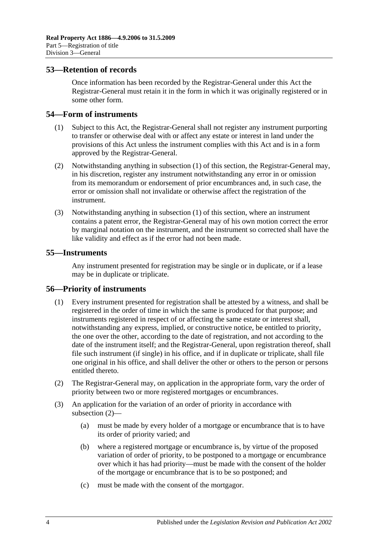#### <span id="page-29-0"></span>**53—Retention of records**

Once information has been recorded by the Registrar-General under this Act the Registrar-General must retain it in the form in which it was originally registered or in some other form.

#### <span id="page-29-4"></span><span id="page-29-1"></span>**54—Form of instruments**

- (1) Subject to this Act, the Registrar-General shall not register any instrument purporting to transfer or otherwise deal with or affect any estate or interest in land under the provisions of this Act unless the instrument complies with this Act and is in a form approved by the Registrar-General.
- (2) Notwithstanding anything in [subsection](#page-29-4) (1) of this section, the Registrar-General may, in his discretion, register any instrument notwithstanding any error in or omission from its memorandum or endorsement of prior encumbrances and, in such case, the error or omission shall not invalidate or otherwise affect the registration of the instrument.
- (3) Notwithstanding anything in [subsection](#page-29-4) (1) of this section, where an instrument contains a patent error, the Registrar-General may of his own motion correct the error by marginal notation on the instrument, and the instrument so corrected shall have the like validity and effect as if the error had not been made.

### <span id="page-29-2"></span>**55—Instruments**

Any instrument presented for registration may be single or in duplicate, or if a lease may be in duplicate or triplicate.

## <span id="page-29-3"></span>**56—Priority of instruments**

- (1) Every instrument presented for registration shall be attested by a witness, and shall be registered in the order of time in which the same is produced for that purpose; and instruments registered in respect of or affecting the same estate or interest shall, notwithstanding any express, implied, or constructive notice, be entitled to priority, the one over the other, according to the date of registration, and not according to the date of the instrument itself; and the Registrar-General, upon registration thereof, shall file such instrument (if single) in his office, and if in duplicate or triplicate, shall file one original in his office, and shall deliver the other or others to the person or persons entitled thereto.
- <span id="page-29-5"></span>(2) The Registrar-General may, on application in the appropriate form, vary the order of priority between two or more registered mortgages or encumbrances.
- (3) An application for the variation of an order of priority in accordance with [subsection](#page-29-5) (2)—
	- (a) must be made by every holder of a mortgage or encumbrance that is to have its order of priority varied; and
	- (b) where a registered mortgage or encumbrance is, by virtue of the proposed variation of order of priority, to be postponed to a mortgage or encumbrance over which it has had priority—must be made with the consent of the holder of the mortgage or encumbrance that is to be so postponed; and
	- (c) must be made with the consent of the mortgagor.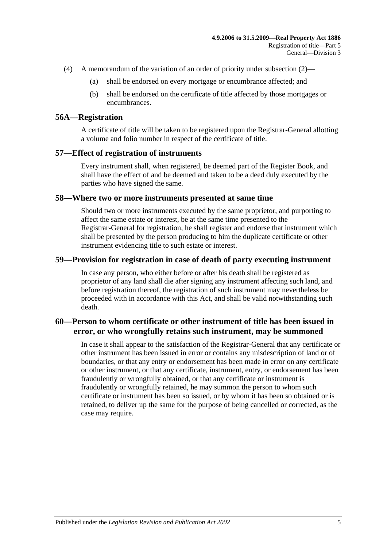- (4) A memorandum of the variation of an order of priority under [subsection](#page-29-5) (2)—
	- (a) shall be endorsed on every mortgage or encumbrance affected; and
	- (b) shall be endorsed on the certificate of title affected by those mortgages or encumbrances.

#### <span id="page-30-0"></span>**56A—Registration**

A certificate of title will be taken to be registered upon the Registrar-General allotting a volume and folio number in respect of the certificate of title.

#### <span id="page-30-1"></span>**57—Effect of registration of instruments**

Every instrument shall, when registered, be deemed part of the Register Book, and shall have the effect of and be deemed and taken to be a deed duly executed by the parties who have signed the same.

#### <span id="page-30-2"></span>**58—Where two or more instruments presented at same time**

Should two or more instruments executed by the same proprietor, and purporting to affect the same estate or interest, be at the same time presented to the Registrar-General for registration, he shall register and endorse that instrument which shall be presented by the person producing to him the duplicate certificate or other instrument evidencing title to such estate or interest.

#### <span id="page-30-3"></span>**59—Provision for registration in case of death of party executing instrument**

In case any person, who either before or after his death shall be registered as proprietor of any land shall die after signing any instrument affecting such land, and before registration thereof, the registration of such instrument may nevertheless be proceeded with in accordance with this Act, and shall be valid notwithstanding such death.

## <span id="page-30-4"></span>**60—Person to whom certificate or other instrument of title has been issued in error, or who wrongfully retains such instrument, may be summoned**

In case it shall appear to the satisfaction of the Registrar-General that any certificate or other instrument has been issued in error or contains any misdescription of land or of boundaries, or that any entry or endorsement has been made in error on any certificate or other instrument, or that any certificate, instrument, entry, or endorsement has been fraudulently or wrongfully obtained, or that any certificate or instrument is fraudulently or wrongfully retained, he may summon the person to whom such certificate or instrument has been so issued, or by whom it has been so obtained or is retained, to deliver up the same for the purpose of being cancelled or corrected, as the case may require.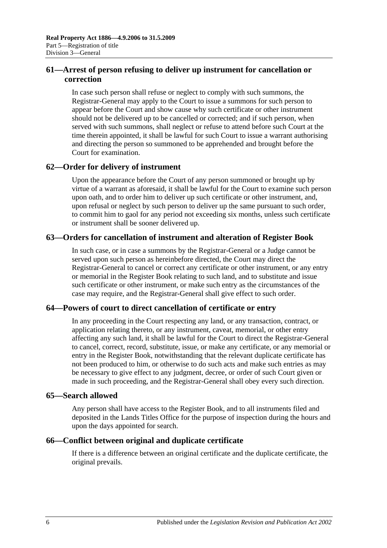## <span id="page-31-0"></span>**61—Arrest of person refusing to deliver up instrument for cancellation or correction**

In case such person shall refuse or neglect to comply with such summons, the Registrar-General may apply to the Court to issue a summons for such person to appear before the Court and show cause why such certificate or other instrument should not be delivered up to be cancelled or corrected; and if such person, when served with such summons, shall neglect or refuse to attend before such Court at the time therein appointed, it shall be lawful for such Court to issue a warrant authorising and directing the person so summoned to be apprehended and brought before the Court for examination.

## <span id="page-31-1"></span>**62—Order for delivery of instrument**

Upon the appearance before the Court of any person summoned or brought up by virtue of a warrant as aforesaid, it shall be lawful for the Court to examine such person upon oath, and to order him to deliver up such certificate or other instrument, and, upon refusal or neglect by such person to deliver up the same pursuant to such order, to commit him to gaol for any period not exceeding six months, unless such certificate or instrument shall be sooner delivered up.

## <span id="page-31-2"></span>**63—Orders for cancellation of instrument and alteration of Register Book**

In such case, or in case a summons by the Registrar-General or a Judge cannot be served upon such person as hereinbefore directed, the Court may direct the Registrar-General to cancel or correct any certificate or other instrument, or any entry or memorial in the Register Book relating to such land, and to substitute and issue such certificate or other instrument, or make such entry as the circumstances of the case may require, and the Registrar-General shall give effect to such order.

## <span id="page-31-3"></span>**64—Powers of court to direct cancellation of certificate or entry**

In any proceeding in the Court respecting any land, or any transaction, contract, or application relating thereto, or any instrument, caveat, memorial, or other entry affecting any such land, it shall be lawful for the Court to direct the Registrar-General to cancel, correct, record, substitute, issue, or make any certificate, or any memorial or entry in the Register Book, notwithstanding that the relevant duplicate certificate has not been produced to him, or otherwise to do such acts and make such entries as may be necessary to give effect to any judgment, decree, or order of such Court given or made in such proceeding, and the Registrar-General shall obey every such direction.

### <span id="page-31-4"></span>**65—Search allowed**

Any person shall have access to the Register Book, and to all instruments filed and deposited in the Lands Titles Office for the purpose of inspection during the hours and upon the days appointed for search.

## <span id="page-31-5"></span>**66—Conflict between original and duplicate certificate**

If there is a difference between an original certificate and the duplicate certificate, the original prevails.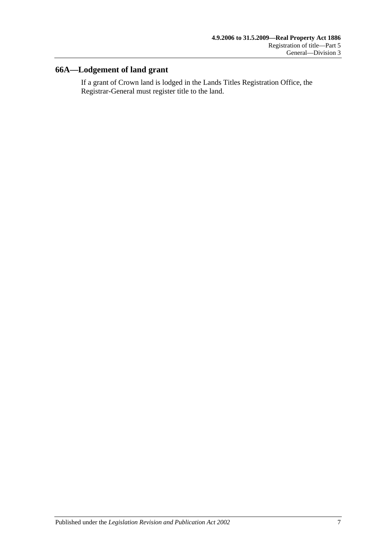## <span id="page-32-0"></span>**66A—Lodgement of land grant**

If a grant of Crown land is lodged in the Lands Titles Registration Office, the Registrar-General must register title to the land.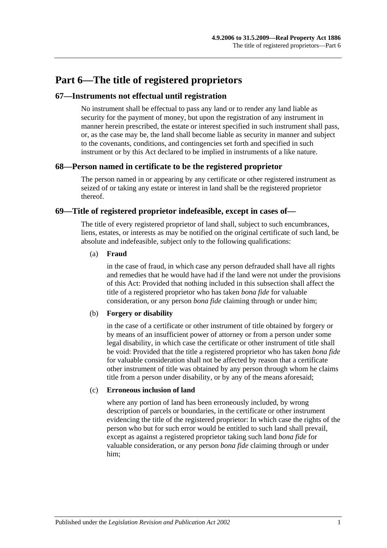## <span id="page-34-0"></span>**Part 6—The title of registered proprietors**

### <span id="page-34-1"></span>**67—Instruments not effectual until registration**

No instrument shall be effectual to pass any land or to render any land liable as security for the payment of money, but upon the registration of any instrument in manner herein prescribed, the estate or interest specified in such instrument shall pass, or, as the case may be, the land shall become liable as security in manner and subject to the covenants, conditions, and contingencies set forth and specified in such instrument or by this Act declared to be implied in instruments of a like nature.

#### <span id="page-34-2"></span>**68—Person named in certificate to be the registered proprietor**

The person named in or appearing by any certificate or other registered instrument as seized of or taking any estate or interest in land shall be the registered proprietor thereof.

#### <span id="page-34-3"></span>**69—Title of registered proprietor indefeasible, except in cases of—**

The title of every registered proprietor of land shall, subject to such encumbrances, liens, estates, or interests as may be notified on the original certificate of such land, be absolute and indefeasible, subject only to the following qualifications:

#### (a) **Fraud**

in the case of fraud, in which case any person defrauded shall have all rights and remedies that he would have had if the land were not under the provisions of this Act: Provided that nothing included in this subsection shall affect the title of a registered proprietor who has taken *bona fide* for valuable consideration, or any person *bona fide* claiming through or under him;

#### (b) **Forgery or disability**

in the case of a certificate or other instrument of title obtained by forgery or by means of an insufficient power of attorney or from a person under some legal disability, in which case the certificate or other instrument of title shall be void: Provided that the title a registered proprietor who has taken *bona fide* for valuable consideration shall not be affected by reason that a certificate other instrument of title was obtained by any person through whom he claims title from a person under disability, or by any of the means aforesaid;

#### (c) **Erroneous inclusion of land**

where any portion of land has been erroneously included, by wrong description of parcels or boundaries, in the certificate or other instrument evidencing the title of the registered proprietor: In which case the rights of the person who but for such error would be entitled to such land shall prevail, except as against a registered proprietor taking such land *bona fide* for valuable consideration, or any person *bona fide* claiming through or under him;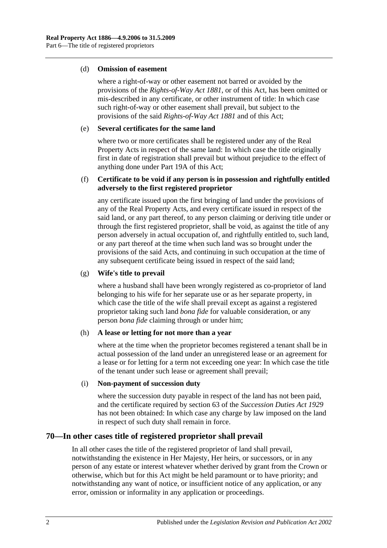#### (d) **Omission of easement**

where a right-of-way or other easement not barred or avoided by the provisions of the *[Rights-of-Way Act](http://www.legislation.sa.gov.au/index.aspx?action=legref&type=act&legtitle=Rights-of-Way%20Act%201881) 1881*, or of this Act, has been omitted or mis-described in any certificate, or other instrument of title: In which case such right-of-way or other easement shall prevail, but subject to the provisions of the said *[Rights-of-Way Act](http://www.legislation.sa.gov.au/index.aspx?action=legref&type=act&legtitle=Rights-of-Way%20Act%201881) 1881* and of this Act;

#### (e) **Several certificates for the same land**

where two or more certificates shall be registered under any of the Real Property Acts in respect of the same land: In which case the title originally first in date of registration shall prevail but without prejudice to the effect of anything done under [Part 19A](#page-100-0) of this Act;

#### (f) **Certificate to be void if any person is in possession and rightfully entitled adversely to the first registered proprietor**

any certificate issued upon the first bringing of land under the provisions of any of the Real Property Acts, and every certificate issued in respect of the said land, or any part thereof, to any person claiming or deriving title under or through the first registered proprietor, shall be void, as against the title of any person adversely in actual occupation of, and rightfully entitled to, such land, or any part thereof at the time when such land was so brought under the provisions of the said Acts, and continuing in such occupation at the time of any subsequent certificate being issued in respect of the said land;

#### (g) **Wife's title to prevail**

where a husband shall have been wrongly registered as co-proprietor of land belonging to his wife for her separate use or as her separate property, in which case the title of the wife shall prevail except as against a registered proprietor taking such land *bona fide* for valuable consideration, or any person *bona fide* claiming through or under him;

#### (h) **A lease or letting for not more than a year**

where at the time when the proprietor becomes registered a tenant shall be in actual possession of the land under an unregistered lease or an agreement for a lease or for letting for a term not exceeding one year: In which case the title of the tenant under such lease or agreement shall prevail;

#### (i) **Non-payment of succession duty**

where the succession duty payable in respect of the land has not been paid, and the certificate required by section 63 of the *[Succession Duties Act](http://www.legislation.sa.gov.au/index.aspx?action=legref&type=act&legtitle=Succession%20Duties%20Act%201929) 1929* has not been obtained: In which case any charge by law imposed on the land in respect of such duty shall remain in force.

## <span id="page-35-0"></span>**70—In other cases title of registered proprietor shall prevail**

In all other cases the title of the registered proprietor of land shall prevail, notwithstanding the existence in Her Majesty, Her heirs, or successors, or in any person of any estate or interest whatever whether derived by grant from the Crown or otherwise, which but for this Act might be held paramount or to have priority; and notwithstanding any want of notice, or insufficient notice of any application, or any error, omission or informality in any application or proceedings.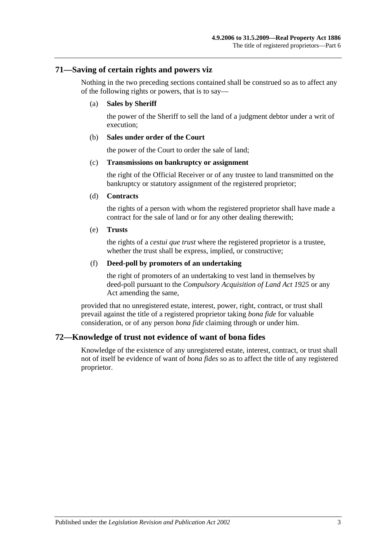## **71—Saving of certain rights and powers viz**

Nothing in the two preceding sections contained shall be construed so as to affect any of the following rights or powers, that is to say—

#### (a) **Sales by Sheriff**

the power of the Sheriff to sell the land of a judgment debtor under a writ of execution;

#### (b) **Sales under order of the Court**

the power of the Court to order the sale of land;

#### (c) **Transmissions on bankruptcy or assignment**

the right of the Official Receiver or of any trustee to land transmitted on the bankruptcy or statutory assignment of the registered proprietor;

#### (d) **Contracts**

the rights of a person with whom the registered proprietor shall have made a contract for the sale of land or for any other dealing therewith;

#### (e) **Trusts**

the rights of a *cestui que trust* where the registered proprietor is a trustee, whether the trust shall be express, implied, or constructive;

#### (f) **Deed-poll by promoters of an undertaking**

the right of promoters of an undertaking to vest land in themselves by deed-poll pursuant to the *[Compulsory Acquisition of Land Act](http://www.legislation.sa.gov.au/index.aspx?action=legref&type=act&legtitle=Compulsory%20Acquisition%20of%20Land%20Act%201925) 1925* or any Act amending the same,

provided that no unregistered estate, interest, power, right, contract, or trust shall prevail against the title of a registered proprietor taking *bona fide* for valuable consideration, or of any person *bona fide* claiming through or under him.

## **72—Knowledge of trust not evidence of want of bona fides**

Knowledge of the existence of any unregistered estate, interest, contract, or trust shall not of itself be evidence of want of *bona fides* so as to affect the title of any registered proprietor.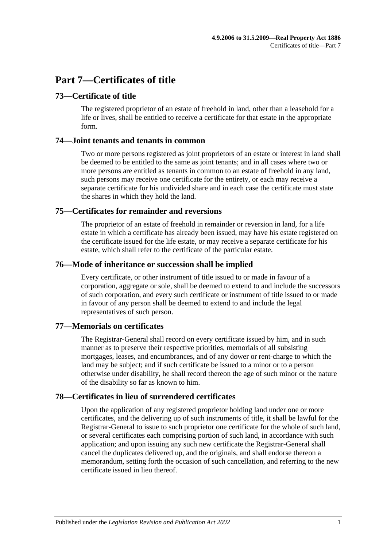# **Part 7—Certificates of title**

## **73—Certificate of title**

The registered proprietor of an estate of freehold in land, other than a leasehold for a life or lives, shall be entitled to receive a certificate for that estate in the appropriate form.

## **74—Joint tenants and tenants in common**

Two or more persons registered as joint proprietors of an estate or interest in land shall be deemed to be entitled to the same as joint tenants; and in all cases where two or more persons are entitled as tenants in common to an estate of freehold in any land, such persons may receive one certificate for the entirety, or each may receive a separate certificate for his undivided share and in each case the certificate must state the shares in which they hold the land.

## **75—Certificates for remainder and reversions**

The proprietor of an estate of freehold in remainder or reversion in land, for a life estate in which a certificate has already been issued, may have his estate registered on the certificate issued for the life estate, or may receive a separate certificate for his estate, which shall refer to the certificate of the particular estate.

## **76—Mode of inheritance or succession shall be implied**

Every certificate, or other instrument of title issued to or made in favour of a corporation, aggregate or sole, shall be deemed to extend to and include the successors of such corporation, and every such certificate or instrument of title issued to or made in favour of any person shall be deemed to extend to and include the legal representatives of such person.

## **77—Memorials on certificates**

The Registrar-General shall record on every certificate issued by him, and in such manner as to preserve their respective priorities, memorials of all subsisting mortgages, leases, and encumbrances, and of any dower or rent-charge to which the land may be subject; and if such certificate be issued to a minor or to a person otherwise under disability, he shall record thereon the age of such minor or the nature of the disability so far as known to him.

## **78—Certificates in lieu of surrendered certificates**

Upon the application of any registered proprietor holding land under one or more certificates, and the delivering up of such instruments of title, it shall be lawful for the Registrar-General to issue to such proprietor one certificate for the whole of such land, or several certificates each comprising portion of such land, in accordance with such application; and upon issuing any such new certificate the Registrar-General shall cancel the duplicates delivered up, and the originals, and shall endorse thereon a memorandum, setting forth the occasion of such cancellation, and referring to the new certificate issued in lieu thereof.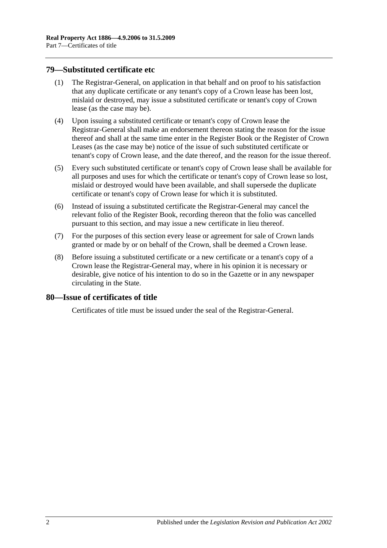## <span id="page-39-0"></span>**79—Substituted certificate etc**

- (1) The Registrar-General, on application in that behalf and on proof to his satisfaction that any duplicate certificate or any tenant's copy of a Crown lease has been lost, mislaid or destroyed, may issue a substituted certificate or tenant's copy of Crown lease (as the case may be).
- (4) Upon issuing a substituted certificate or tenant's copy of Crown lease the Registrar-General shall make an endorsement thereon stating the reason for the issue thereof and shall at the same time enter in the Register Book or the Register of Crown Leases (as the case may be) notice of the issue of such substituted certificate or tenant's copy of Crown lease, and the date thereof, and the reason for the issue thereof.
- (5) Every such substituted certificate or tenant's copy of Crown lease shall be available for all purposes and uses for which the certificate or tenant's copy of Crown lease so lost, mislaid or destroyed would have been available, and shall supersede the duplicate certificate or tenant's copy of Crown lease for which it is substituted.
- (6) Instead of issuing a substituted certificate the Registrar-General may cancel the relevant folio of the Register Book, recording thereon that the folio was cancelled pursuant to this section, and may issue a new certificate in lieu thereof.
- (7) For the purposes of this section every lease or agreement for sale of Crown lands granted or made by or on behalf of the Crown, shall be deemed a Crown lease.
- (8) Before issuing a substituted certificate or a new certificate or a tenant's copy of a Crown lease the Registrar-General may, where in his opinion it is necessary or desirable, give notice of his intention to do so in the Gazette or in any newspaper circulating in the State.

## **80—Issue of certificates of title**

Certificates of title must be issued under the seal of the Registrar-General.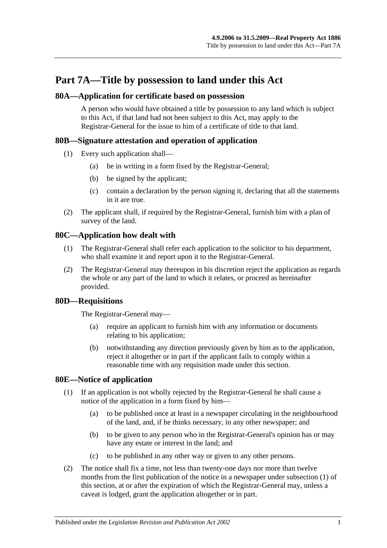# **Part 7A—Title by possession to land under this Act**

## **80A—Application for certificate based on possession**

A person who would have obtained a title by possession to any land which is subject to this Act, if that land had not been subject to this Act, may apply to the Registrar-General for the issue to him of a certificate of title to that land.

# **80B—Signature attestation and operation of application**

- (1) Every such application shall—
	- (a) be in writing in a form fixed by the Registrar-General;
	- (b) be signed by the applicant;
	- (c) contain a declaration by the person signing it, declaring that all the statements in it are true.
- (2) The applicant shall, if required by the Registrar-General, furnish him with a plan of survey of the land.

# **80C—Application how dealt with**

- (1) The Registrar-General shall refer each application to the solicitor to his department, who shall examine it and report upon it to the Registrar-General.
- (2) The Registrar-General may thereupon in his discretion reject the application as regards the whole or any part of the land to which it relates, or proceed as hereinafter provided.

# **80D—Requisitions**

The Registrar-General may—

- (a) require an applicant to furnish him with any information or documents relating to his application;
- (b) notwithstanding any direction previously given by him as to the application, reject it altogether or in part if the applicant fails to comply within a reasonable time with any requisition made under this section.

# <span id="page-40-1"></span><span id="page-40-0"></span>**80E—Notice of application**

- (1) If an application is not wholly rejected by the Registrar-General he shall cause a notice of the application in a form fixed by him—
	- (a) to be published once at least in a newspaper circulating in the neighbourhood of the land, and, if he thinks necessary, in any other newspaper; and
	- (b) to be given to any person who in the Registrar-General's opinion has or may have any estate or interest in the land; and
	- (c) to be published in any other way or given to any other persons.
- (2) The notice shall fix a time, not less than twenty-one days nor more than twelve months from the first publication of the notice in a newspaper under [subsection](#page-40-0) (1) of this section, at or after the expiration of which the Registrar-General may, unless a caveat is lodged, grant the application altogether or in part.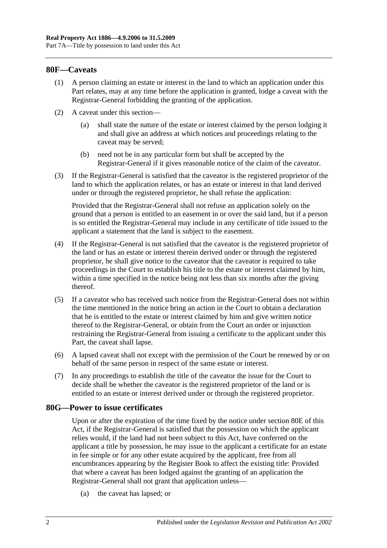## **80F—Caveats**

- (1) A person claiming an estate or interest in the land to which an application under this Part relates, may at any time before the application is granted, lodge a caveat with the Registrar-General forbidding the granting of the application.
- (2) A caveat under this section—
	- (a) shall state the nature of the estate or interest claimed by the person lodging it and shall give an address at which notices and proceedings relating to the caveat may be served;
	- (b) need not be in any particular form but shall be accepted by the Registrar-General if it gives reasonable notice of the claim of the caveator.
- (3) If the Registrar-General is satisfied that the caveator is the registered proprietor of the land to which the application relates, or has an estate or interest in that land derived under or through the registered proprietor, he shall refuse the application:

Provided that the Registrar-General shall not refuse an application solely on the ground that a person is entitled to an easement in or over the said land, but if a person is so entitled the Registrar-General may include in any certificate of title issued to the applicant a statement that the land is subject to the easement.

- (4) If the Registrar-General is not satisfied that the caveator is the registered proprietor of the land or has an estate or interest therein derived under or through the registered proprietor, he shall give notice to the caveator that the caveator is required to take proceedings in the Court to establish his title to the estate or interest claimed by him, within a time specified in the notice being not less than six months after the giving thereof.
- (5) If a caveator who has received such notice from the Registrar-General does not within the time mentioned in the notice bring an action in the Court to obtain a declaration that he is entitled to the estate or interest claimed by him and give written notice thereof to the Registrar-General, or obtain from the Court an order or injunction restraining the Registrar-General from issuing a certificate to the applicant under this Part, the caveat shall lapse.
- (6) A lapsed caveat shall not except with the permission of the Court be renewed by or on behalf of the same person in respect of the same estate or interest.
- (7) In any proceedings to establish the title of the caveator the issue for the Court to decide shall be whether the caveator is the registered proprietor of the land or is entitled to an estate or interest derived under or through the registered proprietor.

#### **80G—Power to issue certificates**

Upon or after the expiration of the time fixed by the notice under [section](#page-40-1) 80E of this Act, if the Registrar-General is satisfied that the possession on which the applicant relies would, if the land had not been subject to this Act, have conferred on the applicant a title by possession, he may issue to the applicant a certificate for an estate in fee simple or for any other estate acquired by the applicant, free from all encumbrances appearing by the Register Book to affect the existing title: Provided that where a caveat has been lodged against the granting of an application the Registrar-General shall not grant that application unless—

(a) the caveat has lapsed; or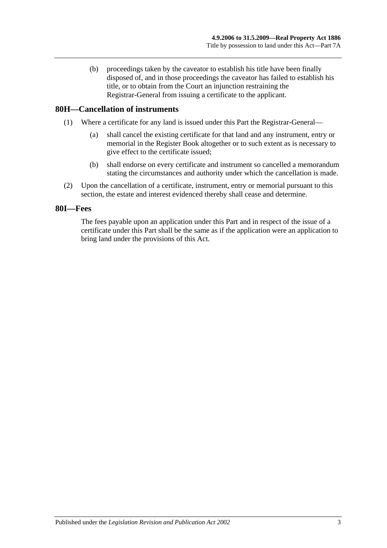(b) proceedings taken by the caveator to establish his title have been finally disposed of, and in those proceedings the caveator has failed to establish his title, or to obtain from the Court an injunction restraining the Registrar-General from issuing a certificate to the applicant.

## **80H—Cancellation of instruments**

- (1) Where a certificate for any land is issued under this Part the Registrar-General—
	- (a) shall cancel the existing certificate for that land and any instrument, entry or memorial in the Register Book altogether or to such extent as is necessary to give effect to the certificate issued;
	- (b) shall endorse on every certificate and instrument so cancelled a memorandum stating the circumstances and authority under which the cancellation is made.
- (2) Upon the cancellation of a certificate, instrument, entry or memorial pursuant to this section, the estate and interest evidenced thereby shall cease and determine.

#### **80I—Fees**

The fees payable upon an application under this Part and in respect of the issue of a certificate under this Part shall be the same as if the application were an application to bring land under the provisions of this Act.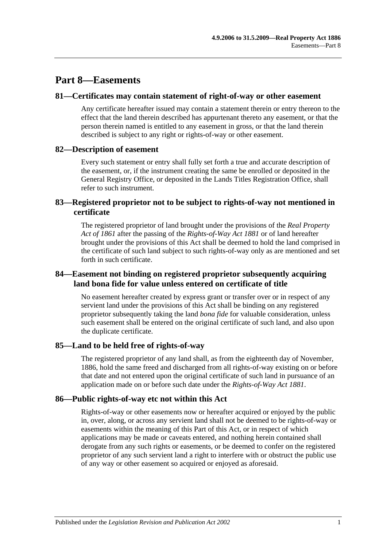# **Part 8—Easements**

## **81—Certificates may contain statement of right-of-way or other easement**

Any certificate hereafter issued may contain a statement therein or entry thereon to the effect that the land therein described has appurtenant thereto any easement, or that the person therein named is entitled to any easement in gross, or that the land therein described is subject to any right or rights-of-way or other easement.

## **82—Description of easement**

Every such statement or entry shall fully set forth a true and accurate description of the easement, or, if the instrument creating the same be enrolled or deposited in the General Registry Office, or deposited in the Lands Titles Registration Office, shall refer to such instrument.

## **83—Registered proprietor not to be subject to rights-of-way not mentioned in certificate**

The registered proprietor of land brought under the provisions of the *[Real Property](http://www.legislation.sa.gov.au/index.aspx?action=legref&type=act&legtitle=Real%20Property%20Act%20of%201861)  [Act of](http://www.legislation.sa.gov.au/index.aspx?action=legref&type=act&legtitle=Real%20Property%20Act%20of%201861) 1861* after the passing of the *[Rights-of-Way Act](http://www.legislation.sa.gov.au/index.aspx?action=legref&type=act&legtitle=Rights-of-Way%20Act%201881) 1881* or of land hereafter brought under the provisions of this Act shall be deemed to hold the land comprised in the certificate of such land subject to such rights-of-way only as are mentioned and set forth in such certificate.

# **84—Easement not binding on registered proprietor subsequently acquiring land bona fide for value unless entered on certificate of title**

No easement hereafter created by express grant or transfer over or in respect of any servient land under the provisions of this Act shall be binding on any registered proprietor subsequently taking the land *bona fide* for valuable consideration, unless such easement shall be entered on the original certificate of such land, and also upon the duplicate certificate.

## **85—Land to be held free of rights-of-way**

The registered proprietor of any land shall, as from the eighteenth day of November, 1886, hold the same freed and discharged from all rights-of-way existing on or before that date and not entered upon the original certificate of such land in pursuance of an application made on or before such date under the *[Rights-of-Way Act](http://www.legislation.sa.gov.au/index.aspx?action=legref&type=act&legtitle=Rights-of-Way%20Act%201881) 1881*.

## **86—Public rights-of-way etc not within this Act**

Rights-of-way or other easements now or hereafter acquired or enjoyed by the public in, over, along, or across any servient land shall not be deemed to be rights-of-way or easements within the meaning of this Part of this Act, or in respect of which applications may be made or caveats entered, and nothing herein contained shall derogate from any such rights or easements, or be deemed to confer on the registered proprietor of any such servient land a right to interfere with or obstruct the public use of any way or other easement so acquired or enjoyed as aforesaid.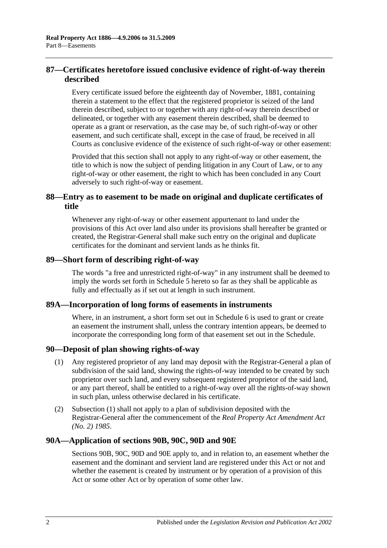# **87—Certificates heretofore issued conclusive evidence of right-of-way therein described**

Every certificate issued before the eighteenth day of November, 1881, containing therein a statement to the effect that the registered proprietor is seized of the land therein described, subject to or together with any right-of-way therein described or delineated, or together with any easement therein described, shall be deemed to operate as a grant or reservation, as the case may be, of such right-of-way or other easement, and such certificate shall, except in the case of fraud, be received in all Courts as conclusive evidence of the existence of such right-of-way or other easement:

Provided that this section shall not apply to any right-of-way or other easement, the title to which is now the subject of pending litigation in any Court of Law, or to any right-of-way or other easement, the right to which has been concluded in any Court adversely to such right-of-way or easement.

## **88—Entry as to easement to be made on original and duplicate certificates of title**

Whenever any right-of-way or other easement appurtenant to land under the provisions of this Act over land also under its provisions shall hereafter be granted or created, the Registrar-General shall make such entry on the original and duplicate certificates for the dominant and servient lands as he thinks fit.

## **89—Short form of describing right-of-way**

The words "a free and unrestricted right-of-way" in any instrument shall be deemed to imply the words set forth in [Schedule 5](#page-136-0) hereto so far as they shall be applicable as fully and effectually as if set out at length in such instrument.

## **89A—Incorporation of long forms of easements in instruments**

Where, in an instrument, a short form set out in [Schedule 6](#page-136-1) is used to grant or create an easement the instrument shall, unless the contrary intention appears, be deemed to incorporate the corresponding long form of that easement set out in the Schedule.

## <span id="page-45-0"></span>**90—Deposit of plan showing rights-of-way**

- (1) Any registered proprietor of any land may deposit with the Registrar-General a plan of subdivision of the said land, showing the rights-of-way intended to be created by such proprietor over such land, and every subsequent registered proprietor of the said land, or any part thereof, shall be entitled to a right-of-way over all the rights-of-way shown in such plan, unless otherwise declared in his certificate.
- (2) [Subsection](#page-45-0) (1) shall not apply to a plan of subdivision deposited with the Registrar-General after the commencement of the *[Real Property Act Amendment Act](http://www.legislation.sa.gov.au/index.aspx?action=legref&type=act&legtitle=Real%20Property%20Act%20Amendment%20Act%20(No.%202)%201985)  (No. 2) [1985](http://www.legislation.sa.gov.au/index.aspx?action=legref&type=act&legtitle=Real%20Property%20Act%20Amendment%20Act%20(No.%202)%201985)*.

## **90A—Application of [sections](#page-46-0) 90B, [90C,](#page-48-0) [90D](#page-49-0) and [90E](#page-49-1)**

[Sections](#page-46-0) 90B, [90C,](#page-48-0) [90D](#page-49-0) and [90E](#page-49-1) apply to, and in relation to, an easement whether the easement and the dominant and servient land are registered under this Act or not and whether the easement is created by instrument or by operation of a provision of this Act or some other Act or by operation of some other law.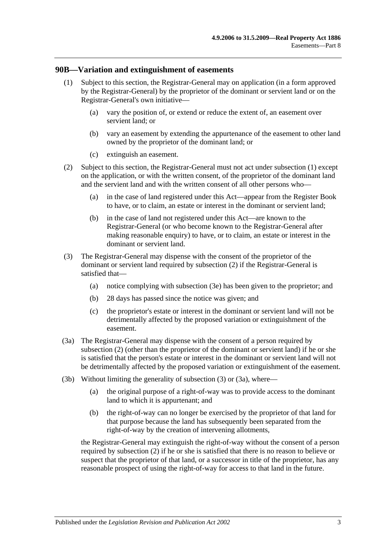#### <span id="page-46-1"></span><span id="page-46-0"></span>**90B—Variation and extinguishment of easements**

- (1) Subject to this section, the Registrar-General may on application (in a form approved by the Registrar-General) by the proprietor of the dominant or servient land or on the Registrar-General's own initiative—
	- (a) vary the position of, or extend or reduce the extent of, an easement over servient land; or
	- (b) vary an easement by extending the appurtenance of the easement to other land owned by the proprietor of the dominant land; or
	- (c) extinguish an easement.
- <span id="page-46-2"></span>(2) Subject to this section, the Registrar-General must not act under [subsection](#page-46-1) (1) except on the application, or with the written consent, of the proprietor of the dominant land and the servient land and with the written consent of all other persons who—
	- (a) in the case of land registered under this Act—appear from the Register Book to have, or to claim, an estate or interest in the dominant or servient land;
	- (b) in the case of land not registered under this Act—are known to the Registrar-General (or who become known to the Registrar-General after making reasonable enquiry) to have, or to claim, an estate or interest in the dominant or servient land.
- <span id="page-46-3"></span>(3) The Registrar-General may dispense with the consent of the proprietor of the dominant or servient land required by [subsection](#page-46-2) (2) if the Registrar-General is satisfied that—
	- (a) notice complying with [subsection](#page-47-0) (3e) has been given to the proprietor; and
	- (b) 28 days has passed since the notice was given; and
	- (c) the proprietor's estate or interest in the dominant or servient land will not be detrimentally affected by the proposed variation or extinguishment of the easement.
- <span id="page-46-4"></span>(3a) The Registrar-General may dispense with the consent of a person required by [subsection](#page-46-2) (2) (other than the proprietor of the dominant or servient land) if he or she is satisfied that the person's estate or interest in the dominant or servient land will not be detrimentally affected by the proposed variation or extinguishment of the easement.
- <span id="page-46-5"></span>(3b) Without limiting the generality of [subsection](#page-46-3) (3) or [\(3a\),](#page-46-4) where—
	- (a) the original purpose of a right-of-way was to provide access to the dominant land to which it is appurtenant; and
	- (b) the right-of-way can no longer be exercised by the proprietor of that land for that purpose because the land has subsequently been separated from the right-of-way by the creation of intervening allotments,

the Registrar-General may extinguish the right-of-way without the consent of a person required by [subsection](#page-46-2) (2) if he or she is satisfied that there is no reason to believe or suspect that the proprietor of that land, or a successor in title of the proprietor, has any reasonable prospect of using the right-of-way for access to that land in the future.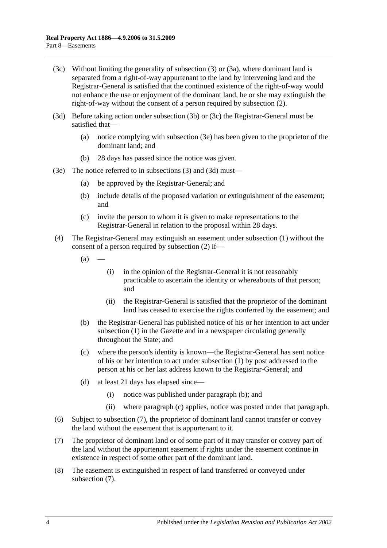- <span id="page-47-1"></span>(3c) Without limiting the generality of [subsection](#page-46-3) (3) or [\(3a\),](#page-46-4) where dominant land is separated from a right-of-way appurtenant to the land by intervening land and the Registrar-General is satisfied that the continued existence of the right-of-way would not enhance the use or enjoyment of the dominant land, he or she may extinguish the right-of-way without the consent of a person required by [subsection](#page-46-2) (2).
- <span id="page-47-2"></span>(3d) Before taking action under [subsection](#page-46-5) (3b) or [\(3c\)](#page-47-1) the Registrar-General must be satisfied that—
	- (a) notice complying with [subsection](#page-47-0) (3e) has been given to the proprietor of the dominant land; and
	- (b) 28 days has passed since the notice was given.
- <span id="page-47-0"></span>(3e) The notice referred to in [subsections](#page-46-3) (3) and [\(3d\)](#page-47-2) must—
	- (a) be approved by the Registrar-General; and
	- (b) include details of the proposed variation or extinguishment of the easement; and
	- (c) invite the person to whom it is given to make representations to the Registrar-General in relation to the proposal within 28 days.
- (4) The Registrar-General may extinguish an easement under [subsection](#page-46-1) (1) without the consent of a person required by [subsection](#page-46-2) (2) if—
	- $(a)$
- (i) in the opinion of the Registrar-General it is not reasonably practicable to ascertain the identity or whereabouts of that person; and
- (ii) the Registrar-General is satisfied that the proprietor of the dominant land has ceased to exercise the rights conferred by the easement; and
- <span id="page-47-3"></span>(b) the Registrar-General has published notice of his or her intention to act under [subsection](#page-46-1) (1) in the Gazette and in a newspaper circulating generally throughout the State; and
- <span id="page-47-4"></span>(c) where the person's identity is known—the Registrar-General has sent notice of his or her intention to act under [subsection](#page-46-1) (1) by post addressed to the person at his or her last address known to the Registrar-General; and
- (d) at least 21 days has elapsed since—
	- (i) notice was published under [paragraph](#page-47-3) (b); and
	- (ii) where [paragraph](#page-47-4) (c) applies, notice was posted under that paragraph.
- (6) Subject to [subsection](#page-47-5) (7), the proprietor of dominant land cannot transfer or convey the land without the easement that is appurtenant to it.
- <span id="page-47-5"></span>(7) The proprietor of dominant land or of some part of it may transfer or convey part of the land without the appurtenant easement if rights under the easement continue in existence in respect of some other part of the dominant land.
- (8) The easement is extinguished in respect of land transferred or conveyed under [subsection](#page-47-5) (7).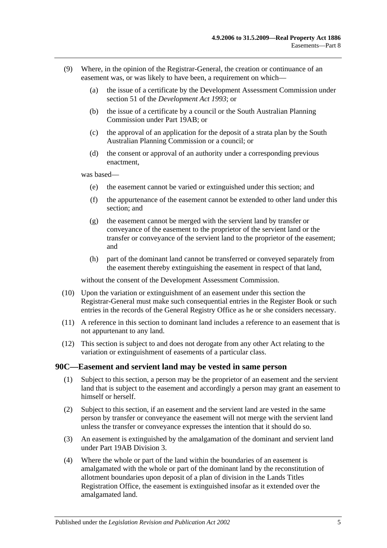- (9) Where, in the opinion of the Registrar-General, the creation or continuance of an easement was, or was likely to have been, a requirement on which—
	- (a) the issue of a certificate by the Development Assessment Commission under section 51 of the *[Development Act](http://www.legislation.sa.gov.au/index.aspx?action=legref&type=act&legtitle=Development%20Act%201993) 1993*; or
	- (b) the issue of a certificate by a council or the South Australian Planning Commission under [Part 19AB;](#page-104-0) or
	- (c) the approval of an application for the deposit of a strata plan by the South Australian Planning Commission or a council; or
	- (d) the consent or approval of an authority under a corresponding previous enactment,

was based—

- (e) the easement cannot be varied or extinguished under this section; and
- (f) the appurtenance of the easement cannot be extended to other land under this section; and
- (g) the easement cannot be merged with the servient land by transfer or conveyance of the easement to the proprietor of the servient land or the transfer or conveyance of the servient land to the proprietor of the easement; and
- (h) part of the dominant land cannot be transferred or conveyed separately from the easement thereby extinguishing the easement in respect of that land,

without the consent of the Development Assessment Commission.

- (10) Upon the variation or extinguishment of an easement under this section the Registrar-General must make such consequential entries in the Register Book or such entries in the records of the General Registry Office as he or she considers necessary.
- (11) A reference in this section to dominant land includes a reference to an easement that is not appurtenant to any land.
- (12) This section is subject to and does not derogate from any other Act relating to the variation or extinguishment of easements of a particular class.

#### <span id="page-48-0"></span>**90C—Easement and servient land may be vested in same person**

- (1) Subject to this section, a person may be the proprietor of an easement and the servient land that is subject to the easement and accordingly a person may grant an easement to himself or herself.
- (2) Subject to this section, if an easement and the servient land are vested in the same person by transfer or conveyance the easement will not merge with the servient land unless the transfer or conveyance expresses the intention that it should do so.
- (3) An easement is extinguished by the amalgamation of the dominant and servient land under [Part 19AB](#page-104-0) [Division 3.](#page-112-0)
- (4) Where the whole or part of the land within the boundaries of an easement is amalgamated with the whole or part of the dominant land by the reconstitution of allotment boundaries upon deposit of a plan of division in the Lands Titles Registration Office, the easement is extinguished insofar as it extended over the amalgamated land.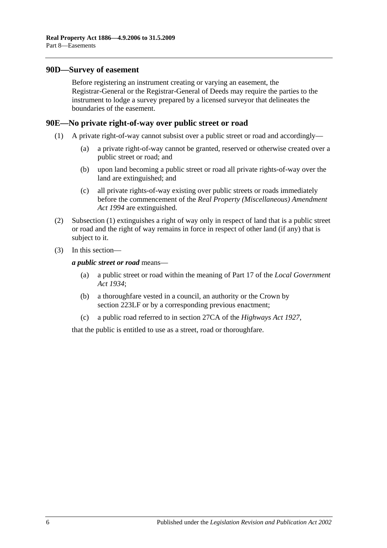#### <span id="page-49-0"></span>**90D—Survey of easement**

Before registering an instrument creating or varying an easement, the Registrar-General or the Registrar-General of Deeds may require the parties to the instrument to lodge a survey prepared by a licensed surveyor that delineates the boundaries of the easement.

#### <span id="page-49-2"></span><span id="page-49-1"></span>**90E—No private right-of-way over public street or road**

- (1) A private right-of-way cannot subsist over a public street or road and accordingly—
	- (a) a private right-of-way cannot be granted, reserved or otherwise created over a public street or road; and
	- (b) upon land becoming a public street or road all private rights-of-way over the land are extinguished; and
	- (c) all private rights-of-way existing over public streets or roads immediately before the commencement of the *[Real Property \(Miscellaneous\) Amendment](http://www.legislation.sa.gov.au/index.aspx?action=legref&type=act&legtitle=Real%20Property%20(Miscellaneous)%20Amendment%20Act%201994)  Act [1994](http://www.legislation.sa.gov.au/index.aspx?action=legref&type=act&legtitle=Real%20Property%20(Miscellaneous)%20Amendment%20Act%201994)* are extinguished.
- (2) [Subsection](#page-49-2) (1) extinguishes a right of way only in respect of land that is a public street or road and the right of way remains in force in respect of other land (if any) that is subject to it.
- (3) In this section—

*a public street or road* means—

- (a) a public street or road within the meaning of Part 17 of the *[Local Government](http://www.legislation.sa.gov.au/index.aspx?action=legref&type=act&legtitle=Local%20Government%20Act%201934)  Act [1934](http://www.legislation.sa.gov.au/index.aspx?action=legref&type=act&legtitle=Local%20Government%20Act%201934)*;
- (b) a thoroughfare vested in a council, an authority or the Crown by [section](#page-109-0) 223LF or by a corresponding previous enactment;
- (c) a public road referred to in section 27CA of the *[Highways Act](http://www.legislation.sa.gov.au/index.aspx?action=legref&type=act&legtitle=Highways%20Act%201927) 1927*,

that the public is entitled to use as a street, road or thoroughfare.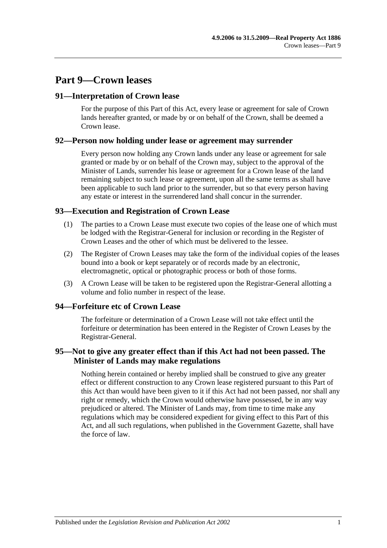# **Part 9—Crown leases**

## **91—Interpretation of Crown lease**

For the purpose of this Part of this Act, every lease or agreement for sale of Crown lands hereafter granted, or made by or on behalf of the Crown, shall be deemed a Crown lease.

## **92—Person now holding under lease or agreement may surrender**

Every person now holding any Crown lands under any lease or agreement for sale granted or made by or on behalf of the Crown may, subject to the approval of the Minister of Lands, surrender his lease or agreement for a Crown lease of the land remaining subject to such lease or agreement, upon all the same terms as shall have been applicable to such land prior to the surrender, but so that every person having any estate or interest in the surrendered land shall concur in the surrender.

# **93—Execution and Registration of Crown Lease**

- (1) The parties to a Crown Lease must execute two copies of the lease one of which must be lodged with the Registrar-General for inclusion or recording in the Register of Crown Leases and the other of which must be delivered to the lessee.
- (2) The Register of Crown Leases may take the form of the individual copies of the leases bound into a book or kept separately or of records made by an electronic, electromagnetic, optical or photographic process or both of those forms.
- (3) A Crown Lease will be taken to be registered upon the Registrar-General allotting a volume and folio number in respect of the lease.

## **94—Forfeiture etc of Crown Lease**

The forfeiture or determination of a Crown Lease will not take effect until the forfeiture or determination has been entered in the Register of Crown Leases by the Registrar-General.

# **95—Not to give any greater effect than if this Act had not been passed. The Minister of Lands may make regulations**

Nothing herein contained or hereby implied shall be construed to give any greater effect or different construction to any Crown lease registered pursuant to this Part of this Act than would have been given to it if this Act had not been passed, nor shall any right or remedy, which the Crown would otherwise have possessed, be in any way prejudiced or altered. The Minister of Lands may, from time to time make any regulations which may be considered expedient for giving effect to this Part of this Act, and all such regulations, when published in the Government Gazette, shall have the force of law.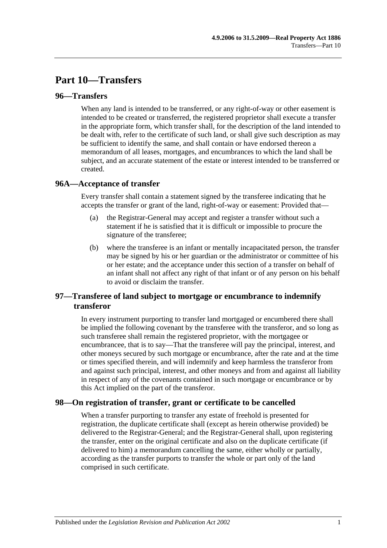# **Part 10—Transfers**

## **96—Transfers**

When any land is intended to be transferred, or any right-of-way or other easement is intended to be created or transferred, the registered proprietor shall execute a transfer in the appropriate form, which transfer shall, for the description of the land intended to be dealt with, refer to the certificate of such land, or shall give such description as may be sufficient to identify the same, and shall contain or have endorsed thereon a memorandum of all leases, mortgages, and encumbrances to which the land shall be subject, and an accurate statement of the estate or interest intended to be transferred or created.

## **96A—Acceptance of transfer**

Every transfer shall contain a statement signed by the transferee indicating that he accepts the transfer or grant of the land, right-of-way or easement: Provided that—

- (a) the Registrar-General may accept and register a transfer without such a statement if he is satisfied that it is difficult or impossible to procure the signature of the transferee;
- (b) where the transferee is an infant or mentally incapacitated person, the transfer may be signed by his or her guardian or the administrator or committee of his or her estate; and the acceptance under this section of a transfer on behalf of an infant shall not affect any right of that infant or of any person on his behalf to avoid or disclaim the transfer.

# **97—Transferee of land subject to mortgage or encumbrance to indemnify transferor**

In every instrument purporting to transfer land mortgaged or encumbered there shall be implied the following covenant by the transferee with the transferor, and so long as such transferee shall remain the registered proprietor, with the mortgagee or encumbrancee, that is to say—That the transferee will pay the principal, interest, and other moneys secured by such mortgage or encumbrance, after the rate and at the time or times specified therein, and will indemnify and keep harmless the transferor from and against such principal, interest, and other moneys and from and against all liability in respect of any of the covenants contained in such mortgage or encumbrance or by this Act implied on the part of the transferor.

## **98—On registration of transfer, grant or certificate to be cancelled**

When a transfer purporting to transfer any estate of freehold is presented for registration, the duplicate certificate shall (except as herein otherwise provided) be delivered to the Registrar-General; and the Registrar-General shall, upon registering the transfer, enter on the original certificate and also on the duplicate certificate (if delivered to him) a memorandum cancelling the same, either wholly or partially, according as the transfer purports to transfer the whole or part only of the land comprised in such certificate.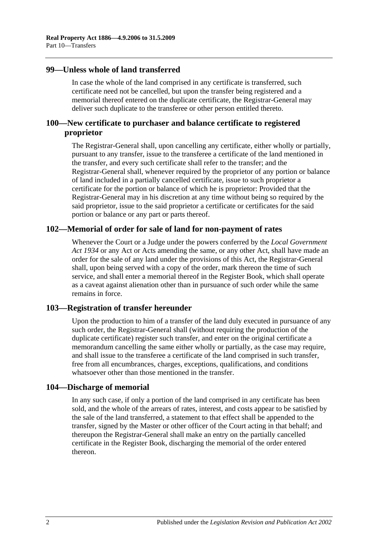## **99—Unless whole of land transferred**

In case the whole of the land comprised in any certificate is transferred, such certificate need not be cancelled, but upon the transfer being registered and a memorial thereof entered on the duplicate certificate, the Registrar-General may deliver such duplicate to the transferee or other person entitled thereto.

## **100—New certificate to purchaser and balance certificate to registered proprietor**

The Registrar-General shall, upon cancelling any certificate, either wholly or partially, pursuant to any transfer, issue to the transferee a certificate of the land mentioned in the transfer, and every such certificate shall refer to the transfer; and the Registrar-General shall, whenever required by the proprietor of any portion or balance of land included in a partially cancelled certificate, issue to such proprietor a certificate for the portion or balance of which he is proprietor: Provided that the Registrar-General may in his discretion at any time without being so required by the said proprietor, issue to the said proprietor a certificate or certificates for the said portion or balance or any part or parts thereof.

## **102—Memorial of order for sale of land for non-payment of rates**

Whenever the Court or a Judge under the powers conferred by the *[Local Government](http://www.legislation.sa.gov.au/index.aspx?action=legref&type=act&legtitle=Local%20Government%20Act%201934)  Act [1934](http://www.legislation.sa.gov.au/index.aspx?action=legref&type=act&legtitle=Local%20Government%20Act%201934)* or any Act or Acts amending the same, or any other Act, shall have made an order for the sale of any land under the provisions of this Act, the Registrar-General shall, upon being served with a copy of the order, mark thereon the time of such service, and shall enter a memorial thereof in the Register Book, which shall operate as a caveat against alienation other than in pursuance of such order while the same remains in force.

## **103—Registration of transfer hereunder**

Upon the production to him of a transfer of the land duly executed in pursuance of any such order, the Registrar-General shall (without requiring the production of the duplicate certificate) register such transfer, and enter on the original certificate a memorandum cancelling the same either wholly or partially, as the case may require, and shall issue to the transferee a certificate of the land comprised in such transfer, free from all encumbrances, charges, exceptions, qualifications, and conditions whatsoever other than those mentioned in the transfer.

## **104—Discharge of memorial**

In any such case, if only a portion of the land comprised in any certificate has been sold, and the whole of the arrears of rates, interest, and costs appear to be satisfied by the sale of the land transferred, a statement to that effect shall be appended to the transfer, signed by the Master or other officer of the Court acting in that behalf; and thereupon the Registrar-General shall make an entry on the partially cancelled certificate in the Register Book, discharging the memorial of the order entered thereon.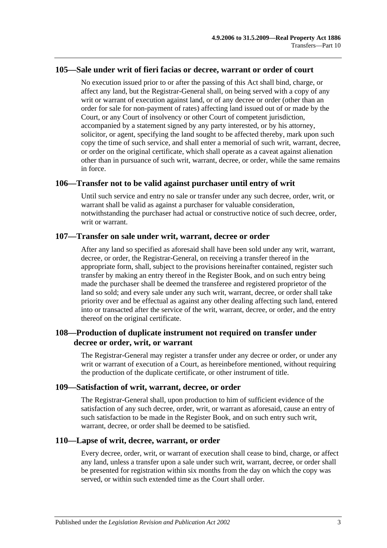#### **105—Sale under writ of fieri facias or decree, warrant or order of court**

No execution issued prior to or after the passing of this Act shall bind, charge, or affect any land, but the Registrar-General shall, on being served with a copy of any writ or warrant of execution against land, or of any decree or order (other than an order for sale for non-payment of rates) affecting land issued out of or made by the Court, or any Court of insolvency or other Court of competent jurisdiction, accompanied by a statement signed by any party interested, or by his attorney, solicitor, or agent, specifying the land sought to be affected thereby, mark upon such copy the time of such service, and shall enter a memorial of such writ, warrant, decree, or order on the original certificate, which shall operate as a caveat against alienation other than in pursuance of such writ, warrant, decree, or order, while the same remains in force.

#### **106—Transfer not to be valid against purchaser until entry of writ**

Until such service and entry no sale or transfer under any such decree, order, writ, or warrant shall be valid as against a purchaser for valuable consideration, notwithstanding the purchaser had actual or constructive notice of such decree, order, writ or warrant.

#### **107—Transfer on sale under writ, warrant, decree or order**

After any land so specified as aforesaid shall have been sold under any writ, warrant, decree, or order, the Registrar-General, on receiving a transfer thereof in the appropriate form, shall, subject to the provisions hereinafter contained, register such transfer by making an entry thereof in the Register Book, and on such entry being made the purchaser shall be deemed the transferee and registered proprietor of the land so sold; and every sale under any such writ, warrant, decree, or order shall take priority over and be effectual as against any other dealing affecting such land, entered into or transacted after the service of the writ, warrant, decree, or order, and the entry thereof on the original certificate.

## **108—Production of duplicate instrument not required on transfer under decree or order, writ, or warrant**

The Registrar-General may register a transfer under any decree or order, or under any writ or warrant of execution of a Court, as hereinbefore mentioned, without requiring the production of the duplicate certificate, or other instrument of title.

#### **109—Satisfaction of writ, warrant, decree, or order**

The Registrar-General shall, upon production to him of sufficient evidence of the satisfaction of any such decree, order, writ, or warrant as aforesaid, cause an entry of such satisfaction to be made in the Register Book, and on such entry such writ, warrant, decree, or order shall be deemed to be satisfied.

#### **110—Lapse of writ, decree, warrant, or order**

Every decree, order, writ, or warrant of execution shall cease to bind, charge, or affect any land, unless a transfer upon a sale under such writ, warrant, decree, or order shall be presented for registration within six months from the day on which the copy was served, or within such extended time as the Court shall order.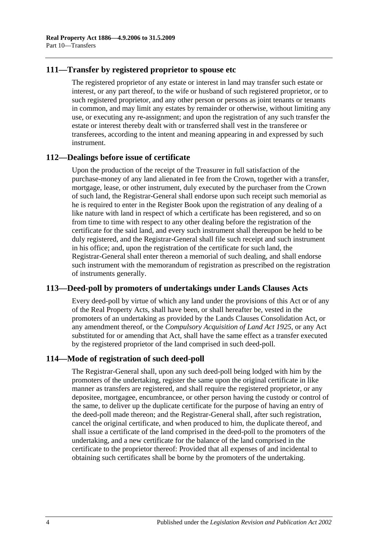## **111—Transfer by registered proprietor to spouse etc**

The registered proprietor of any estate or interest in land may transfer such estate or interest, or any part thereof, to the wife or husband of such registered proprietor, or to such registered proprietor, and any other person or persons as joint tenants or tenants in common, and may limit any estates by remainder or otherwise, without limiting any use, or executing any re-assignment; and upon the registration of any such transfer the estate or interest thereby dealt with or transferred shall vest in the transferee or transferees, according to the intent and meaning appearing in and expressed by such instrument.

## **112—Dealings before issue of certificate**

Upon the production of the receipt of the Treasurer in full satisfaction of the purchase-money of any land alienated in fee from the Crown, together with a transfer, mortgage, lease, or other instrument, duly executed by the purchaser from the Crown of such land, the Registrar-General shall endorse upon such receipt such memorial as he is required to enter in the Register Book upon the registration of any dealing of a like nature with land in respect of which a certificate has been registered, and so on from time to time with respect to any other dealing before the registration of the certificate for the said land, and every such instrument shall thereupon be held to be duly registered, and the Registrar-General shall file such receipt and such instrument in his office; and, upon the registration of the certificate for such land, the Registrar-General shall enter thereon a memorial of such dealing, and shall endorse such instrument with the memorandum of registration as prescribed on the registration of instruments generally.

## **113—Deed-poll by promoters of undertakings under Lands Clauses Acts**

Every deed-poll by virtue of which any land under the provisions of this Act or of any of the Real Property Acts, shall have been, or shall hereafter be, vested in the promoters of an undertaking as provided by the Lands Clauses Consolidation Act, or any amendment thereof, or the *[Compulsory Acquisition of Land Act](http://www.legislation.sa.gov.au/index.aspx?action=legref&type=act&legtitle=Compulsory%20Acquisition%20of%20Land%20Act%201925) 1925*, or any Act substituted for or amending that Act, shall have the same effect as a transfer executed by the registered proprietor of the land comprised in such deed-poll.

## **114—Mode of registration of such deed-poll**

The Registrar-General shall, upon any such deed-poll being lodged with him by the promoters of the undertaking, register the same upon the original certificate in like manner as transfers are registered, and shall require the registered proprietor, or any depositee, mortgagee, encumbrancee, or other person having the custody or control of the same, to deliver up the duplicate certificate for the purpose of having an entry of the deed-poll made thereon; and the Registrar-General shall, after such registration, cancel the original certificate, and when produced to him, the duplicate thereof, and shall issue a certificate of the land comprised in the deed-poll to the promoters of the undertaking, and a new certificate for the balance of the land comprised in the certificate to the proprietor thereof: Provided that all expenses of and incidental to obtaining such certificates shall be borne by the promoters of the undertaking.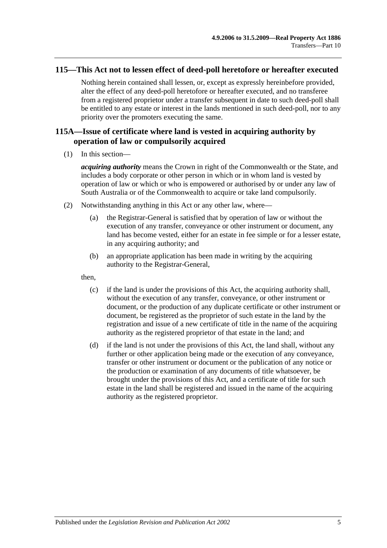## **115—This Act not to lessen effect of deed-poll heretofore or hereafter executed**

Nothing herein contained shall lessen, or, except as expressly hereinbefore provided, alter the effect of any deed-poll heretofore or hereafter executed, and no transferee from a registered proprietor under a transfer subsequent in date to such deed-poll shall be entitled to any estate or interest in the lands mentioned in such deed-poll, nor to any priority over the promoters executing the same.

## **115A—Issue of certificate where land is vested in acquiring authority by operation of law or compulsorily acquired**

(1) In this section—

*acquiring authority* means the Crown in right of the Commonwealth or the State, and includes a body corporate or other person in which or in whom land is vested by operation of law or which or who is empowered or authorised by or under any law of South Australia or of the Commonwealth to acquire or take land compulsorily.

- (2) Notwithstanding anything in this Act or any other law, where—
	- (a) the Registrar-General is satisfied that by operation of law or without the execution of any transfer, conveyance or other instrument or document, any land has become vested, either for an estate in fee simple or for a lesser estate, in any acquiring authority; and
	- (b) an appropriate application has been made in writing by the acquiring authority to the Registrar-General,

then,

- (c) if the land is under the provisions of this Act, the acquiring authority shall, without the execution of any transfer, conveyance, or other instrument or document, or the production of any duplicate certificate or other instrument or document, be registered as the proprietor of such estate in the land by the registration and issue of a new certificate of title in the name of the acquiring authority as the registered proprietor of that estate in the land; and
- (d) if the land is not under the provisions of this Act, the land shall, without any further or other application being made or the execution of any conveyance, transfer or other instrument or document or the publication of any notice or the production or examination of any documents of title whatsoever, be brought under the provisions of this Act, and a certificate of title for such estate in the land shall be registered and issued in the name of the acquiring authority as the registered proprietor.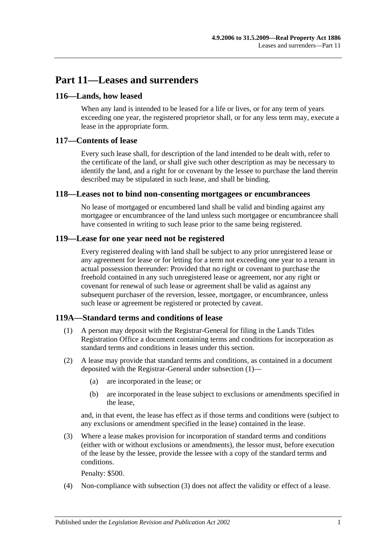# **Part 11—Leases and surrenders**

## **116—Lands, how leased**

When any land is intended to be leased for a life or lives, or for any term of years exceeding one year, the registered proprietor shall, or for any less term may, execute a lease in the appropriate form.

## **117—Contents of lease**

Every such lease shall, for description of the land intended to be dealt with, refer to the certificate of the land, or shall give such other description as may be necessary to identify the land, and a right for or covenant by the lessee to purchase the land therein described may be stipulated in such lease, and shall be binding.

## **118—Leases not to bind non-consenting mortgagees or encumbrancees**

No lease of mortgaged or encumbered land shall be valid and binding against any mortgagee or encumbrancee of the land unless such mortgagee or encumbrancee shall have consented in writing to such lease prior to the same being registered.

## **119—Lease for one year need not be registered**

Every registered dealing with land shall be subject to any prior unregistered lease or any agreement for lease or for letting for a term not exceeding one year to a tenant in actual possession thereunder: Provided that no right or covenant to purchase the freehold contained in any such unregistered lease or agreement, nor any right or covenant for renewal of such lease or agreement shall be valid as against any subsequent purchaser of the reversion, lessee, mortgagee, or encumbrancee, unless such lease or agreement be registered or protected by caveat.

#### <span id="page-58-0"></span>**119A—Standard terms and conditions of lease**

- (1) A person may deposit with the Registrar-General for filing in the Lands Titles Registration Office a document containing terms and conditions for incorporation as standard terms and conditions in leases under this section.
- (2) A lease may provide that standard terms and conditions, as contained in a document deposited with the Registrar-General under [subsection](#page-58-0) (1)—
	- (a) are incorporated in the lease; or
	- (b) are incorporated in the lease subject to exclusions or amendments specified in the lease,

and, in that event, the lease has effect as if those terms and conditions were (subject to any exclusions or amendment specified in the lease) contained in the lease.

<span id="page-58-1"></span>(3) Where a lease makes provision for incorporation of standard terms and conditions (either with or without exclusions or amendments), the lessor must, before execution of the lease by the lessee, provide the lessee with a copy of the standard terms and conditions.

Penalty: \$500.

(4) Non-compliance with [subsection](#page-58-1) (3) does not affect the validity or effect of a lease.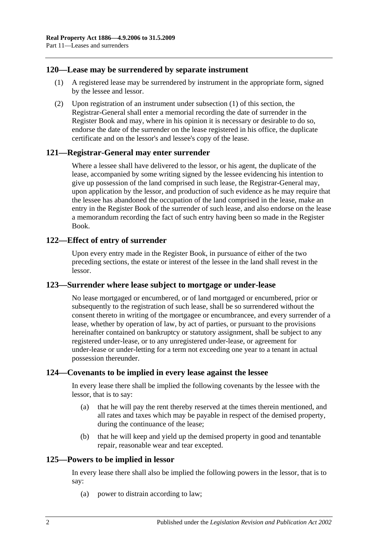## <span id="page-59-0"></span>**120—Lease may be surrendered by separate instrument**

- (1) A registered lease may be surrendered by instrument in the appropriate form, signed by the lessee and lessor.
- (2) Upon registration of an instrument under [subsection](#page-59-0) (1) of this section, the Registrar-General shall enter a memorial recording the date of surrender in the Register Book and may, where in his opinion it is necessary or desirable to do so, endorse the date of the surrender on the lease registered in his office, the duplicate certificate and on the lessor's and lessee's copy of the lease.

## **121—Registrar-General may enter surrender**

Where a lessee shall have delivered to the lessor, or his agent, the duplicate of the lease, accompanied by some writing signed by the lessee evidencing his intention to give up possession of the land comprised in such lease, the Registrar-General may, upon application by the lessor, and production of such evidence as he may require that the lessee has abandoned the occupation of the land comprised in the lease, make an entry in the Register Book of the surrender of such lease, and also endorse on the lease a memorandum recording the fact of such entry having been so made in the Register Book.

## **122—Effect of entry of surrender**

Upon every entry made in the Register Book, in pursuance of either of the two preceding sections, the estate or interest of the lessee in the land shall revest in the lessor.

## **123—Surrender where lease subject to mortgage or under-lease**

No lease mortgaged or encumbered, or of land mortgaged or encumbered, prior or subsequently to the registration of such lease, shall be so surrendered without the consent thereto in writing of the mortgagee or encumbrancee, and every surrender of a lease, whether by operation of law, by act of parties, or pursuant to the provisions hereinafter contained on bankruptcy or statutory assignment, shall be subject to any registered under-lease, or to any unregistered under-lease, or agreement for under-lease or under-letting for a term not exceeding one year to a tenant in actual possession thereunder.

## **124—Covenants to be implied in every lease against the lessee**

In every lease there shall be implied the following covenants by the lessee with the lessor, that is to say:

- (a) that he will pay the rent thereby reserved at the times therein mentioned, and all rates and taxes which may be payable in respect of the demised property, during the continuance of the lease;
- (b) that he will keep and yield up the demised property in good and tenantable repair, reasonable wear and tear excepted.

## **125—Powers to be implied in lessor**

In every lease there shall also be implied the following powers in the lessor, that is to say:

(a) power to distrain according to law;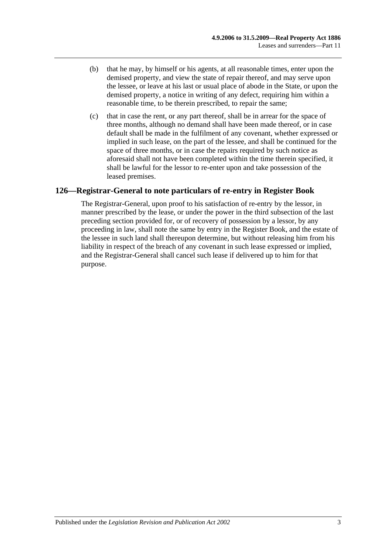- (b) that he may, by himself or his agents, at all reasonable times, enter upon the demised property, and view the state of repair thereof, and may serve upon the lessee, or leave at his last or usual place of abode in the State, or upon the demised property, a notice in writing of any defect, requiring him within a reasonable time, to be therein prescribed, to repair the same;
- (c) that in case the rent, or any part thereof, shall be in arrear for the space of three months, although no demand shall have been made thereof, or in case default shall be made in the fulfilment of any covenant, whether expressed or implied in such lease, on the part of the lessee, and shall be continued for the space of three months, or in case the repairs required by such notice as aforesaid shall not have been completed within the time therein specified, it shall be lawful for the lessor to re-enter upon and take possession of the leased premises.

# **126—Registrar-General to note particulars of re-entry in Register Book**

The Registrar-General, upon proof to his satisfaction of re-entry by the lessor, in manner prescribed by the lease, or under the power in the third subsection of the last preceding section provided for, or of recovery of possession by a lessor, by any proceeding in law, shall note the same by entry in the Register Book, and the estate of the lessee in such land shall thereupon determine, but without releasing him from his liability in respect of the breach of any covenant in such lease expressed or implied, and the Registrar-General shall cancel such lease if delivered up to him for that purpose.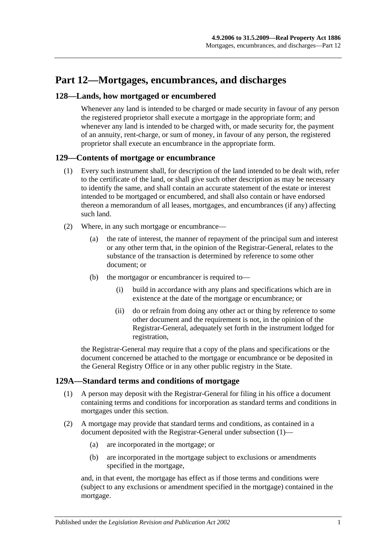# **Part 12—Mortgages, encumbrances, and discharges**

## **128—Lands, how mortgaged or encumbered**

Whenever any land is intended to be charged or made security in favour of any person the registered proprietor shall execute a mortgage in the appropriate form; and whenever any land is intended to be charged with, or made security for, the payment of an annuity, rent-charge, or sum of money, in favour of any person, the registered proprietor shall execute an encumbrance in the appropriate form.

## **129—Contents of mortgage or encumbrance**

- (1) Every such instrument shall, for description of the land intended to be dealt with, refer to the certificate of the land, or shall give such other description as may be necessary to identify the same, and shall contain an accurate statement of the estate or interest intended to be mortgaged or encumbered, and shall also contain or have endorsed thereon a memorandum of all leases, mortgages, and encumbrances (if any) affecting such land.
- (2) Where, in any such mortgage or encumbrance—
	- (a) the rate of interest, the manner of repayment of the principal sum and interest or any other term that, in the opinion of the Registrar-General, relates to the substance of the transaction is determined by reference to some other document; or
	- (b) the mortgagor or encumbrancer is required to—
		- (i) build in accordance with any plans and specifications which are in existence at the date of the mortgage or encumbrance; or
		- (ii) do or refrain from doing any other act or thing by reference to some other document and the requirement is not, in the opinion of the Registrar-General, adequately set forth in the instrument lodged for registration,

the Registrar-General may require that a copy of the plans and specifications or the document concerned be attached to the mortgage or encumbrance or be deposited in the General Registry Office or in any other public registry in the State.

## <span id="page-62-0"></span>**129A—Standard terms and conditions of mortgage**

- (1) A person may deposit with the Registrar-General for filing in his office a document containing terms and conditions for incorporation as standard terms and conditions in mortgages under this section.
- (2) A mortgage may provide that standard terms and conditions, as contained in a document deposited with the Registrar-General under [subsection](#page-62-0) (1)—
	- (a) are incorporated in the mortgage; or
	- (b) are incorporated in the mortgage subject to exclusions or amendments specified in the mortgage,

and, in that event, the mortgage has effect as if those terms and conditions were (subject to any exclusions or amendment specified in the mortgage) contained in the mortgage.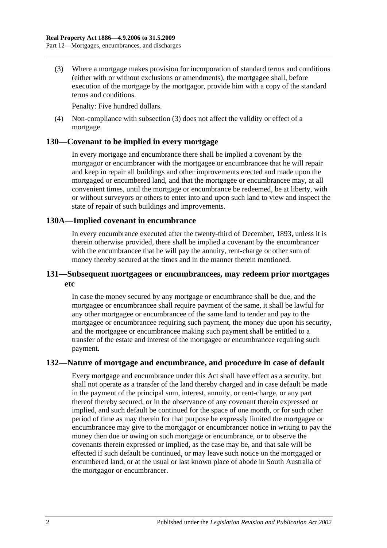<span id="page-63-0"></span>(3) Where a mortgage makes provision for incorporation of standard terms and conditions (either with or without exclusions or amendments), the mortgagee shall, before execution of the mortgage by the mortgagor, provide him with a copy of the standard terms and conditions.

Penalty: Five hundred dollars.

(4) Non-compliance with [subsection](#page-63-0) (3) does not affect the validity or effect of a mortgage.

## **130—Covenant to be implied in every mortgage**

In every mortgage and encumbrance there shall be implied a covenant by the mortgagor or encumbrancer with the mortgagee or encumbrancee that he will repair and keep in repair all buildings and other improvements erected and made upon the mortgaged or encumbered land, and that the mortgagee or encumbrancee may, at all convenient times, until the mortgage or encumbrance be redeemed, be at liberty, with or without surveyors or others to enter into and upon such land to view and inspect the state of repair of such buildings and improvements.

#### **130A—Implied covenant in encumbrance**

In every encumbrance executed after the twenty-third of December, 1893, unless it is therein otherwise provided, there shall be implied a covenant by the encumbrancer with the encumbrancee that he will pay the annuity, rent-charge or other sum of money thereby secured at the times and in the manner therein mentioned.

## **131—Subsequent mortgagees or encumbrancees, may redeem prior mortgages etc**

In case the money secured by any mortgage or encumbrance shall be due, and the mortgagee or encumbrancee shall require payment of the same, it shall be lawful for any other mortgagee or encumbrancee of the same land to tender and pay to the mortgagee or encumbrancee requiring such payment, the money due upon his security, and the mortgagee or encumbrancee making such payment shall be entitled to a transfer of the estate and interest of the mortgagee or encumbrancee requiring such payment.

## **132—Nature of mortgage and encumbrance, and procedure in case of default**

Every mortgage and encumbrance under this Act shall have effect as a security, but shall not operate as a transfer of the land thereby charged and in case default be made in the payment of the principal sum, interest, annuity, or rent-charge, or any part thereof thereby secured, or in the observance of any covenant therein expressed or implied, and such default be continued for the space of one month, or for such other period of time as may therein for that purpose be expressly limited the mortgagee or encumbrancee may give to the mortgagor or encumbrancer notice in writing to pay the money then due or owing on such mortgage or encumbrance, or to observe the covenants therein expressed or implied, as the case may be, and that sale will be effected if such default be continued, or may leave such notice on the mortgaged or encumbered land, or at the usual or last known place of abode in South Australia of the mortgagor or encumbrancer.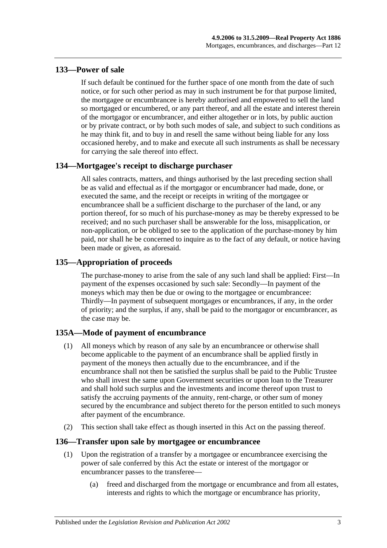# **133—Power of sale**

If such default be continued for the further space of one month from the date of such notice, or for such other period as may in such instrument be for that purpose limited, the mortgagee or encumbrancee is hereby authorised and empowered to sell the land so mortgaged or encumbered, or any part thereof, and all the estate and interest therein of the mortgagor or encumbrancer, and either altogether or in lots, by public auction or by private contract, or by both such modes of sale, and subject to such conditions as he may think fit, and to buy in and resell the same without being liable for any loss occasioned hereby, and to make and execute all such instruments as shall be necessary for carrying the sale thereof into effect.

# **134—Mortgagee's receipt to discharge purchaser**

All sales contracts, matters, and things authorised by the last preceding section shall be as valid and effectual as if the mortgagor or encumbrancer had made, done, or executed the same, and the receipt or receipts in writing of the mortgagee or encumbrancee shall be a sufficient discharge to the purchaser of the land, or any portion thereof, for so much of his purchase-money as may be thereby expressed to be received; and no such purchaser shall be answerable for the loss, misapplication, or non-application, or be obliged to see to the application of the purchase-money by him paid, nor shall he be concerned to inquire as to the fact of any default, or notice having been made or given, as aforesaid.

# **135—Appropriation of proceeds**

The purchase-money to arise from the sale of any such land shall be applied: First—In payment of the expenses occasioned by such sale: Secondly—In payment of the moneys which may then be due or owing to the mortgagee or encumbrancee: Thirdly—In payment of subsequent mortgages or encumbrances, if any, in the order of priority; and the surplus, if any, shall be paid to the mortgagor or encumbrancer, as the case may be.

# **135A—Mode of payment of encumbrance**

- (1) All moneys which by reason of any sale by an encumbrancee or otherwise shall become applicable to the payment of an encumbrance shall be applied firstly in payment of the moneys then actually due to the encumbrancee, and if the encumbrance shall not then be satisfied the surplus shall be paid to the Public Trustee who shall invest the same upon Government securities or upon loan to the Treasurer and shall hold such surplus and the investments and income thereof upon trust to satisfy the accruing payments of the annuity, rent-charge, or other sum of money secured by the encumbrance and subject thereto for the person entitled to such moneys after payment of the encumbrance.
- (2) This section shall take effect as though inserted in this Act on the passing thereof.

## **136—Transfer upon sale by mortgagee or encumbrancee**

- (1) Upon the registration of a transfer by a mortgagee or encumbrancee exercising the power of sale conferred by this Act the estate or interest of the mortgagor or encumbrancer passes to the transferee—
	- (a) freed and discharged from the mortgage or encumbrance and from all estates, interests and rights to which the mortgage or encumbrance has priority,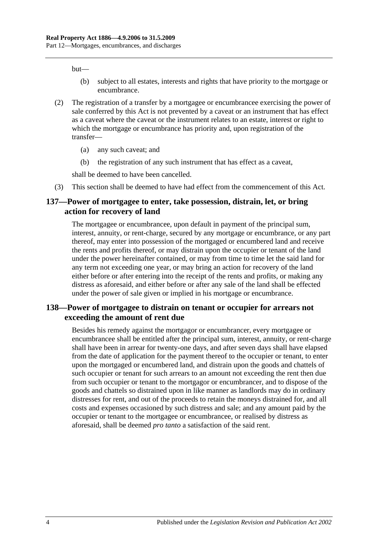but—

- (b) subject to all estates, interests and rights that have priority to the mortgage or encumbrance.
- (2) The registration of a transfer by a mortgagee or encumbrancee exercising the power of sale conferred by this Act is not prevented by a caveat or an instrument that has effect as a caveat where the caveat or the instrument relates to an estate, interest or right to which the mortgage or encumbrance has priority and, upon registration of the transfer—
	- (a) any such caveat; and
	- (b) the registration of any such instrument that has effect as a caveat,

shall be deemed to have been cancelled.

(3) This section shall be deemed to have had effect from the commencement of this Act.

## **137—Power of mortgagee to enter, take possession, distrain, let, or bring action for recovery of land**

The mortgagee or encumbrancee, upon default in payment of the principal sum, interest, annuity, or rent-charge, secured by any mortgage or encumbrance, or any part thereof, may enter into possession of the mortgaged or encumbered land and receive the rents and profits thereof, or may distrain upon the occupier or tenant of the land under the power hereinafter contained, or may from time to time let the said land for any term not exceeding one year, or may bring an action for recovery of the land either before or after entering into the receipt of the rents and profits, or making any distress as aforesaid, and either before or after any sale of the land shall be effected under the power of sale given or implied in his mortgage or encumbrance.

## **138—Power of mortgagee to distrain on tenant or occupier for arrears not exceeding the amount of rent due**

Besides his remedy against the mortgagor or encumbrancer, every mortgagee or encumbrancee shall be entitled after the principal sum, interest, annuity, or rent-charge shall have been in arrear for twenty-one days, and after seven days shall have elapsed from the date of application for the payment thereof to the occupier or tenant, to enter upon the mortgaged or encumbered land, and distrain upon the goods and chattels of such occupier or tenant for such arrears to an amount not exceeding the rent then due from such occupier or tenant to the mortgagor or encumbrancer, and to dispose of the goods and chattels so distrained upon in like manner as landlords may do in ordinary distresses for rent, and out of the proceeds to retain the moneys distrained for, and all costs and expenses occasioned by such distress and sale; and any amount paid by the occupier or tenant to the mortgagee or encumbrancee, or realised by distress as aforesaid, shall be deemed *pro tanto* a satisfaction of the said rent.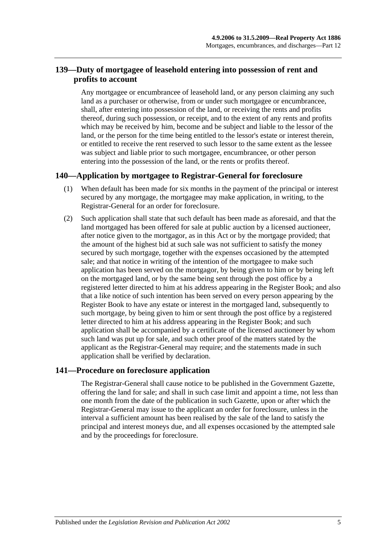# **139—Duty of mortgagee of leasehold entering into possession of rent and profits to account**

Any mortgagee or encumbrancee of leasehold land, or any person claiming any such land as a purchaser or otherwise, from or under such mortgagee or encumbrancee, shall, after entering into possession of the land, or receiving the rents and profits thereof, during such possession, or receipt, and to the extent of any rents and profits which may be received by him, become and be subject and liable to the lessor of the land, or the person for the time being entitled to the lessor's estate or interest therein, or entitled to receive the rent reserved to such lessor to the same extent as the lessee was subject and liable prior to such mortgagee, encumbrancee, or other person entering into the possession of the land, or the rents or profits thereof.

## **140—Application by mortgagee to Registrar-General for foreclosure**

- (1) When default has been made for six months in the payment of the principal or interest secured by any mortgage, the mortgagee may make application, in writing, to the Registrar-General for an order for foreclosure.
- (2) Such application shall state that such default has been made as aforesaid, and that the land mortgaged has been offered for sale at public auction by a licensed auctioneer, after notice given to the mortgagor, as in this Act or by the mortgage provided; that the amount of the highest bid at such sale was not sufficient to satisfy the money secured by such mortgage, together with the expenses occasioned by the attempted sale; and that notice in writing of the intention of the mortgagee to make such application has been served on the mortgagor, by being given to him or by being left on the mortgaged land, or by the same being sent through the post office by a registered letter directed to him at his address appearing in the Register Book; and also that a like notice of such intention has been served on every person appearing by the Register Book to have any estate or interest in the mortgaged land, subsequently to such mortgage, by being given to him or sent through the post office by a registered letter directed to him at his address appearing in the Register Book; and such application shall be accompanied by a certificate of the licensed auctioneer by whom such land was put up for sale, and such other proof of the matters stated by the applicant as the Registrar-General may require; and the statements made in such application shall be verified by declaration.

## **141—Procedure on foreclosure application**

The Registrar-General shall cause notice to be published in the Government Gazette, offering the land for sale; and shall in such case limit and appoint a time, not less than one month from the date of the publication in such Gazette, upon or after which the Registrar-General may issue to the applicant an order for foreclosure, unless in the interval a sufficient amount has been realised by the sale of the land to satisfy the principal and interest moneys due, and all expenses occasioned by the attempted sale and by the proceedings for foreclosure.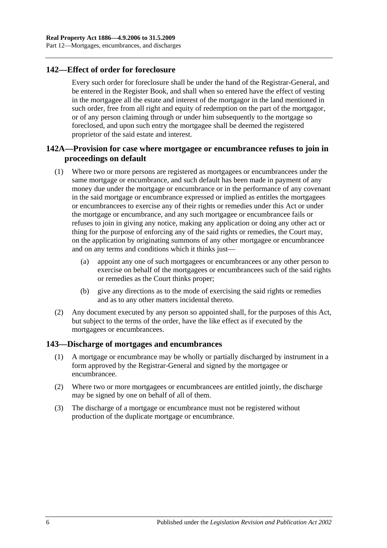## **142—Effect of order for foreclosure**

Every such order for foreclosure shall be under the hand of the Registrar-General, and be entered in the Register Book, and shall when so entered have the effect of vesting in the mortgagee all the estate and interest of the mortgagor in the land mentioned in such order, free from all right and equity of redemption on the part of the mortgagor, or of any person claiming through or under him subsequently to the mortgage so foreclosed, and upon such entry the mortgagee shall be deemed the registered proprietor of the said estate and interest.

# **142A—Provision for case where mortgagee or encumbrancee refuses to join in proceedings on default**

- (1) Where two or more persons are registered as mortgagees or encumbrancees under the same mortgage or encumbrance, and such default has been made in payment of any money due under the mortgage or encumbrance or in the performance of any covenant in the said mortgage or encumbrance expressed or implied as entitles the mortgagees or encumbrancees to exercise any of their rights or remedies under this Act or under the mortgage or encumbrance, and any such mortgagee or encumbrancee fails or refuses to join in giving any notice, making any application or doing any other act or thing for the purpose of enforcing any of the said rights or remedies, the Court may, on the application by originating summons of any other mortgagee or encumbrancee and on any terms and conditions which it thinks just—
	- (a) appoint any one of such mortgagees or encumbrancees or any other person to exercise on behalf of the mortgagees or encumbrancees such of the said rights or remedies as the Court thinks proper;
	- (b) give any directions as to the mode of exercising the said rights or remedies and as to any other matters incidental thereto.
- (2) Any document executed by any person so appointed shall, for the purposes of this Act, but subject to the terms of the order, have the like effect as if executed by the mortgagees or encumbrancees.

## **143—Discharge of mortgages and encumbrances**

- (1) A mortgage or encumbrance may be wholly or partially discharged by instrument in a form approved by the Registrar-General and signed by the mortgagee or encumbrancee.
- (2) Where two or more mortgagees or encumbrancees are entitled jointly, the discharge may be signed by one on behalf of all of them.
- (3) The discharge of a mortgage or encumbrance must not be registered without production of the duplicate mortgage or encumbrance.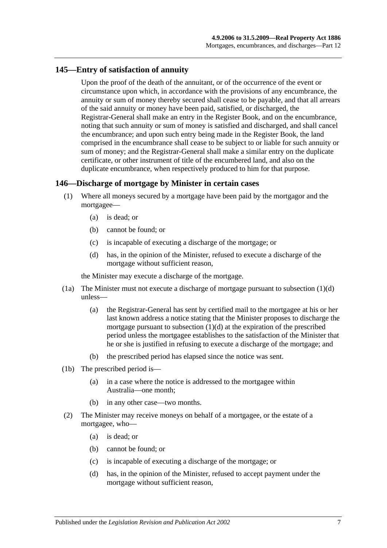## **145—Entry of satisfaction of annuity**

Upon the proof of the death of the annuitant, or of the occurrence of the event or circumstance upon which, in accordance with the provisions of any encumbrance, the annuity or sum of money thereby secured shall cease to be payable, and that all arrears of the said annuity or money have been paid, satisfied, or discharged, the Registrar-General shall make an entry in the Register Book, and on the encumbrance, noting that such annuity or sum of money is satisfied and discharged, and shall cancel the encumbrance; and upon such entry being made in the Register Book, the land comprised in the encumbrance shall cease to be subject to or liable for such annuity or sum of money; and the Registrar-General shall make a similar entry on the duplicate certificate, or other instrument of title of the encumbered land, and also on the duplicate encumbrance, when respectively produced to him for that purpose.

#### **146—Discharge of mortgage by Minister in certain cases**

- (1) Where all moneys secured by a mortgage have been paid by the mortgagor and the mortgagee—
	- (a) is dead; or
	- (b) cannot be found; or
	- (c) is incapable of executing a discharge of the mortgage; or
	- (d) has, in the opinion of the Minister, refused to execute a discharge of the mortgage without sufficient reason,

<span id="page-68-0"></span>the Minister may execute a discharge of the mortgage.

- (1a) The Minister must not execute a discharge of mortgage pursuant to [subsection](#page-68-0) (1)(d) unless—
	- (a) the Registrar-General has sent by certified mail to the mortgagee at his or her last known address a notice stating that the Minister proposes to discharge the mortgage pursuant to [subsection](#page-68-0)  $(1)(d)$  at the expiration of the prescribed period unless the mortgagee establishes to the satisfaction of the Minister that he or she is justified in refusing to execute a discharge of the mortgage; and
	- (b) the prescribed period has elapsed since the notice was sent.
- (1b) The prescribed period is—
	- (a) in a case where the notice is addressed to the mortgagee within Australia—one month;
	- (b) in any other case—two months.
- <span id="page-68-1"></span>(2) The Minister may receive moneys on behalf of a mortgagee, or the estate of a mortgagee, who—
	- (a) is dead; or
	- (b) cannot be found; or
	- (c) is incapable of executing a discharge of the mortgage; or
	- (d) has, in the opinion of the Minister, refused to accept payment under the mortgage without sufficient reason,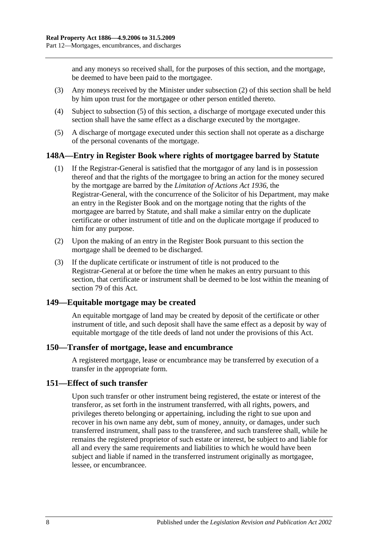and any moneys so received shall, for the purposes of this section, and the mortgage, be deemed to have been paid to the mortgagee.

- (3) Any moneys received by the Minister under [subsection](#page-68-1) (2) of this section shall be held by him upon trust for the mortgagee or other person entitled thereto.
- (4) Subject to [subsection](#page-69-0) (5) of this section, a discharge of mortgage executed under this section shall have the same effect as a discharge executed by the mortgagee.
- <span id="page-69-0"></span>(5) A discharge of mortgage executed under this section shall not operate as a discharge of the personal covenants of the mortgage.

## **148A—Entry in Register Book where rights of mortgagee barred by Statute**

- (1) If the Registrar-General is satisfied that the mortgagor of any land is in possession thereof and that the rights of the mortgagee to bring an action for the money secured by the mortgage are barred by the *[Limitation of Actions Act](http://www.legislation.sa.gov.au/index.aspx?action=legref&type=act&legtitle=Limitation%20of%20Actions%20Act%201936) 1936*, the Registrar-General, with the concurrence of the Solicitor of his Department, may make an entry in the Register Book and on the mortgage noting that the rights of the mortgagee are barred by Statute, and shall make a similar entry on the duplicate certificate or other instrument of title and on the duplicate mortgage if produced to him for any purpose.
- (2) Upon the making of an entry in the Register Book pursuant to this section the mortgage shall be deemed to be discharged.
- (3) If the duplicate certificate or instrument of title is not produced to the Registrar-General at or before the time when he makes an entry pursuant to this section, that certificate or instrument shall be deemed to be lost within the meaning of [section](#page-39-0) 79 of this Act.

#### **149—Equitable mortgage may be created**

An equitable mortgage of land may be created by deposit of the certificate or other instrument of title, and such deposit shall have the same effect as a deposit by way of equitable mortgage of the title deeds of land not under the provisions of this Act.

#### **150—Transfer of mortgage, lease and encumbrance**

A registered mortgage, lease or encumbrance may be transferred by execution of a transfer in the appropriate form.

#### **151—Effect of such transfer**

Upon such transfer or other instrument being registered, the estate or interest of the transferor, as set forth in the instrument transferred, with all rights, powers, and privileges thereto belonging or appertaining, including the right to sue upon and recover in his own name any debt, sum of money, annuity, or damages, under such transferred instrument, shall pass to the transferee, and such transferee shall, while he remains the registered proprietor of such estate or interest, be subject to and liable for all and every the same requirements and liabilities to which he would have been subject and liable if named in the transferred instrument originally as mortgagee, lessee, or encumbrancee.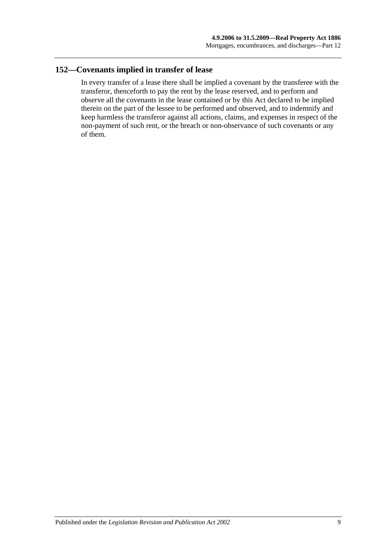# **152—Covenants implied in transfer of lease**

In every transfer of a lease there shall be implied a covenant by the transferee with the transferor, thenceforth to pay the rent by the lease reserved, and to perform and observe all the covenants in the lease contained or by this Act declared to be implied therein on the part of the lessee to be performed and observed, and to indemnify and keep harmless the transferor against all actions, claims, and expenses in respect of the non-payment of such rent, or the breach or non-observance of such covenants or any of them.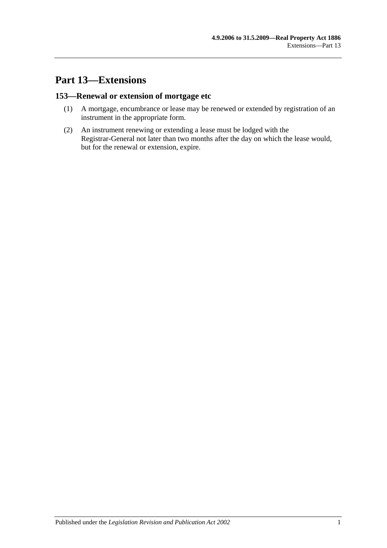# **Part 13—Extensions**

# **153—Renewal or extension of mortgage etc**

- (1) A mortgage, encumbrance or lease may be renewed or extended by registration of an instrument in the appropriate form.
- (2) An instrument renewing or extending a lease must be lodged with the Registrar-General not later than two months after the day on which the lease would, but for the renewal or extension, expire.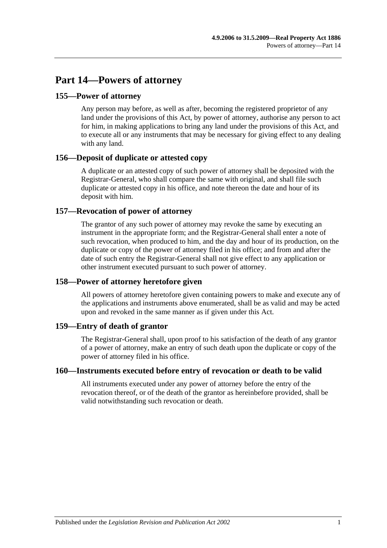# **Part 14—Powers of attorney**

# **155—Power of attorney**

Any person may before, as well as after, becoming the registered proprietor of any land under the provisions of this Act, by power of attorney, authorise any person to act for him, in making applications to bring any land under the provisions of this Act, and to execute all or any instruments that may be necessary for giving effect to any dealing with any land.

# **156—Deposit of duplicate or attested copy**

A duplicate or an attested copy of such power of attorney shall be deposited with the Registrar-General, who shall compare the same with original, and shall file such duplicate or attested copy in his office, and note thereon the date and hour of its deposit with him.

# **157—Revocation of power of attorney**

The grantor of any such power of attorney may revoke the same by executing an instrument in the appropriate form; and the Registrar-General shall enter a note of such revocation, when produced to him, and the day and hour of its production, on the duplicate or copy of the power of attorney filed in his office; and from and after the date of such entry the Registrar-General shall not give effect to any application or other instrument executed pursuant to such power of attorney.

# **158—Power of attorney heretofore given**

All powers of attorney heretofore given containing powers to make and execute any of the applications and instruments above enumerated, shall be as valid and may be acted upon and revoked in the same manner as if given under this Act.

# **159—Entry of death of grantor**

The Registrar-General shall, upon proof to his satisfaction of the death of any grantor of a power of attorney, make an entry of such death upon the duplicate or copy of the power of attorney filed in his office.

# **160—Instruments executed before entry of revocation or death to be valid**

All instruments executed under any power of attorney before the entry of the revocation thereof, or of the death of the grantor as hereinbefore provided, shall be valid notwithstanding such revocation or death.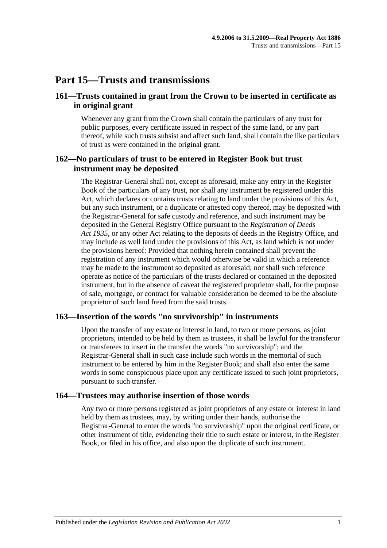# **Part 15—Trusts and transmissions**

# **161—Trusts contained in grant from the Crown to be inserted in certificate as in original grant**

Whenever any grant from the Crown shall contain the particulars of any trust for public purposes, every certificate issued in respect of the same land, or any part thereof, while such trusts subsist and affect such land, shall contain the like particulars of trust as were contained in the original grant.

# **162—No particulars of trust to be entered in Register Book but trust instrument may be deposited**

The Registrar-General shall not, except as aforesaid, make any entry in the Register Book of the particulars of any trust, nor shall any instrument be registered under this Act, which declares or contains trusts relating to land under the provisions of this Act, but any such instrument, or a duplicate or attested copy thereof, may be deposited with the Registrar-General for safe custody and reference, and such instrument may be deposited in the General Registry Office pursuant to the *[Registration of Deeds](http://www.legislation.sa.gov.au/index.aspx?action=legref&type=act&legtitle=Registration%20of%20Deeds%20Act%201935)  Act [1935](http://www.legislation.sa.gov.au/index.aspx?action=legref&type=act&legtitle=Registration%20of%20Deeds%20Act%201935)*, or any other Act relating to the deposits of deeds in the Registry Office, and may include as well land under the provisions of this Act, as land which is not under the provisions hereof: Provided that nothing herein contained shall prevent the registration of any instrument which would otherwise be valid in which a reference may be made to the instrument so deposited as aforesaid; nor shall such reference operate as notice of the particulars of the trusts declared or contained in the deposited instrument, but in the absence of caveat the registered proprietor shall, for the purpose of sale, mortgage, or contract for valuable consideration be deemed to be the absolute proprietor of such land freed from the said trusts.

# **163—Insertion of the words "no survivorship" in instruments**

Upon the transfer of any estate or interest in land, to two or more persons, as joint proprietors, intended to be held by them as trustees, it shall be lawful for the transferor or transferees to insert in the transfer the words "no survivorship"; and the Registrar-General shall in such case include such words in the memorial of such instrument to be entered by him in the Register Book; and shall also enter the same words in some conspicuous place upon any certificate issued to such joint proprietors, pursuant to such transfer.

### **164—Trustees may authorise insertion of those words**

Any two or more persons registered as joint proprietors of any estate or interest in land held by them as trustees, may, by writing under their hands, authorise the Registrar-General to enter the words "no survivorship" upon the original certificate, or other instrument of title, evidencing their title to such estate or interest, in the Register Book, or filed in his office, and also upon the duplicate of such instrument.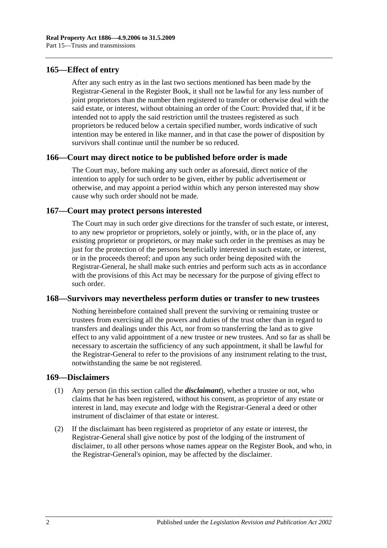## **165—Effect of entry**

After any such entry as in the last two sections mentioned has been made by the Registrar-General in the Register Book, it shall not be lawful for any less number of joint proprietors than the number then registered to transfer or otherwise deal with the said estate, or interest, without obtaining an order of the Court: Provided that, if it be intended not to apply the said restriction until the trustees registered as such proprietors be reduced below a certain specified number, words indicative of such intention may be entered in like manner, and in that case the power of disposition by survivors shall continue until the number be so reduced.

### **166—Court may direct notice to be published before order is made**

The Court may, before making any such order as aforesaid, direct notice of the intention to apply for such order to be given, either by public advertisement or otherwise, and may appoint a period within which any person interested may show cause why such order should not be made.

# **167—Court may protect persons interested**

The Court may in such order give directions for the transfer of such estate, or interest, to any new proprietor or proprietors, solely or jointly, with, or in the place of, any existing proprietor or proprietors, or may make such order in the premises as may be just for the protection of the persons beneficially interested in such estate, or interest, or in the proceeds thereof; and upon any such order being deposited with the Registrar-General, he shall make such entries and perform such acts as in accordance with the provisions of this Act may be necessary for the purpose of giving effect to such order.

### **168—Survivors may nevertheless perform duties or transfer to new trustees**

Nothing hereinbefore contained shall prevent the surviving or remaining trustee or trustees from exercising all the powers and duties of the trust other than in regard to transfers and dealings under this Act, nor from so transferring the land as to give effect to any valid appointment of a new trustee or new trustees. And so far as shall be necessary to ascertain the sufficiency of any such appointment, it shall be lawful for the Registrar-General to refer to the provisions of any instrument relating to the trust, notwithstanding the same be not registered.

### **169—Disclaimers**

- (1) Any person (in this section called the *disclaimant*), whether a trustee or not, who claims that he has been registered, without his consent, as proprietor of any estate or interest in land, may execute and lodge with the Registrar-General a deed or other instrument of disclaimer of that estate or interest.
- (2) If the disclaimant has been registered as proprietor of any estate or interest, the Registrar-General shall give notice by post of the lodging of the instrument of disclaimer, to all other persons whose names appear on the Register Book, and who, in the Registrar-General's opinion, may be affected by the disclaimer.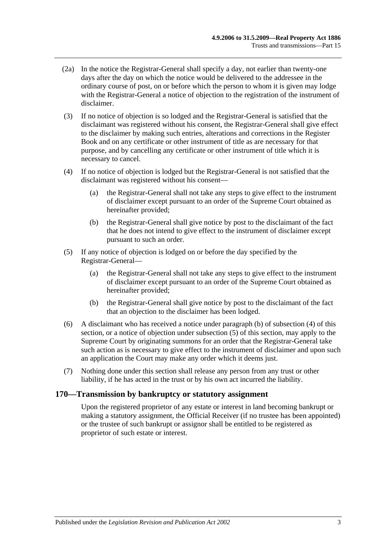- (2a) In the notice the Registrar-General shall specify a day, not earlier than twenty-one days after the day on which the notice would be delivered to the addressee in the ordinary course of post, on or before which the person to whom it is given may lodge with the Registrar-General a notice of objection to the registration of the instrument of disclaimer.
- (3) If no notice of objection is so lodged and the Registrar-General is satisfied that the disclaimant was registered without his consent, the Registrar-General shall give effect to the disclaimer by making such entries, alterations and corrections in the Register Book and on any certificate or other instrument of title as are necessary for that purpose, and by cancelling any certificate or other instrument of title which it is necessary to cancel.
- <span id="page-78-1"></span>(4) If no notice of objection is lodged but the Registrar-General is not satisfied that the disclaimant was registered without his consent—
	- (a) the Registrar-General shall not take any steps to give effect to the instrument of disclaimer except pursuant to an order of the Supreme Court obtained as hereinafter provided;
	- (b) the Registrar-General shall give notice by post to the disclaimant of the fact that he does not intend to give effect to the instrument of disclaimer except pursuant to such an order.
- <span id="page-78-2"></span><span id="page-78-0"></span>(5) If any notice of objection is lodged on or before the day specified by the Registrar-General—
	- (a) the Registrar-General shall not take any steps to give effect to the instrument of disclaimer except pursuant to an order of the Supreme Court obtained as hereinafter provided;
	- (b) the Registrar-General shall give notice by post to the disclaimant of the fact that an objection to the disclaimer has been lodged.
- (6) A disclaimant who has received a notice under [paragraph](#page-78-0) (b) of [subsection](#page-78-1) (4) of this section, or a notice of objection under [subsection](#page-78-2) (5) of this section, may apply to the Supreme Court by originating summons for an order that the Registrar-General take such action as is necessary to give effect to the instrument of disclaimer and upon such an application the Court may make any order which it deems just.
- (7) Nothing done under this section shall release any person from any trust or other liability, if he has acted in the trust or by his own act incurred the liability.

# **170—Transmission by bankruptcy or statutory assignment**

Upon the registered proprietor of any estate or interest in land becoming bankrupt or making a statutory assignment, the Official Receiver (if no trustee has been appointed) or the trustee of such bankrupt or assignor shall be entitled to be registered as proprietor of such estate or interest.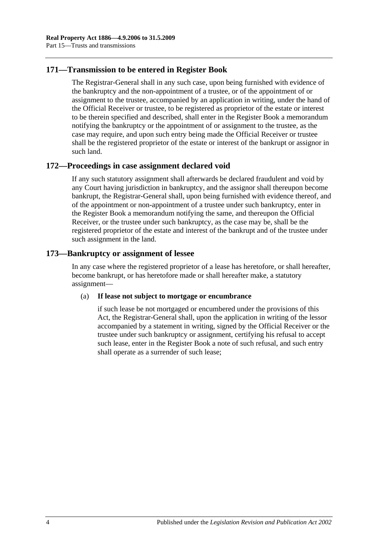# **171—Transmission to be entered in Register Book**

The Registrar-General shall in any such case, upon being furnished with evidence of the bankruptcy and the non-appointment of a trustee, or of the appointment of or assignment to the trustee, accompanied by an application in writing, under the hand of the Official Receiver or trustee, to be registered as proprietor of the estate or interest to be therein specified and described, shall enter in the Register Book a memorandum notifying the bankruptcy or the appointment of or assignment to the trustee, as the case may require, and upon such entry being made the Official Receiver or trustee shall be the registered proprietor of the estate or interest of the bankrupt or assignor in such land.

# **172—Proceedings in case assignment declared void**

If any such statutory assignment shall afterwards be declared fraudulent and void by any Court having jurisdiction in bankruptcy, and the assignor shall thereupon become bankrupt, the Registrar-General shall, upon being furnished with evidence thereof, and of the appointment or non-appointment of a trustee under such bankruptcy, enter in the Register Book a memorandum notifying the same, and thereupon the Official Receiver, or the trustee under such bankruptcy, as the case may be, shall be the registered proprietor of the estate and interest of the bankrupt and of the trustee under such assignment in the land.

# **173—Bankruptcy or assignment of lessee**

In any case where the registered proprietor of a lease has heretofore, or shall hereafter, become bankrupt, or has heretofore made or shall hereafter make, a statutory assignment—

### (a) **If lease not subject to mortgage or encumbrance**

if such lease be not mortgaged or encumbered under the provisions of this Act, the Registrar-General shall, upon the application in writing of the lessor accompanied by a statement in writing, signed by the Official Receiver or the trustee under such bankruptcy or assignment, certifying his refusal to accept such lease, enter in the Register Book a note of such refusal, and such entry shall operate as a surrender of such lease;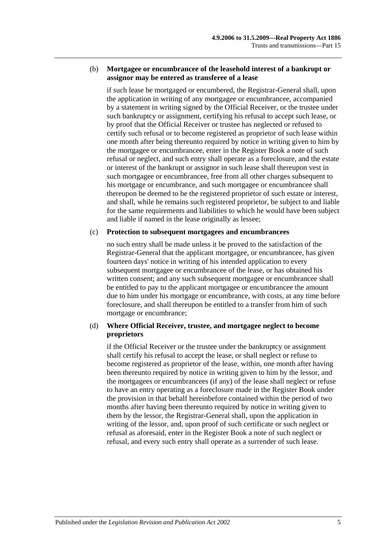#### (b) **Mortgagee or encumbrancee of the leasehold interest of a bankrupt or assignor may be entered as transferee of a lease**

if such lease be mortgaged or encumbered, the Registrar-General shall, upon the application in writing of any mortgagee or encumbrancee, accompanied by a statement in writing signed by the Official Receiver, or the trustee under such bankruptcy or assignment, certifying his refusal to accept such lease, or by proof that the Official Receiver or trustee has neglected or refused to certify such refusal or to become registered as proprietor of such lease within one month after being thereunto required by notice in writing given to him by the mortgagee or encumbrancee, enter in the Register Book a note of such refusal or neglect, and such entry shall operate as a foreclosure, and the estate or interest of the bankrupt or assignor in such lease shall thereupon vest in such mortgagee or encumbrancee, free from all other charges subsequent to his mortgage or encumbrance, and such mortgagee or encumbrancee shall thereupon be deemed to be the registered proprietor of such estate or interest, and shall, while he remains such registered proprietor, be subject to and liable for the same requirements and liabilities to which he would have been subject and liable if named in the lease originally as lessee;

### (c) **Protection to subsequent mortgagees and encumbrancees**

no such entry shall be made unless it be proved to the satisfaction of the Registrar-General that the applicant mortgagee, or encumbrancee, has given fourteen days' notice in writing of his intended application to every subsequent mortgagee or encumbrancee of the lease, or has obtained his written consent; and any such subsequent mortgagee or encumbrancee shall be entitled to pay to the applicant mortgagee or encumbrancee the amount due to him under his mortgage or encumbrance, with costs, at any time before foreclosure, and shall thereupon be entitled to a transfer from him of such mortgage or encumbrance;

### (d) **Where Official Receiver, trustee, and mortgagee neglect to become proprietors**

if the Official Receiver or the trustee under the bankruptcy or assignment shall certify his refusal to accept the lease, or shall neglect or refuse to become registered as proprietor of the lease, within, one month after having been thereunto required by notice in writing given to him by the lessor, and the mortgagees or encumbrancees (if any) of the lease shall neglect or refuse to have an entry operating as a foreclosure made in the Register Book under the provision in that behalf hereinbefore contained within the period of two months after having been thereunto required by notice in writing given to them by the lessor, the Registrar-General shall, upon the application in writing of the lessor, and, upon proof of such certificate or such neglect or refusal as aforesaid, enter in the Register Book a note of such neglect or refusal, and every such entry shall operate as a surrender of such lease.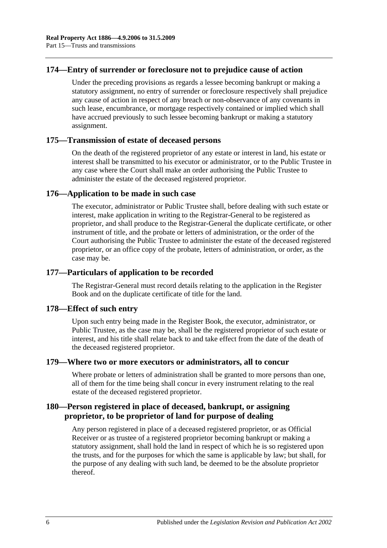## **174—Entry of surrender or foreclosure not to prejudice cause of action**

Under the preceding provisions as regards a lessee becoming bankrupt or making a statutory assignment, no entry of surrender or foreclosure respectively shall prejudice any cause of action in respect of any breach or non-observance of any covenants in such lease, encumbrance, or mortgage respectively contained or implied which shall have accrued previously to such lessee becoming bankrupt or making a statutory assignment.

### **175—Transmission of estate of deceased persons**

On the death of the registered proprietor of any estate or interest in land, his estate or interest shall be transmitted to his executor or administrator, or to the Public Trustee in any case where the Court shall make an order authorising the Public Trustee to administer the estate of the deceased registered proprietor.

### **176—Application to be made in such case**

The executor, administrator or Public Trustee shall, before dealing with such estate or interest, make application in writing to the Registrar-General to be registered as proprietor, and shall produce to the Registrar-General the duplicate certificate, or other instrument of title, and the probate or letters of administration, or the order of the Court authorising the Public Trustee to administer the estate of the deceased registered proprietor, or an office copy of the probate, letters of administration, or order, as the case may be.

### **177—Particulars of application to be recorded**

The Registrar-General must record details relating to the application in the Register Book and on the duplicate certificate of title for the land.

### **178—Effect of such entry**

Upon such entry being made in the Register Book, the executor, administrator, or Public Trustee, as the case may be, shall be the registered proprietor of such estate or interest, and his title shall relate back to and take effect from the date of the death of the deceased registered proprietor.

# **179—Where two or more executors or administrators, all to concur**

Where probate or letters of administration shall be granted to more persons than one, all of them for the time being shall concur in every instrument relating to the real estate of the deceased registered proprietor.

# **180—Person registered in place of deceased, bankrupt, or assigning proprietor, to be proprietor of land for purpose of dealing**

Any person registered in place of a deceased registered proprietor, or as Official Receiver or as trustee of a registered proprietor becoming bankrupt or making a statutory assignment, shall hold the land in respect of which he is so registered upon the trusts, and for the purposes for which the same is applicable by law; but shall, for the purpose of any dealing with such land, be deemed to be the absolute proprietor thereof.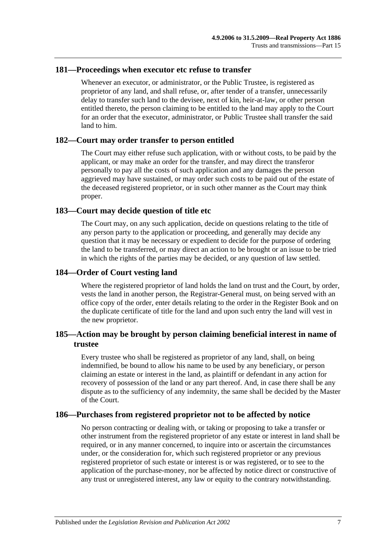### **181—Proceedings when executor etc refuse to transfer**

Whenever an executor, or administrator, or the Public Trustee, is registered as proprietor of any land, and shall refuse, or, after tender of a transfer, unnecessarily delay to transfer such land to the devisee, next of kin, heir-at-law, or other person entitled thereto, the person claiming to be entitled to the land may apply to the Court for an order that the executor, administrator, or Public Trustee shall transfer the said land to him.

### **182—Court may order transfer to person entitled**

The Court may either refuse such application, with or without costs, to be paid by the applicant, or may make an order for the transfer, and may direct the transferor personally to pay all the costs of such application and any damages the person aggrieved may have sustained, or may order such costs to be paid out of the estate of the deceased registered proprietor, or in such other manner as the Court may think proper.

### **183—Court may decide question of title etc**

The Court may, on any such application, decide on questions relating to the title of any person party to the application or proceeding, and generally may decide any question that it may be necessary or expedient to decide for the purpose of ordering the land to be transferred, or may direct an action to be brought or an issue to be tried in which the rights of the parties may be decided, or any question of law settled.

### **184—Order of Court vesting land**

Where the registered proprietor of land holds the land on trust and the Court, by order, vests the land in another person, the Registrar-General must, on being served with an office copy of the order, enter details relating to the order in the Register Book and on the duplicate certificate of title for the land and upon such entry the land will vest in the new proprietor.

# **185—Action may be brought by person claiming beneficial interest in name of trustee**

Every trustee who shall be registered as proprietor of any land, shall, on being indemnified, be bound to allow his name to be used by any beneficiary, or person claiming an estate or interest in the land, as plaintiff or defendant in any action for recovery of possession of the land or any part thereof. And, in case there shall be any dispute as to the sufficiency of any indemnity, the same shall be decided by the Master of the Court.

# **186—Purchases from registered proprietor not to be affected by notice**

No person contracting or dealing with, or taking or proposing to take a transfer or other instrument from the registered proprietor of any estate or interest in land shall be required, or in any manner concerned, to inquire into or ascertain the circumstances under, or the consideration for, which such registered proprietor or any previous registered proprietor of such estate or interest is or was registered, or to see to the application of the purchase-money, nor be affected by notice direct or constructive of any trust or unregistered interest, any law or equity to the contrary notwithstanding.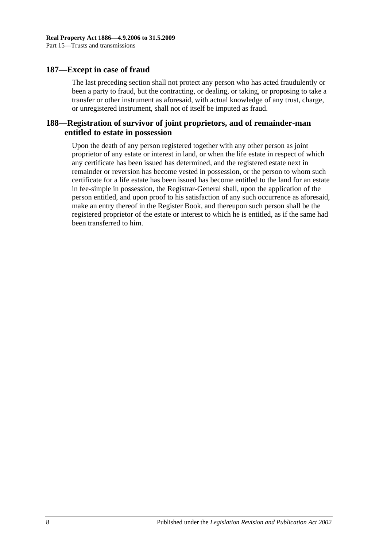### **187—Except in case of fraud**

The last preceding section shall not protect any person who has acted fraudulently or been a party to fraud, but the contracting, or dealing, or taking, or proposing to take a transfer or other instrument as aforesaid, with actual knowledge of any trust, charge, or unregistered instrument, shall not of itself be imputed as fraud.

# **188—Registration of survivor of joint proprietors, and of remainder-man entitled to estate in possession**

Upon the death of any person registered together with any other person as joint proprietor of any estate or interest in land, or when the life estate in respect of which any certificate has been issued has determined, and the registered estate next in remainder or reversion has become vested in possession, or the person to whom such certificate for a life estate has been issued has become entitled to the land for an estate in fee-simple in possession, the Registrar-General shall, upon the application of the person entitled, and upon proof to his satisfaction of any such occurrence as aforesaid, make an entry thereof in the Register Book, and thereupon such person shall be the registered proprietor of the estate or interest to which he is entitled, as if the same had been transferred to him.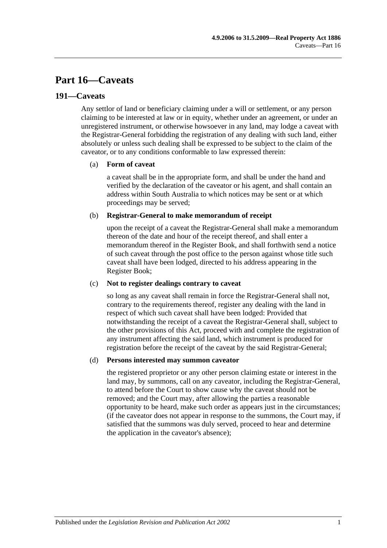# **Part 16—Caveats**

## **191—Caveats**

Any settlor of land or beneficiary claiming under a will or settlement, or any person claiming to be interested at law or in equity, whether under an agreement, or under an unregistered instrument, or otherwise howsoever in any land, may lodge a caveat with the Registrar-General forbidding the registration of any dealing with such land, either absolutely or unless such dealing shall be expressed to be subject to the claim of the caveator, or to any conditions conformable to law expressed therein:

### (a) **Form of caveat**

a caveat shall be in the appropriate form, and shall be under the hand and verified by the declaration of the caveator or his agent, and shall contain an address within South Australia to which notices may be sent or at which proceedings may be served;

### (b) **Registrar-General to make memorandum of receipt**

upon the receipt of a caveat the Registrar-General shall make a memorandum thereon of the date and hour of the receipt thereof, and shall enter a memorandum thereof in the Register Book, and shall forthwith send a notice of such caveat through the post office to the person against whose title such caveat shall have been lodged, directed to his address appearing in the Register Book;

### (c) **Not to register dealings contrary to caveat**

so long as any caveat shall remain in force the Registrar-General shall not, contrary to the requirements thereof, register any dealing with the land in respect of which such caveat shall have been lodged: Provided that notwithstanding the receipt of a caveat the Registrar-General shall, subject to the other provisions of this Act, proceed with and complete the registration of any instrument affecting the said land, which instrument is produced for registration before the receipt of the caveat by the said Registrar-General;

#### (d) **Persons interested may summon caveator**

the registered proprietor or any other person claiming estate or interest in the land may, by summons, call on any caveator, including the Registrar-General, to attend before the Court to show cause why the caveat should not be removed; and the Court may, after allowing the parties a reasonable opportunity to be heard, make such order as appears just in the circumstances; (if the caveator does not appear in response to the summons, the Court may, if satisfied that the summons was duly served, proceed to hear and determine the application in the caveator's absence);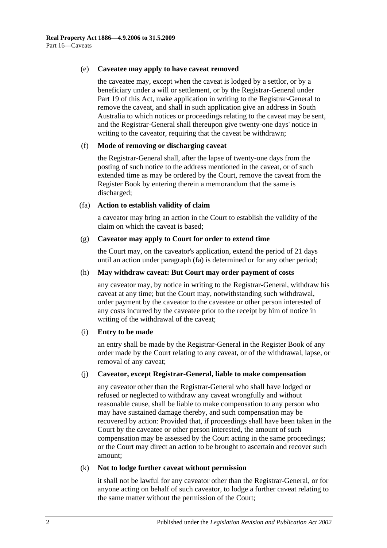### (e) **Caveatee may apply to have caveat removed**

the caveatee may, except when the caveat is lodged by a settlor, or by a beneficiary under a will or settlement, or by the Registrar-General under [Part](#page-96-0) 19 of this Act, make application in writing to the Registrar-General to remove the caveat, and shall in such application give an address in South Australia to which notices or proceedings relating to the caveat may be sent, and the Registrar-General shall thereupon give twenty-one days' notice in writing to the caveator, requiring that the caveat be withdrawn;

### (f) **Mode of removing or discharging caveat**

the Registrar-General shall, after the lapse of twenty-one days from the posting of such notice to the address mentioned in the caveat, or of such extended time as may be ordered by the Court, remove the caveat from the Register Book by entering therein a memorandum that the same is discharged;

### <span id="page-85-0"></span>(fa) **Action to establish validity of claim**

a caveator may bring an action in the Court to establish the validity of the claim on which the caveat is based;

### (g) **Caveator may apply to Court for order to extend time**

the Court may, on the caveator's application, extend the period of 21 days until an action under [paragraph](#page-85-0) (fa) is determined or for any other period;

### (h) **May withdraw caveat: But Court may order payment of costs**

any caveator may, by notice in writing to the Registrar-General, withdraw his caveat at any time; but the Court may, notwithstanding such withdrawal, order payment by the caveator to the caveatee or other person interested of any costs incurred by the caveatee prior to the receipt by him of notice in writing of the withdrawal of the caveat;

### (i) **Entry to be made**

an entry shall be made by the Registrar-General in the Register Book of any order made by the Court relating to any caveat, or of the withdrawal, lapse, or removal of any caveat;

#### (j) **Caveator, except Registrar-General, liable to make compensation**

any caveator other than the Registrar-General who shall have lodged or refused or neglected to withdraw any caveat wrongfully and without reasonable cause, shall be liable to make compensation to any person who may have sustained damage thereby, and such compensation may be recovered by action: Provided that, if proceedings shall have been taken in the Court by the caveatee or other person interested, the amount of such compensation may be assessed by the Court acting in the same proceedings; or the Court may direct an action to be brought to ascertain and recover such amount;

#### (k) **Not to lodge further caveat without permission**

it shall not be lawful for any caveator other than the Registrar-General, or for anyone acting on behalf of such caveator, to lodge a further caveat relating to the same matter without the permission of the Court;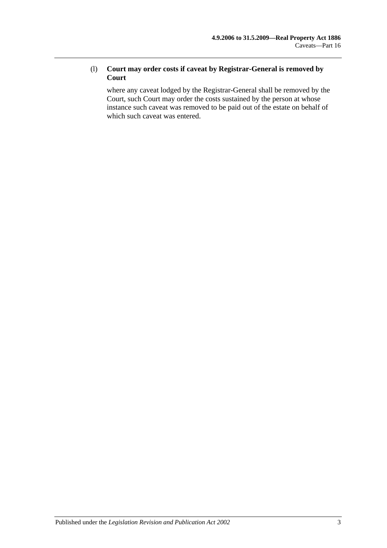# (l) **Court may order costs if caveat by Registrar-General is removed by Court**

where any caveat lodged by the Registrar-General shall be removed by the Court, such Court may order the costs sustained by the person at whose instance such caveat was removed to be paid out of the estate on behalf of which such caveat was entered.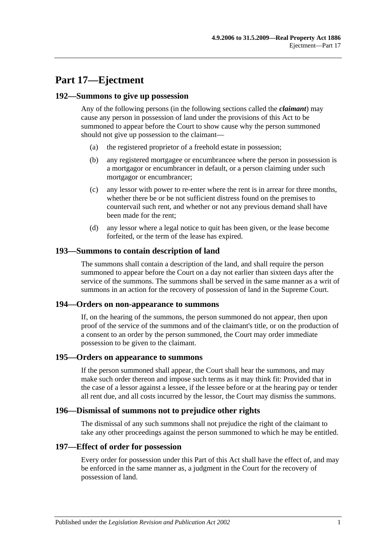# **Part 17—Ejectment**

### **192—Summons to give up possession**

Any of the following persons (in the following sections called the *claimant*) may cause any person in possession of land under the provisions of this Act to be summoned to appear before the Court to show cause why the person summoned should not give up possession to the claimant—

- (a) the registered proprietor of a freehold estate in possession;
- (b) any registered mortgagee or encumbrancee where the person in possession is a mortgagor or encumbrancer in default, or a person claiming under such mortgagor or encumbrancer;
- (c) any lessor with power to re-enter where the rent is in arrear for three months, whether there be or be not sufficient distress found on the premises to countervail such rent, and whether or not any previous demand shall have been made for the rent;
- (d) any lessor where a legal notice to quit has been given, or the lease become forfeited, or the term of the lease has expired.

### **193—Summons to contain description of land**

The summons shall contain a description of the land, and shall require the person summoned to appear before the Court on a day not earlier than sixteen days after the service of the summons. The summons shall be served in the same manner as a writ of summons in an action for the recovery of possession of land in the Supreme Court.

### **194—Orders on non-appearance to summons**

If, on the hearing of the summons, the person summoned do not appear, then upon proof of the service of the summons and of the claimant's title, or on the production of a consent to an order by the person summoned, the Court may order immediate possession to be given to the claimant.

### **195—Orders on appearance to summons**

If the person summoned shall appear, the Court shall hear the summons, and may make such order thereon and impose such terms as it may think fit: Provided that in the case of a lessor against a lessee, if the lessee before or at the hearing pay or tender all rent due, and all costs incurred by the lessor, the Court may dismiss the summons.

### **196—Dismissal of summons not to prejudice other rights**

The dismissal of any such summons shall not prejudice the right of the claimant to take any other proceedings against the person summoned to which he may be entitled.

### **197—Effect of order for possession**

Every order for possession under this Part of this Act shall have the effect of, and may be enforced in the same manner as, a judgment in the Court for the recovery of possession of land.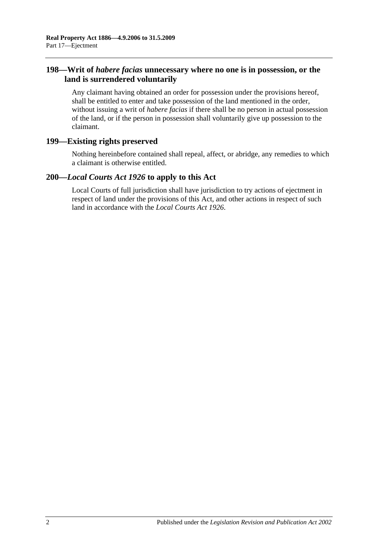# **198—Writ of** *habere facias* **unnecessary where no one is in possession, or the land is surrendered voluntarily**

Any claimant having obtained an order for possession under the provisions hereof, shall be entitled to enter and take possession of the land mentioned in the order, without issuing a writ of *habere facias* if there shall be no person in actual possession of the land, or if the person in possession shall voluntarily give up possession to the claimant.

# **199—Existing rights preserved**

Nothing hereinbefore contained shall repeal, affect, or abridge, any remedies to which a claimant is otherwise entitled.

# **200—***Local Courts Act 1926* **to apply to this Act**

Local Courts of full jurisdiction shall have jurisdiction to try actions of ejectment in respect of land under the provisions of this Act, and other actions in respect of such land in accordance with the *[Local Courts Act](http://www.legislation.sa.gov.au/index.aspx?action=legref&type=act&legtitle=Local%20Courts%20Act%201926) 1926*.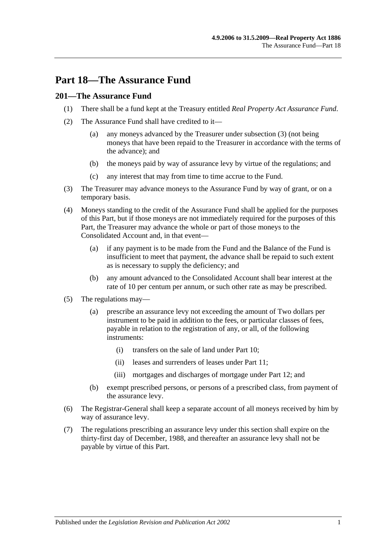# **Part 18—The Assurance Fund**

## **201—The Assurance Fund**

- (1) There shall be a fund kept at the Treasury entitled *Real Property Act Assurance Fund*.
- (2) The Assurance Fund shall have credited to it—
	- (a) any moneys advanced by the Treasurer under [subsection](#page-90-0) (3) (not being moneys that have been repaid to the Treasurer in accordance with the terms of the advance); and
	- (b) the moneys paid by way of assurance levy by virtue of the regulations; and
	- (c) any interest that may from time to time accrue to the Fund.
- <span id="page-90-0"></span>(3) The Treasurer may advance moneys to the Assurance Fund by way of grant, or on a temporary basis.
- (4) Moneys standing to the credit of the Assurance Fund shall be applied for the purposes of this Part, but if those moneys are not immediately required for the purposes of this Part, the Treasurer may advance the whole or part of those moneys to the Consolidated Account and, in that event—
	- (a) if any payment is to be made from the Fund and the Balance of the Fund is insufficient to meet that payment, the advance shall be repaid to such extent as is necessary to supply the deficiency; and
	- (b) any amount advanced to the Consolidated Account shall bear interest at the rate of 10 per centum per annum, or such other rate as may be prescribed.
- (5) The regulations may—
	- (a) prescribe an assurance levy not exceeding the amount of Two dollars per instrument to be paid in addition to the fees, or particular classes of fees, payable in relation to the registration of any, or all, of the following instruments:
		- (i) transfers on the sale of land under [Part 10;](#page-52-0)
		- (ii) leases and surrenders of leases under [Part 11;](#page-58-0)
		- (iii) mortgages and discharges of mortgage under [Part 12;](#page-62-0) and
	- (b) exempt prescribed persons, or persons of a prescribed class, from payment of the assurance levy.
- (6) The Registrar-General shall keep a separate account of all moneys received by him by way of assurance levy.
- (7) The regulations prescribing an assurance levy under this section shall expire on the thirty-first day of December, 1988, and thereafter an assurance levy shall not be payable by virtue of this Part.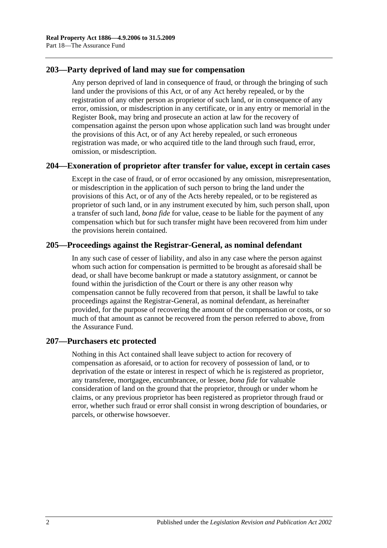# **203—Party deprived of land may sue for compensation**

Any person deprived of land in consequence of fraud, or through the bringing of such land under the provisions of this Act, or of any Act hereby repealed, or by the registration of any other person as proprietor of such land, or in consequence of any error, omission, or misdescription in any certificate, or in any entry or memorial in the Register Book, may bring and prosecute an action at law for the recovery of compensation against the person upon whose application such land was brought under the provisions of this Act, or of any Act hereby repealed, or such erroneous registration was made, or who acquired title to the land through such fraud, error, omission, or misdescription.

# **204—Exoneration of proprietor after transfer for value, except in certain cases**

Except in the case of fraud, or of error occasioned by any omission, misrepresentation, or misdescription in the application of such person to bring the land under the provisions of this Act, or of any of the Acts hereby repealed, or to be registered as proprietor of such land, or in any instrument executed by him, such person shall, upon a transfer of such land, *bona fide* for value, cease to be liable for the payment of any compensation which but for such transfer might have been recovered from him under the provisions herein contained.

# **205—Proceedings against the Registrar-General, as nominal defendant**

In any such case of cesser of liability, and also in any case where the person against whom such action for compensation is permitted to be brought as aforesaid shall be dead, or shall have become bankrupt or made a statutory assignment, or cannot be found within the jurisdiction of the Court or there is any other reason why compensation cannot be fully recovered from that person, it shall be lawful to take proceedings against the Registrar-General, as nominal defendant, as hereinafter provided, for the purpose of recovering the amount of the compensation or costs, or so much of that amount as cannot be recovered from the person referred to above, from the Assurance Fund.

# **207—Purchasers etc protected**

Nothing in this Act contained shall leave subject to action for recovery of compensation as aforesaid, or to action for recovery of possession of land, or to deprivation of the estate or interest in respect of which he is registered as proprietor, any transferee, mortgagee, encumbrancee, or lessee, *bona fide* for valuable consideration of land on the ground that the proprietor, through or under whom he claims, or any previous proprietor has been registered as proprietor through fraud or error, whether such fraud or error shall consist in wrong description of boundaries, or parcels, or otherwise howsoever.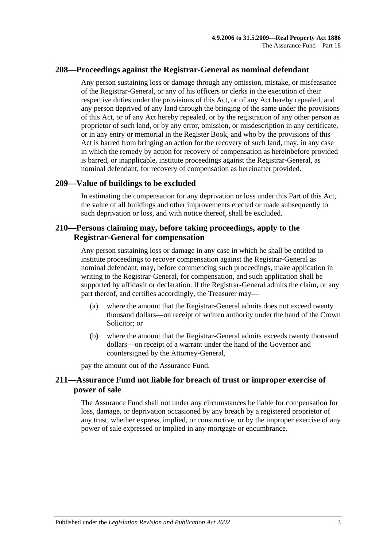## **208—Proceedings against the Registrar-General as nominal defendant**

Any person sustaining loss or damage through any omission, mistake, or misfeasance of the Registrar-General, or any of his officers or clerks in the execution of their respective duties under the provisions of this Act, or of any Act hereby repealed, and any person deprived of any land through the bringing of the same under the provisions of this Act, or of any Act hereby repealed, or by the registration of any other person as proprietor of such land, or by any error, omission, or misdescription in any certificate, or in any entry or memorial in the Register Book, and who by the provisions of this Act is barred from bringing an action for the recovery of such land, may, in any case in which the remedy by action for recovery of compensation as hereinbefore provided is barred, or inapplicable, institute proceedings against the Registrar-General, as nominal defendant, for recovery of compensation as hereinafter provided.

### **209—Value of buildings to be excluded**

In estimating the compensation for any deprivation or loss under this Part of this Act, the value of all buildings and other improvements erected or made subsequently to such deprivation or loss, and with notice thereof, shall be excluded.

## **210—Persons claiming may, before taking proceedings, apply to the Registrar-General for compensation**

Any person sustaining loss or damage in any case in which he shall be entitled to institute proceedings to recover compensation against the Registrar-General as nominal defendant, may, before commencing such proceedings, make application in writing to the Registrar-General, for compensation, and such application shall be supported by affidavit or declaration. If the Registrar-General admits the claim, or any part thereof, and certifies accordingly, the Treasurer may—

- (a) where the amount that the Registrar-General admits does not exceed twenty thousand dollars—on receipt of written authority under the hand of the Crown Solicitor; or
- (b) where the amount that the Registrar-General admits exceeds twenty thousand dollars—on receipt of a warrant under the hand of the Governor and countersigned by the Attorney-General,

pay the amount out of the Assurance Fund.

# **211—Assurance Fund not liable for breach of trust or improper exercise of power of sale**

The Assurance Fund shall not under any circumstances be liable for compensation for loss, damage, or deprivation occasioned by any breach by a registered proprietor of any trust, whether express, implied, or constructive, or by the improper exercise of any power of sale expressed or implied in any mortgage or encumbrance.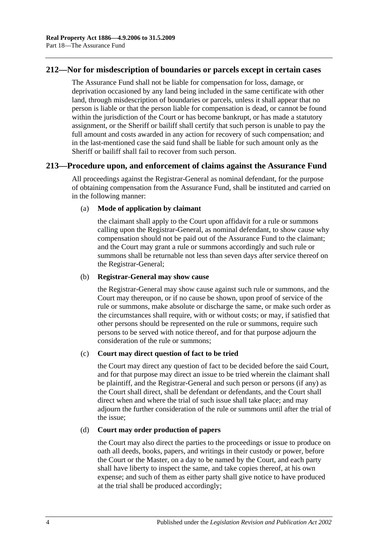## **212—Nor for misdescription of boundaries or parcels except in certain cases**

The Assurance Fund shall not be liable for compensation for loss, damage, or deprivation occasioned by any land being included in the same certificate with other land, through misdescription of boundaries or parcels, unless it shall appear that no person is liable or that the person liable for compensation is dead, or cannot be found within the jurisdiction of the Court or has become bankrupt, or has made a statutory assignment, or the Sheriff or bailiff shall certify that such person is unable to pay the full amount and costs awarded in any action for recovery of such compensation; and in the last-mentioned case the said fund shall be liable for such amount only as the Sheriff or bailiff shall fail to recover from such person.

### **213—Procedure upon, and enforcement of claims against the Assurance Fund**

All proceedings against the Registrar-General as nominal defendant, for the purpose of obtaining compensation from the Assurance Fund, shall be instituted and carried on in the following manner:

### (a) **Mode of application by claimant**

the claimant shall apply to the Court upon affidavit for a rule or summons calling upon the Registrar-General, as nominal defendant, to show cause why compensation should not be paid out of the Assurance Fund to the claimant; and the Court may grant a rule or summons accordingly and such rule or summons shall be returnable not less than seven days after service thereof on the Registrar-General;

#### (b) **Registrar-General may show cause**

the Registrar-General may show cause against such rule or summons, and the Court may thereupon, or if no cause be shown, upon proof of service of the rule or summons, make absolute or discharge the same, or make such order as the circumstances shall require, with or without costs; or may, if satisfied that other persons should be represented on the rule or summons, require such persons to be served with notice thereof, and for that purpose adjourn the consideration of the rule or summons;

### (c) **Court may direct question of fact to be tried**

the Court may direct any question of fact to be decided before the said Court, and for that purpose may direct an issue to be tried wherein the claimant shall be plaintiff, and the Registrar-General and such person or persons (if any) as the Court shall direct, shall be defendant or defendants, and the Court shall direct when and where the trial of such issue shall take place; and may adjourn the further consideration of the rule or summons until after the trial of the issue;

### (d) **Court may order production of papers**

the Court may also direct the parties to the proceedings or issue to produce on oath all deeds, books, papers, and writings in their custody or power, before the Court or the Master, on a day to be named by the Court, and each party shall have liberty to inspect the same, and take copies thereof, at his own expense; and such of them as either party shall give notice to have produced at the trial shall be produced accordingly;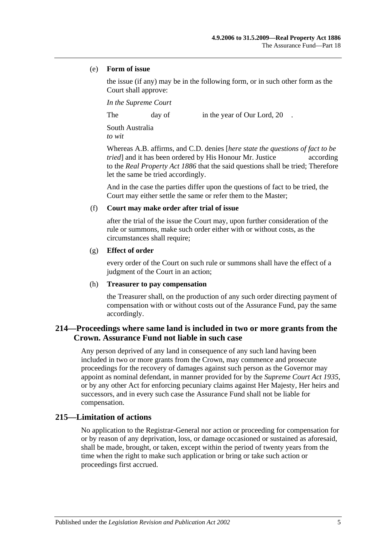#### (e) **Form of issue**

the issue (if any) may be in the following form, or in such other form as the Court shall approve:

*In the Supreme Court*

The day of in the year of Our Lord, 20

South Australia *to wit*

Whereas A.B. affirms, and C.D. denies [*here state the questions of fact to be tried* and it has been ordered by His Honour Mr. Justice according to the *[Real Property Act](http://www.legislation.sa.gov.au/index.aspx?action=legref&type=act&legtitle=Real%20Property%20Act%201886) 1886* that the said questions shall be tried; Therefore let the same be tried accordingly.

And in the case the parties differ upon the questions of fact to be tried, the Court may either settle the same or refer them to the Master;

### (f) **Court may make order after trial of issue**

after the trial of the issue the Court may, upon further consideration of the rule or summons, make such order either with or without costs, as the circumstances shall require;

### (g) **Effect of order**

every order of the Court on such rule or summons shall have the effect of a judgment of the Court in an action;

### (h) **Treasurer to pay compensation**

the Treasurer shall, on the production of any such order directing payment of compensation with or without costs out of the Assurance Fund, pay the same accordingly.

# **214—Proceedings where same land is included in two or more grants from the Crown. Assurance Fund not liable in such case**

Any person deprived of any land in consequence of any such land having been included in two or more grants from the Crown, may commence and prosecute proceedings for the recovery of damages against such person as the Governor may appoint as nominal defendant, in manner provided for by the *[Supreme Court Act](http://www.legislation.sa.gov.au/index.aspx?action=legref&type=act&legtitle=Supreme%20Court%20Act%201935) 1935*, or by any other Act for enforcing pecuniary claims against Her Majesty, Her heirs and successors, and in every such case the Assurance Fund shall not be liable for compensation.

# **215—Limitation of actions**

No application to the Registrar-General nor action or proceeding for compensation for or by reason of any deprivation, loss, or damage occasioned or sustained as aforesaid, shall be made, brought, or taken, except within the period of twenty years from the time when the right to make such application or bring or take such action or proceedings first accrued.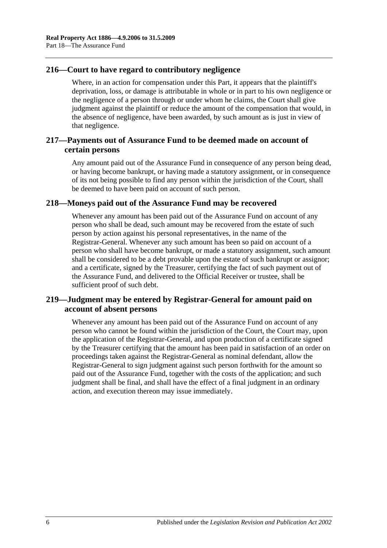# **216—Court to have regard to contributory negligence**

Where, in an action for compensation under this Part, it appears that the plaintiff's deprivation, loss, or damage is attributable in whole or in part to his own negligence or the negligence of a person through or under whom he claims, the Court shall give judgment against the plaintiff or reduce the amount of the compensation that would, in the absence of negligence, have been awarded, by such amount as is just in view of that negligence.

# **217—Payments out of Assurance Fund to be deemed made on account of certain persons**

Any amount paid out of the Assurance Fund in consequence of any person being dead, or having become bankrupt, or having made a statutory assignment, or in consequence of its not being possible to find any person within the jurisdiction of the Court, shall be deemed to have been paid on account of such person.

# **218—Moneys paid out of the Assurance Fund may be recovered**

Whenever any amount has been paid out of the Assurance Fund on account of any person who shall be dead, such amount may be recovered from the estate of such person by action against his personal representatives, in the name of the Registrar-General. Whenever any such amount has been so paid on account of a person who shall have become bankrupt, or made a statutory assignment, such amount shall be considered to be a debt provable upon the estate of such bankrupt or assignor; and a certificate, signed by the Treasurer, certifying the fact of such payment out of the Assurance Fund, and delivered to the Official Receiver or trustee, shall be sufficient proof of such debt.

# **219—Judgment may be entered by Registrar-General for amount paid on account of absent persons**

Whenever any amount has been paid out of the Assurance Fund on account of any person who cannot be found within the jurisdiction of the Court, the Court may, upon the application of the Registrar-General, and upon production of a certificate signed by the Treasurer certifying that the amount has been paid in satisfaction of an order on proceedings taken against the Registrar-General as nominal defendant, allow the Registrar-General to sign judgment against such person forthwith for the amount so paid out of the Assurance Fund, together with the costs of the application; and such judgment shall be final, and shall have the effect of a final judgment in an ordinary action, and execution thereon may issue immediately.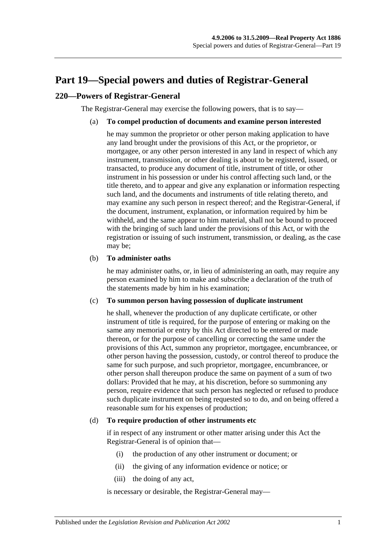# <span id="page-96-0"></span>**Part 19—Special powers and duties of Registrar-General**

## **220—Powers of Registrar-General**

The Registrar-General may exercise the following powers, that is to say—

### (a) **To compel production of documents and examine person interested**

he may summon the proprietor or other person making application to have any land brought under the provisions of this Act, or the proprietor, or mortgagee, or any other person interested in any land in respect of which any instrument, transmission, or other dealing is about to be registered, issued, or transacted, to produce any document of title, instrument of title, or other instrument in his possession or under his control affecting such land, or the title thereto, and to appear and give any explanation or information respecting such land, and the documents and instruments of title relating thereto, and may examine any such person in respect thereof; and the Registrar-General, if the document, instrument, explanation, or information required by him be withheld, and the same appear to him material, shall not be bound to proceed with the bringing of such land under the provisions of this Act, or with the registration or issuing of such instrument, transmission, or dealing, as the case may be;

#### (b) **To administer oaths**

he may administer oaths, or, in lieu of administering an oath, may require any person examined by him to make and subscribe a declaration of the truth of the statements made by him in his examination;

#### (c) **To summon person having possession of duplicate instrument**

he shall, whenever the production of any duplicate certificate, or other instrument of title is required, for the purpose of entering or making on the same any memorial or entry by this Act directed to be entered or made thereon, or for the purpose of cancelling or correcting the same under the provisions of this Act, summon any proprietor, mortgagee, encumbrancee, or other person having the possession, custody, or control thereof to produce the same for such purpose, and such proprietor, mortgagee, encumbrancee, or other person shall thereupon produce the same on payment of a sum of two dollars: Provided that he may, at his discretion, before so summoning any person, require evidence that such person has neglected or refused to produce such duplicate instrument on being requested so to do, and on being offered a reasonable sum for his expenses of production;

#### <span id="page-96-1"></span>(d) **To require production of other instruments etc**

if in respect of any instrument or other matter arising under this Act the Registrar-General is of opinion that—

- (i) the production of any other instrument or document; or
- (ii) the giving of any information evidence or notice; or
- (iii) the doing of any act,

is necessary or desirable, the Registrar-General may—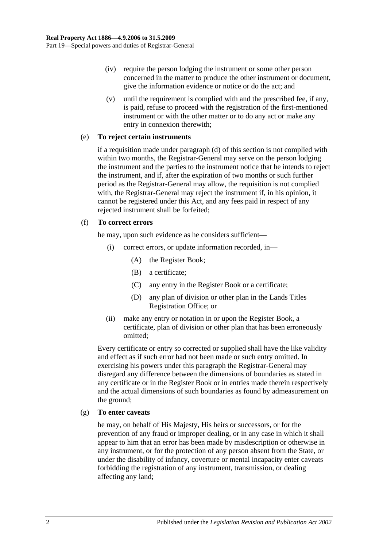- (iv) require the person lodging the instrument or some other person concerned in the matter to produce the other instrument or document, give the information evidence or notice or do the act; and
- (v) until the requirement is complied with and the prescribed fee, if any, is paid, refuse to proceed with the registration of the first-mentioned instrument or with the other matter or to do any act or make any entry in connexion therewith;

### (e) **To reject certain instruments**

if a requisition made under [paragraph](#page-96-1) (d) of this section is not complied with within two months, the Registrar-General may serve on the person lodging the instrument and the parties to the instrument notice that he intends to reject the instrument, and if, after the expiration of two months or such further period as the Registrar-General may allow, the requisition is not complied with, the Registrar-General may reject the instrument if, in his opinion, it cannot be registered under this Act, and any fees paid in respect of any rejected instrument shall be forfeited;

### (f) **To correct errors**

he may, upon such evidence as he considers sufficient—

- (i) correct errors, or update information recorded, in—
	- (A) the Register Book;
	- (B) a certificate;
	- (C) any entry in the Register Book or a certificate;
	- (D) any plan of division or other plan in the Lands Titles Registration Office; or
- (ii) make any entry or notation in or upon the Register Book, a certificate, plan of division or other plan that has been erroneously omitted;

Every certificate or entry so corrected or supplied shall have the like validity and effect as if such error had not been made or such entry omitted. In exercising his powers under this paragraph the Registrar-General may disregard any difference between the dimensions of boundaries as stated in any certificate or in the Register Book or in entries made therein respectively and the actual dimensions of such boundaries as found by admeasurement on the ground;

### (g) **To enter caveats**

he may, on behalf of His Majesty, His heirs or successors, or for the prevention of any fraud or improper dealing, or in any case in which it shall appear to him that an error has been made by misdescription or otherwise in any instrument, or for the protection of any person absent from the State, or under the disability of infancy, coverture or mental incapacity enter caveats forbidding the registration of any instrument, transmission, or dealing affecting any land;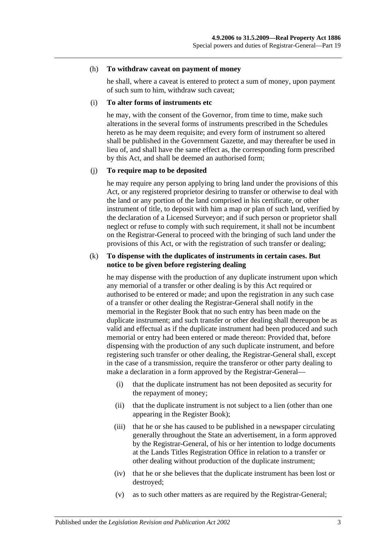#### (h) **To withdraw caveat on payment of money**

he shall, where a caveat is entered to protect a sum of money, upon payment of such sum to him, withdraw such caveat;

#### (i) **To alter forms of instruments etc**

he may, with the consent of the Governor, from time to time, make such alterations in the several forms of instruments prescribed in the Schedules hereto as he may deem requisite; and every form of instrument so altered shall be published in the Government Gazette, and may thereafter be used in lieu of, and shall have the same effect as, the corresponding form prescribed by this Act, and shall be deemed an authorised form;

### (j) **To require map to be deposited**

he may require any person applying to bring land under the provisions of this Act, or any registered proprietor desiring to transfer or otherwise to deal with the land or any portion of the land comprised in his certificate, or other instrument of title, to deposit with him a map or plan of such land, verified by the declaration of a Licensed Surveyor; and if such person or proprietor shall neglect or refuse to comply with such requirement, it shall not be incumbent on the Registrar-General to proceed with the bringing of such land under the provisions of this Act, or with the registration of such transfer or dealing;

### (k) **To dispense with the duplicates of instruments in certain cases. But notice to be given before registering dealing**

he may dispense with the production of any duplicate instrument upon which any memorial of a transfer or other dealing is by this Act required or authorised to be entered or made; and upon the registration in any such case of a transfer or other dealing the Registrar-General shall notify in the memorial in the Register Book that no such entry has been made on the duplicate instrument; and such transfer or other dealing shall thereupon be as valid and effectual as if the duplicate instrument had been produced and such memorial or entry had been entered or made thereon: Provided that, before dispensing with the production of any such duplicate instrument, and before registering such transfer or other dealing, the Registrar-General shall, except in the case of a transmission, require the transferor or other party dealing to make a declaration in a form approved by the Registrar-General—

- (i) that the duplicate instrument has not been deposited as security for the repayment of money;
- (ii) that the duplicate instrument is not subject to a lien (other than one appearing in the Register Book);
- (iii) that he or she has caused to be published in a newspaper circulating generally throughout the State an advertisement, in a form approved by the Registrar-General, of his or her intention to lodge documents at the Lands Titles Registration Office in relation to a transfer or other dealing without production of the duplicate instrument;
- (iv) that he or she believes that the duplicate instrument has been lost or destroyed;
- (v) as to such other matters as are required by the Registrar-General;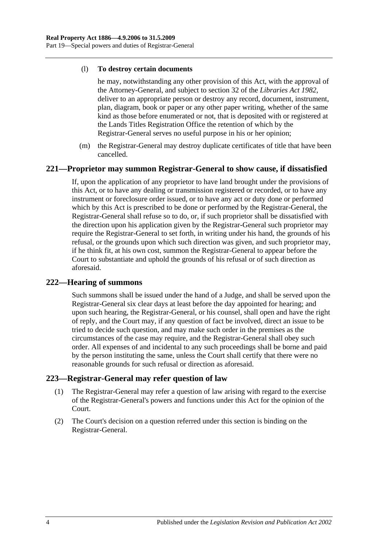### (l) **To destroy certain documents**

he may, notwithstanding any other provision of this Act, with the approval of the Attorney-General, and subject to section 32 of the *[Libraries Act](http://www.legislation.sa.gov.au/index.aspx?action=legref&type=act&legtitle=Libraries%20Act%201982) 1982*, deliver to an appropriate person or destroy any record, document, instrument, plan, diagram, book or paper or any other paper writing, whether of the same kind as those before enumerated or not, that is deposited with or registered at the Lands Titles Registration Office the retention of which by the Registrar-General serves no useful purpose in his or her opinion;

(m) the Registrar-General may destroy duplicate certificates of title that have been cancelled.

### **221—Proprietor may summon Registrar-General to show cause, if dissatisfied**

If, upon the application of any proprietor to have land brought under the provisions of this Act, or to have any dealing or transmission registered or recorded, or to have any instrument or foreclosure order issued, or to have any act or duty done or performed which by this Act is prescribed to be done or performed by the Registrar-General, the Registrar-General shall refuse so to do, or, if such proprietor shall be dissatisfied with the direction upon his application given by the Registrar-General such proprietor may require the Registrar-General to set forth, in writing under his hand, the grounds of his refusal, or the grounds upon which such direction was given, and such proprietor may, if he think fit, at his own cost, summon the Registrar-General to appear before the Court to substantiate and uphold the grounds of his refusal or of such direction as aforesaid.

# **222—Hearing of summons**

Such summons shall be issued under the hand of a Judge, and shall be served upon the Registrar-General six clear days at least before the day appointed for hearing; and upon such hearing, the Registrar-General, or his counsel, shall open and have the right of reply, and the Court may, if any question of fact be involved, direct an issue to be tried to decide such question, and may make such order in the premises as the circumstances of the case may require, and the Registrar-General shall obey such order. All expenses of and incidental to any such proceedings shall be borne and paid by the person instituting the same, unless the Court shall certify that there were no reasonable grounds for such refusal or direction as aforesaid.

# **223—Registrar-General may refer question of law**

- (1) The Registrar-General may refer a question of law arising with regard to the exercise of the Registrar-General's powers and functions under this Act for the opinion of the Court.
- (2) The Court's decision on a question referred under this section is binding on the Registrar-General.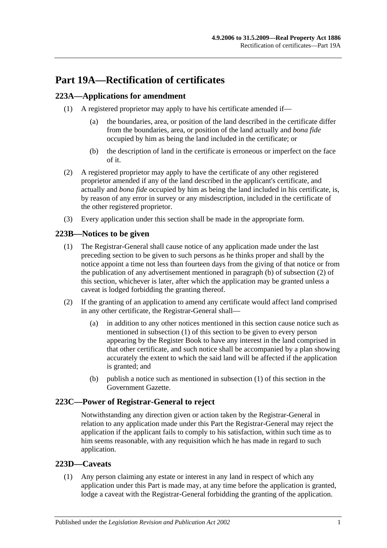# **Part 19A—Rectification of certificates**

# <span id="page-100-3"></span>**223A—Applications for amendment**

- (1) A registered proprietor may apply to have his certificate amended if—
	- (a) the boundaries, area, or position of the land described in the certificate differ from the boundaries, area, or position of the land actually and *bona fide* occupied by him as being the land included in the certificate; or
	- (b) the description of land in the certificate is erroneous or imperfect on the face of it.
- (2) A registered proprietor may apply to have the certificate of any other registered proprietor amended if any of the land described in the applicant's certificate, and actually and *bona fide* occupied by him as being the land included in his certificate, is, by reason of any error in survey or any misdescription, included in the certificate of the other registered proprietor.
- (3) Every application under this section shall be made in the appropriate form.

# <span id="page-100-2"></span>**223B—Notices to be given**

- (1) The Registrar-General shall cause notice of any application made under the last preceding section to be given to such persons as he thinks proper and shall by the notice appoint a time not less than fourteen days from the giving of that notice or from the publication of any advertisement mentioned in [paragraph](#page-100-0) (b) of [subsection](#page-100-1) (2) of this section, whichever is later, after which the application may be granted unless a caveat is lodged forbidding the granting thereof.
- <span id="page-100-1"></span>(2) If the granting of an application to amend any certificate would affect land comprised in any other certificate, the Registrar-General shall—
	- (a) in addition to any other notices mentioned in this section cause notice such as mentioned in [subsection](#page-100-2) (1) of this section to be given to every person appearing by the Register Book to have any interest in the land comprised in that other certificate, and such notice shall be accompanied by a plan showing accurately the extent to which the said land will be affected if the application is granted; and
	- (b) publish a notice such as mentioned in [subsection](#page-100-2) (1) of this section in the Government Gazette.

# <span id="page-100-0"></span>**223C—Power of Registrar-General to reject**

Notwithstanding any direction given or action taken by the Registrar-General in relation to any application made under this Part the Registrar-General may reject the application if the applicant fails to comply to his satisfaction, within such time as to him seems reasonable, with any requisition which he has made in regard to such application.

# **223D—Caveats**

(1) Any person claiming any estate or interest in any land in respect of which any application under this Part is made may, at any time before the application is granted, lodge a caveat with the Registrar-General forbidding the granting of the application.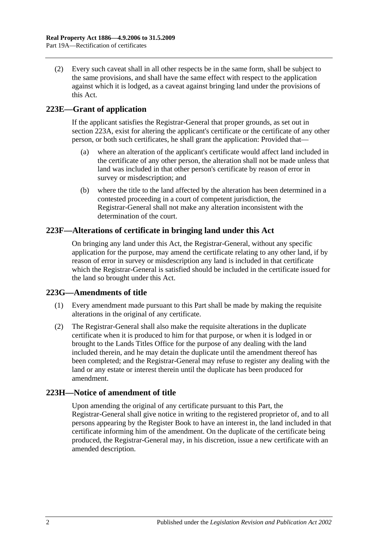(2) Every such caveat shall in all other respects be in the same form, shall be subject to the same provisions, and shall have the same effect with respect to the application against which it is lodged, as a caveat against bringing land under the provisions of this Act.

# **223E—Grant of application**

If the applicant satisfies the Registrar-General that proper grounds, as set out in [section](#page-100-3) 223A, exist for altering the applicant's certificate or the certificate of any other person, or both such certificates, he shall grant the application: Provided that—

- (a) where an alteration of the applicant's certificate would affect land included in the certificate of any other person, the alteration shall not be made unless that land was included in that other person's certificate by reason of error in survey or misdescription; and
- (b) where the title to the land affected by the alteration has been determined in a contested proceeding in a court of competent jurisdiction, the Registrar-General shall not make any alteration inconsistent with the determination of the court.

# **223F—Alterations of certificate in bringing land under this Act**

On bringing any land under this Act, the Registrar-General, without any specific application for the purpose, may amend the certificate relating to any other land, if by reason of error in survey or misdescription any land is included in that certificate which the Registrar-General is satisfied should be included in the certificate issued for the land so brought under this Act.

# **223G—Amendments of title**

- (1) Every amendment made pursuant to this Part shall be made by making the requisite alterations in the original of any certificate.
- (2) The Registrar-General shall also make the requisite alterations in the duplicate certificate when it is produced to him for that purpose, or when it is lodged in or brought to the Lands Titles Office for the purpose of any dealing with the land included therein, and he may detain the duplicate until the amendment thereof has been completed; and the Registrar-General may refuse to register any dealing with the land or any estate or interest therein until the duplicate has been produced for amendment.

# **223H—Notice of amendment of title**

Upon amending the original of any certificate pursuant to this Part, the Registrar-General shall give notice in writing to the registered proprietor of, and to all persons appearing by the Register Book to have an interest in, the land included in that certificate informing him of the amendment. On the duplicate of the certificate being produced, the Registrar-General may, in his discretion, issue a new certificate with an amended description.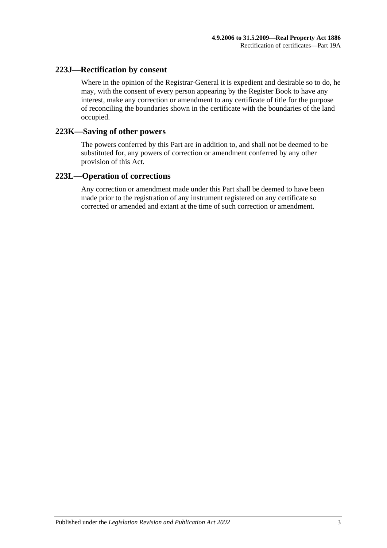# **223J—Rectification by consent**

Where in the opinion of the Registrar-General it is expedient and desirable so to do, he may, with the consent of every person appearing by the Register Book to have any interest, make any correction or amendment to any certificate of title for the purpose of reconciling the boundaries shown in the certificate with the boundaries of the land occupied.

### **223K—Saving of other powers**

The powers conferred by this Part are in addition to, and shall not be deemed to be substituted for, any powers of correction or amendment conferred by any other provision of this Act.

## **223L—Operation of corrections**

Any correction or amendment made under this Part shall be deemed to have been made prior to the registration of any instrument registered on any certificate so corrected or amended and extant at the time of such correction or amendment.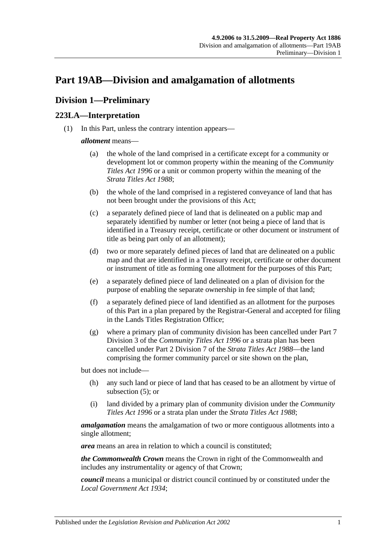# <span id="page-104-2"></span>**Part 19AB—Division and amalgamation of allotments**

# **Division 1—Preliminary**

# <span id="page-104-1"></span>**223LA—Interpretation**

(1) In this Part, unless the contrary intention appears—

### *allotment* means—

- (a) the whole of the land comprised in a certificate except for a community or development lot or common property within the meaning of the *[Community](http://www.legislation.sa.gov.au/index.aspx?action=legref&type=act&legtitle=Community%20Titles%20Act%201996)  [Titles Act](http://www.legislation.sa.gov.au/index.aspx?action=legref&type=act&legtitle=Community%20Titles%20Act%201996) 1996* or a unit or common property within the meaning of the *[Strata Titles Act](http://www.legislation.sa.gov.au/index.aspx?action=legref&type=act&legtitle=Strata%20Titles%20Act%201988) 1988*;
- (b) the whole of the land comprised in a registered conveyance of land that has not been brought under the provisions of this Act;
- (c) a separately defined piece of land that is delineated on a public map and separately identified by number or letter (not being a piece of land that is identified in a Treasury receipt, certificate or other document or instrument of title as being part only of an allotment);
- (d) two or more separately defined pieces of land that are delineated on a public map and that are identified in a Treasury receipt, certificate or other document or instrument of title as forming one allotment for the purposes of this Part;
- <span id="page-104-0"></span>(e) a separately defined piece of land delineated on a plan of division for the purpose of enabling the separate ownership in fee simple of that land;
- (f) a separately defined piece of land identified as an allotment for the purposes of this Part in a plan prepared by the Registrar-General and accepted for filing in the Lands Titles Registration Office;
- (g) where a primary plan of community division has been cancelled under Part 7 Division 3 of the *[Community Titles Act](http://www.legislation.sa.gov.au/index.aspx?action=legref&type=act&legtitle=Community%20Titles%20Act%201996) 1996* or a strata plan has been cancelled under Part 2 Division 7 of the *[Strata Titles Act](http://www.legislation.sa.gov.au/index.aspx?action=legref&type=act&legtitle=Strata%20Titles%20Act%201988) 1988*—the land comprising the former community parcel or site shown on the plan,

but does not include—

- (h) any such land or piece of land that has ceased to be an allotment by virtue of [subsection](#page-106-0) (5); or
- (i) land divided by a primary plan of community division under the *[Community](http://www.legislation.sa.gov.au/index.aspx?action=legref&type=act&legtitle=Community%20Titles%20Act%201996)  [Titles Act](http://www.legislation.sa.gov.au/index.aspx?action=legref&type=act&legtitle=Community%20Titles%20Act%201996) 1996* or a strata plan under the *[Strata Titles Act](http://www.legislation.sa.gov.au/index.aspx?action=legref&type=act&legtitle=Strata%20Titles%20Act%201988) 1988*;

*amalgamation* means the amalgamation of two or more contiguous allotments into a single allotment;

*area* means an area in relation to which a council is constituted;

*the Commonwealth Crown* means the Crown in right of the Commonwealth and includes any instrumentality or agency of that Crown;

*council* means a municipal or district council continued by or constituted under the *[Local Government Act](http://www.legislation.sa.gov.au/index.aspx?action=legref&type=act&legtitle=Local%20Government%20Act%201934) 1934*;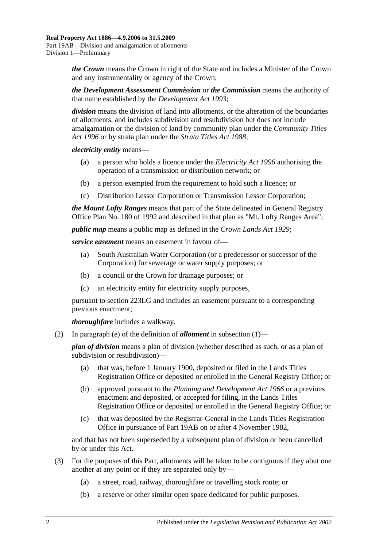*the Crown* means the Crown in right of the State and includes a Minister of the Crown and any instrumentality or agency of the Crown;

*the Development Assessment Commission* or *the Commission* means the authority of that name established by the *[Development Act](http://www.legislation.sa.gov.au/index.aspx?action=legref&type=act&legtitle=Development%20Act%201993) 1993*;

*division* means the division of land into allotments, or the alteration of the boundaries of allotments, and includes subdivision and resubdivision but does not include amalgamation or the division of land by community plan under the *[Community Titles](http://www.legislation.sa.gov.au/index.aspx?action=legref&type=act&legtitle=Community%20Titles%20Act%201996)  Act [1996](http://www.legislation.sa.gov.au/index.aspx?action=legref&type=act&legtitle=Community%20Titles%20Act%201996)* or by strata plan under the *[Strata Titles Act](http://www.legislation.sa.gov.au/index.aspx?action=legref&type=act&legtitle=Strata%20Titles%20Act%201988) 1988*;

*electricity entity* means—

- (a) a person who holds a licence under the *[Electricity Act](http://www.legislation.sa.gov.au/index.aspx?action=legref&type=act&legtitle=Electricity%20Act%201996) 1996* authorising the operation of a transmission or distribution network; or
- (b) a person exempted from the requirement to hold such a licence; or
- (c) Distribution Lessor Corporation or Transmission Lessor Corporation;

*the Mount Lofty Ranges* means that part of the State delineated in General Registry Office Plan No. 180 of 1992 and described in that plan as "Mt. Lofty Ranges Area";

*public map* means a public map as defined in the *[Crown Lands Act](http://www.legislation.sa.gov.au/index.aspx?action=legref&type=act&legtitle=Crown%20Lands%20Act%201929) 1929*;

*service easement* means an easement in favour of—

- (a) South Australian Water Corporation (or a predecessor or successor of the Corporation) for sewerage or water supply purposes; or
- (b) a council or the Crown for drainage purposes; or
- (c) an electricity entity for electricity supply purposes,

pursuant to [section](#page-110-0) 223LG and includes an easement pursuant to a corresponding previous enactment;

*thoroughfare* includes a walkway.

(2) In [paragraph](#page-104-0) (e) of the definition of *allotment* in [subsection](#page-104-1) (1)—

*plan of division* means a plan of division (whether described as such, or as a plan of subdivision or resubdivision)—

- (a) that was, before 1 January 1900, deposited or filed in the Lands Titles Registration Office or deposited or enrolled in the General Registry Office; or
- (b) approved pursuant to the *[Planning and Development Act](http://www.legislation.sa.gov.au/index.aspx?action=legref&type=act&legtitle=Planning%20and%20Development%20Act%201966) 1966* or a previous enactment and deposited, or accepted for filing, in the Lands Titles Registration Office or deposited or enrolled in the General Registry Office; or
- (c) that was deposited by the Registrar-General in the Lands Titles Registration Office in pursuance of [Part 19AB](#page-104-2) on or after 4 November 1982,

and that has not been superseded by a subsequent plan of division or been cancelled by or under this Act.

- <span id="page-105-0"></span>(3) For the purposes of this Part, allotments will be taken to be contiguous if they abut one another at any point or if they are separated only by—
	- (a) a street, road, railway, thoroughfare or travelling stock route; or
	- (b) a reserve or other similar open space dedicated for public purposes.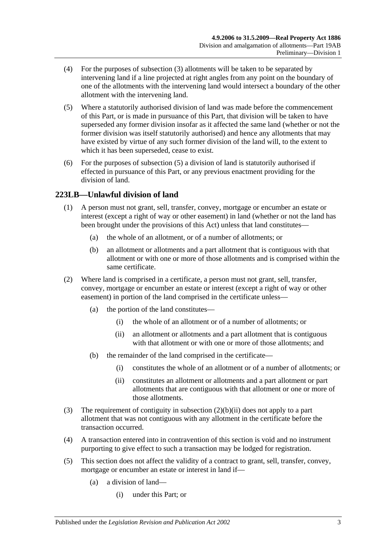- (4) For the purposes of [subsection](#page-105-0) (3) allotments will be taken to be separated by intervening land if a line projected at right angles from any point on the boundary of one of the allotments with the intervening land would intersect a boundary of the other allotment with the intervening land.
- <span id="page-106-0"></span>(5) Where a statutorily authorised division of land was made before the commencement of this Part, or is made in pursuance of this Part, that division will be taken to have superseded any former division insofar as it affected the same land (whether or not the former division was itself statutorily authorised) and hence any allotments that may have existed by virtue of any such former division of the land will, to the extent to which it has been superseded, cease to exist.
- (6) For the purposes of [subsection](#page-106-0) (5) a division of land is statutorily authorised if effected in pursuance of this Part, or any previous enactment providing for the division of land.

# **223LB—Unlawful division of land**

- (1) A person must not grant, sell, transfer, convey, mortgage or encumber an estate or interest (except a right of way or other easement) in land (whether or not the land has been brought under the provisions of this Act) unless that land constitutes—
	- (a) the whole of an allotment, or of a number of allotments; or
	- (b) an allotment or allotments and a part allotment that is contiguous with that allotment or with one or more of those allotments and is comprised within the same certificate.
- (2) Where land is comprised in a certificate, a person must not grant, sell, transfer, convey, mortgage or encumber an estate or interest (except a right of way or other easement) in portion of the land comprised in the certificate unless—
	- (a) the portion of the land constitutes—
		- (i) the whole of an allotment or of a number of allotments; or
		- (ii) an allotment or allotments and a part allotment that is contiguous with that allotment or with one or more of those allotments; and
	- (b) the remainder of the land comprised in the certificate—
		- (i) constitutes the whole of an allotment or of a number of allotments; or
		- (ii) constitutes an allotment or allotments and a part allotment or part allotments that are contiguous with that allotment or one or more of those allotments.
- <span id="page-106-1"></span>(3) The requirement of contiguity in [subsection](#page-106-1) (2)(b)(ii) does not apply to a part allotment that was not contiguous with any allotment in the certificate before the transaction occurred.
- (4) A transaction entered into in contravention of this section is void and no instrument purporting to give effect to such a transaction may be lodged for registration.
- (5) This section does not affect the validity of a contract to grant, sell, transfer, convey, mortgage or encumber an estate or interest in land if—
	- (a) a division of land—
		- (i) under this Part; or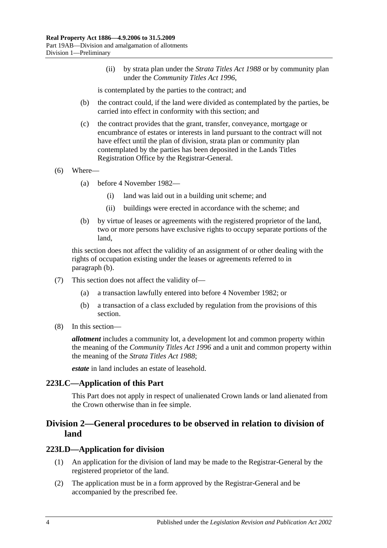(ii) by strata plan under the *[Strata Titles Act](http://www.legislation.sa.gov.au/index.aspx?action=legref&type=act&legtitle=Strata%20Titles%20Act%201988) 1988* or by community plan under the *[Community Titles Act](http://www.legislation.sa.gov.au/index.aspx?action=legref&type=act&legtitle=Community%20Titles%20Act%201996) 1996*,

is contemplated by the parties to the contract; and

- (b) the contract could, if the land were divided as contemplated by the parties, be carried into effect in conformity with this section; and
- (c) the contract provides that the grant, transfer, conveyance, mortgage or encumbrance of estates or interests in land pursuant to the contract will not have effect until the plan of division, strata plan or community plan contemplated by the parties has been deposited in the Lands Titles Registration Office by the Registrar-General.
- (6) Where—
	- (a) before 4 November 1982—
		- (i) land was laid out in a building unit scheme; and
		- (ii) buildings were erected in accordance with the scheme; and
	- (b) by virtue of leases or agreements with the registered proprietor of the land, two or more persons have exclusive rights to occupy separate portions of the land,

<span id="page-107-0"></span>this section does not affect the validity of an assignment of or other dealing with the rights of occupation existing under the leases or agreements referred to in [paragraph](#page-107-0) (b).

- (7) This section does not affect the validity of—
	- (a) a transaction lawfully entered into before 4 November 1982; or
	- (b) a transaction of a class excluded by regulation from the provisions of this section.
- (8) In this section—

*allotment* includes a community lot, a development lot and common property within the meaning of the *[Community Titles Act](http://www.legislation.sa.gov.au/index.aspx?action=legref&type=act&legtitle=Community%20Titles%20Act%201996) 1996* and a unit and common property within the meaning of the *[Strata Titles Act](http://www.legislation.sa.gov.au/index.aspx?action=legref&type=act&legtitle=Strata%20Titles%20Act%201988) 1988*;

*estate* in land includes an estate of leasehold.

### **223LC—Application of this Part**

This Part does not apply in respect of unalienated Crown lands or land alienated from the Crown otherwise than in fee simple.

# **Division 2—General procedures to be observed in relation to division of land**

### **223LD—Application for division**

- (1) An application for the division of land may be made to the Registrar-General by the registered proprietor of the land.
- (2) The application must be in a form approved by the Registrar-General and be accompanied by the prescribed fee.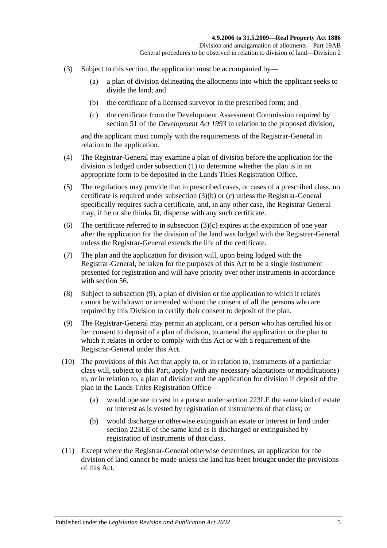- <span id="page-108-0"></span>(3) Subject to this section, the application must be accompanied by—
	- (a) a plan of division delineating the allotments into which the applicant seeks to divide the land; and
	- (b) the certificate of a licensed surveyor in the prescribed form; and
	- (c) the certificate from the Development Assessment Commission required by section 51 of the *[Development Act](http://www.legislation.sa.gov.au/index.aspx?action=legref&type=act&legtitle=Development%20Act%201993) 1993* in relation to the proposed division,

<span id="page-108-1"></span>and the applicant must comply with the requirements of the Registrar-General in relation to the application.

- (4) The Registrar-General may examine a plan of division before the application for the division is lodged under [subsection](#page-107-0) (1) to determine whether the plan is in an appropriate form to be deposited in the Lands Titles Registration Office.
- (5) The regulations may provide that in prescribed cases, or cases of a prescribed class, no certificate is required under [subsection](#page-108-0) (3)(b) or [\(c\)](#page-108-1) unless the Registrar-General specifically requires such a certificate, and, in any other case, the Registrar-General may, if he or she thinks fit, dispense with any such certificate.
- (6) The certificate referred to in [subsection](#page-108-1)  $(3)(c)$  expires at the expiration of one year after the application for the division of the land was lodged with the Registrar-General unless the Registrar-General extends the life of the certificate.
- (7) The plan and the application for division will, upon being lodged with the Registrar-General, be taken for the purposes of this Act to be a single instrument presented for registration and will have priority over other instruments in accordance with [section](#page-29-0) 56.
- (8) Subject to [subsection](#page-108-2) (9), a plan of division or the application to which it relates cannot be withdrawn or amended without the consent of all the persons who are required by this Division to certify their consent to deposit of the plan.
- <span id="page-108-2"></span>(9) The Registrar-General may permit an applicant, or a person who has certified his or her consent to deposit of a plan of division, to amend the application or the plan to which it relates in order to comply with this Act or with a requirement of the Registrar-General under this Act.
- (10) The provisions of this Act that apply to, or in relation to, instruments of a particular class will, subject to this Part, apply (with any necessary adaptations or modifications) to, or in relation to, a plan of division and the application for division if deposit of the plan in the Lands Titles Registration Office—
	- (a) would operate to vest in a person under [section](#page-109-0) 223LE the same kind of estate or interest as is vested by registration of instruments of that class; or
	- (b) would discharge or otherwise extinguish an estate or interest in land under [section](#page-109-0) 223LE of the same kind as is discharged or extinguished by registration of instruments of that class.
- (11) Except where the Registrar-General otherwise determines, an application for the division of land cannot be made unless the land has been brought under the provisions of this Act.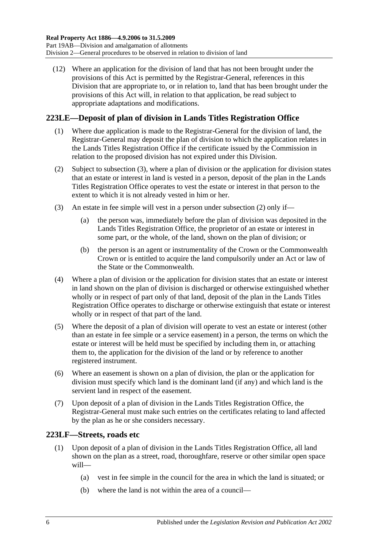(12) Where an application for the division of land that has not been brought under the provisions of this Act is permitted by the Registrar-General, references in this Division that are appropriate to, or in relation to, land that has been brought under the provisions of this Act will, in relation to that application, be read subject to appropriate adaptations and modifications.

## <span id="page-109-0"></span>**223LE—Deposit of plan of division in Lands Titles Registration Office**

- (1) Where due application is made to the Registrar-General for the division of land, the Registrar-General may deposit the plan of division to which the application relates in the Lands Titles Registration Office if the certificate issued by the Commission in relation to the proposed division has not expired under this Division.
- <span id="page-109-2"></span>(2) Subject to [subsection](#page-109-1) (3), where a plan of division or the application for division states that an estate or interest in land is vested in a person, deposit of the plan in the Lands Titles Registration Office operates to vest the estate or interest in that person to the extent to which it is not already vested in him or her.
- <span id="page-109-1"></span>(3) An estate in fee simple will vest in a person under [subsection](#page-109-2) (2) only if—
	- (a) the person was, immediately before the plan of division was deposited in the Lands Titles Registration Office, the proprietor of an estate or interest in some part, or the whole, of the land, shown on the plan of division; or
	- (b) the person is an agent or instrumentality of the Crown or the Commonwealth Crown or is entitled to acquire the land compulsorily under an Act or law of the State or the Commonwealth.
- (4) Where a plan of division or the application for division states that an estate or interest in land shown on the plan of division is discharged or otherwise extinguished whether wholly or in respect of part only of that land, deposit of the plan in the Lands Titles Registration Office operates to discharge or otherwise extinguish that estate or interest wholly or in respect of that part of the land.
- (5) Where the deposit of a plan of division will operate to vest an estate or interest (other than an estate in fee simple or a service easement) in a person, the terms on which the estate or interest will be held must be specified by including them in, or attaching them to, the application for the division of the land or by reference to another registered instrument.
- (6) Where an easement is shown on a plan of division, the plan or the application for division must specify which land is the dominant land (if any) and which land is the servient land in respect of the easement.
- (7) Upon deposit of a plan of division in the Lands Titles Registration Office, the Registrar-General must make such entries on the certificates relating to land affected by the plan as he or she considers necessary.

#### <span id="page-109-3"></span>**223LF—Streets, roads etc**

- (1) Upon deposit of a plan of division in the Lands Titles Registration Office, all land shown on the plan as a street, road, thoroughfare, reserve or other similar open space will—
	- (a) vest in fee simple in the council for the area in which the land is situated; or
	- (b) where the land is not within the area of a council—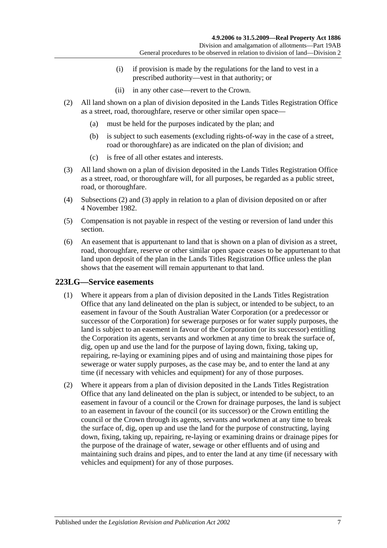- (i) if provision is made by the regulations for the land to vest in a prescribed authority—vest in that authority; or
- (ii) in any other case—revert to the Crown.
- <span id="page-110-0"></span>(2) All land shown on a plan of division deposited in the Lands Titles Registration Office as a street, road, thoroughfare, reserve or other similar open space—
	- (a) must be held for the purposes indicated by the plan; and
	- (b) is subject to such easements (excluding rights-of-way in the case of a street, road or thoroughfare) as are indicated on the plan of division; and
	- (c) is free of all other estates and interests.
- <span id="page-110-1"></span>(3) All land shown on a plan of division deposited in the Lands Titles Registration Office as a street, road, or thoroughfare will, for all purposes, be regarded as a public street, road, or thoroughfare.
- (4) [Subsections](#page-110-0) (2) and [\(3\)](#page-110-1) apply in relation to a plan of division deposited on or after 4 November 1982.
- (5) Compensation is not payable in respect of the vesting or reversion of land under this section.
- (6) An easement that is appurtenant to land that is shown on a plan of division as a street, road, thoroughfare, reserve or other similar open space ceases to be appurtenant to that land upon deposit of the plan in the Lands Titles Registration Office unless the plan shows that the easement will remain appurtenant to that land.

#### <span id="page-110-4"></span><span id="page-110-2"></span>**223LG—Service easements**

- (1) Where it appears from a plan of division deposited in the Lands Titles Registration Office that any land delineated on the plan is subject, or intended to be subject, to an easement in favour of the South Australian Water Corporation (or a predecessor or successor of the Corporation) for sewerage purposes or for water supply purposes, the land is subject to an easement in favour of the Corporation (or its successor) entitling the Corporation its agents, servants and workmen at any time to break the surface of, dig, open up and use the land for the purpose of laying down, fixing, taking up, repairing, re-laying or examining pipes and of using and maintaining those pipes for sewerage or water supply purposes, as the case may be, and to enter the land at any time (if necessary with vehicles and equipment) for any of those purposes.
- <span id="page-110-3"></span>(2) Where it appears from a plan of division deposited in the Lands Titles Registration Office that any land delineated on the plan is subject, or intended to be subject, to an easement in favour of a council or the Crown for drainage purposes, the land is subject to an easement in favour of the council (or its successor) or the Crown entitling the council or the Crown through its agents, servants and workmen at any time to break the surface of, dig, open up and use the land for the purpose of constructing, laying down, fixing, taking up, repairing, re-laying or examining drains or drainage pipes for the purpose of the drainage of water, sewage or other effluents and of using and maintaining such drains and pipes, and to enter the land at any time (if necessary with vehicles and equipment) for any of those purposes.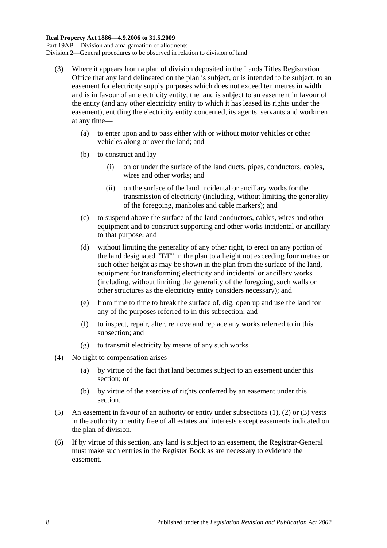- <span id="page-111-0"></span>(3) Where it appears from a plan of division deposited in the Lands Titles Registration Office that any land delineated on the plan is subject, or is intended to be subject, to an easement for electricity supply purposes which does not exceed ten metres in width and is in favour of an electricity entity, the land is subject to an easement in favour of the entity (and any other electricity entity to which it has leased its rights under the easement), entitling the electricity entity concerned, its agents, servants and workmen at any time—
	- (a) to enter upon and to pass either with or without motor vehicles or other vehicles along or over the land; and
	- (b) to construct and lay—
		- (i) on or under the surface of the land ducts, pipes, conductors, cables, wires and other works; and
		- (ii) on the surface of the land incidental or ancillary works for the transmission of electricity (including, without limiting the generality of the foregoing, manholes and cable markers); and
	- (c) to suspend above the surface of the land conductors, cables, wires and other equipment and to construct supporting and other works incidental or ancillary to that purpose; and
	- (d) without limiting the generality of any other right, to erect on any portion of the land designated "T/F" in the plan to a height not exceeding four metres or such other height as may be shown in the plan from the surface of the land, equipment for transforming electricity and incidental or ancillary works (including, without limiting the generality of the foregoing, such walls or other structures as the electricity entity considers necessary); and
	- (e) from time to time to break the surface of, dig, open up and use the land for any of the purposes referred to in this subsection; and
	- (f) to inspect, repair, alter, remove and replace any works referred to in this subsection; and
	- (g) to transmit electricity by means of any such works.
- (4) No right to compensation arises—
	- (a) by virtue of the fact that land becomes subject to an easement under this section; or
	- (b) by virtue of the exercise of rights conferred by an easement under this section.
- (5) An easement in favour of an authority or entity under [subsections](#page-110-2) (1), [\(2\)](#page-110-3) or [\(3\)](#page-111-0) vests in the authority or entity free of all estates and interests except easements indicated on the plan of division.
- (6) If by virtue of this section, any land is subject to an easement, the Registrar-General must make such entries in the Register Book as are necessary to evidence the easement.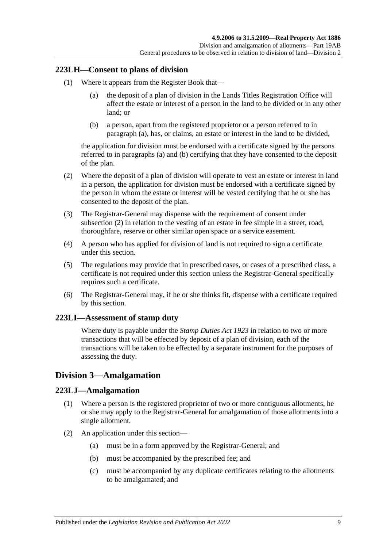#### **223LH—Consent to plans of division**

- <span id="page-112-0"></span>(1) Where it appears from the Register Book that—
	- (a) the deposit of a plan of division in the Lands Titles Registration Office will affect the estate or interest of a person in the land to be divided or in any other land; or
	- (b) a person, apart from the registered proprietor or a person referred to in [paragraph](#page-112-0) (a), has, or claims, an estate or interest in the land to be divided,

<span id="page-112-1"></span>the application for division must be endorsed with a certificate signed by the persons referred to in [paragraphs](#page-112-0) (a) and [\(b\)](#page-112-1) certifying that they have consented to the deposit of the plan.

- <span id="page-112-2"></span>(2) Where the deposit of a plan of division will operate to vest an estate or interest in land in a person, the application for division must be endorsed with a certificate signed by the person in whom the estate or interest will be vested certifying that he or she has consented to the deposit of the plan.
- (3) The Registrar-General may dispense with the requirement of consent under [subsection](#page-112-2) (2) in relation to the vesting of an estate in fee simple in a street, road, thoroughfare, reserve or other similar open space or a service easement.
- (4) A person who has applied for division of land is not required to sign a certificate under this section.
- (5) The regulations may provide that in prescribed cases, or cases of a prescribed class, a certificate is not required under this section unless the Registrar-General specifically requires such a certificate.
- (6) The Registrar-General may, if he or she thinks fit, dispense with a certificate required by this section.

#### **223LI—Assessment of stamp duty**

Where duty is payable under the *[Stamp Duties Act](http://www.legislation.sa.gov.au/index.aspx?action=legref&type=act&legtitle=Stamp%20Duties%20Act%201923) 1923* in relation to two or more transactions that will be effected by deposit of a plan of division, each of the transactions will be taken to be effected by a separate instrument for the purposes of assessing the duty.

## <span id="page-112-3"></span>**Division 3—Amalgamation**

#### **223LJ—Amalgamation**

- (1) Where a person is the registered proprietor of two or more contiguous allotments, he or she may apply to the Registrar-General for amalgamation of those allotments into a single allotment.
- (2) An application under this section—
	- (a) must be in a form approved by the Registrar-General; and
	- (b) must be accompanied by the prescribed fee; and
	- (c) must be accompanied by any duplicate certificates relating to the allotments to be amalgamated; and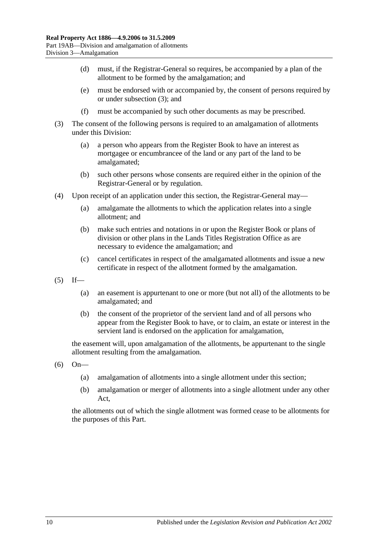- (d) must, if the Registrar-General so requires, be accompanied by a plan of the allotment to be formed by the amalgamation; and
- (e) must be endorsed with or accompanied by, the consent of persons required by or under [subsection](#page-113-0) (3); and
- (f) must be accompanied by such other documents as may be prescribed.
- <span id="page-113-0"></span>(3) The consent of the following persons is required to an amalgamation of allotments under this Division:
	- (a) a person who appears from the Register Book to have an interest as mortgagee or encumbrancee of the land or any part of the land to be amalgamated;
	- (b) such other persons whose consents are required either in the opinion of the Registrar-General or by regulation.
- (4) Upon receipt of an application under this section, the Registrar-General may—
	- (a) amalgamate the allotments to which the application relates into a single allotment; and
	- (b) make such entries and notations in or upon the Register Book or plans of division or other plans in the Lands Titles Registration Office as are necessary to evidence the amalgamation; and
	- (c) cancel certificates in respect of the amalgamated allotments and issue a new certificate in respect of the allotment formed by the amalgamation.
- $(5)$  If—
	- (a) an easement is appurtenant to one or more (but not all) of the allotments to be amalgamated; and
	- (b) the consent of the proprietor of the servient land and of all persons who appear from the Register Book to have, or to claim, an estate or interest in the servient land is endorsed on the application for amalgamation,

the easement will, upon amalgamation of the allotments, be appurtenant to the single allotment resulting from the amalgamation.

- (6) On—
	- (a) amalgamation of allotments into a single allotment under this section;
	- (b) amalgamation or merger of allotments into a single allotment under any other Act,

the allotments out of which the single allotment was formed cease to be allotments for the purposes of this Part.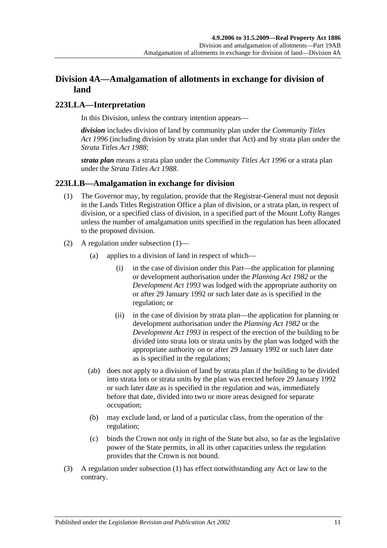## **Division 4A—Amalgamation of allotments in exchange for division of land**

#### **223LLA—Interpretation**

In this Division, unless the contrary intention appears—

*division* includes division of land by community plan under the *[Community Titles](http://www.legislation.sa.gov.au/index.aspx?action=legref&type=act&legtitle=Community%20Titles%20Act%201996)  Act [1996](http://www.legislation.sa.gov.au/index.aspx?action=legref&type=act&legtitle=Community%20Titles%20Act%201996)* (including division by strata plan under that Act) and by strata plan under the *[Strata Titles Act](http://www.legislation.sa.gov.au/index.aspx?action=legref&type=act&legtitle=Strata%20Titles%20Act%201988) 1988*;

*strata plan* means a strata plan under the *[Community Titles Act](http://www.legislation.sa.gov.au/index.aspx?action=legref&type=act&legtitle=Community%20Titles%20Act%201996) 1996* or a strata plan under the *[Strata Titles Act](http://www.legislation.sa.gov.au/index.aspx?action=legref&type=act&legtitle=Strata%20Titles%20Act%201988) 1988*.

#### <span id="page-114-0"></span>**223LLB—Amalgamation in exchange for division**

- (1) The Governor may, by regulation, provide that the Registrar-General must not deposit in the Lands Titles Registration Office a plan of division, or a strata plan, in respect of division, or a specified class of division, in a specified part of the Mount Lofty Ranges unless the number of amalgamation units specified in the regulation has been allocated to the proposed division.
- (2) A regulation under [subsection](#page-114-0) (1)—
	- (a) applies to a division of land in respect of which—
		- (i) in the case of division under this Part—the application for planning or development authorisation under the *[Planning Act](http://www.legislation.sa.gov.au/index.aspx?action=legref&type=act&legtitle=Planning%20Act%201982) 1982* or the *[Development Act](http://www.legislation.sa.gov.au/index.aspx?action=legref&type=act&legtitle=Development%20Act%201993) 1993* was lodged with the appropriate authority on or after 29 January 1992 or such later date as is specified in the regulation; or
		- (ii) in the case of division by strata plan—the application for planning or development authorisation under the *[Planning Act](http://www.legislation.sa.gov.au/index.aspx?action=legref&type=act&legtitle=Planning%20Act%201982) 1982* or the *[Development Act](http://www.legislation.sa.gov.au/index.aspx?action=legref&type=act&legtitle=Development%20Act%201993) 1993* in respect of the erection of the building to be divided into strata lots or strata units by the plan was lodged with the appropriate authority on or after 29 January 1992 or such later date as is specified in the regulations;
	- (ab) does not apply to a division of land by strata plan if the building to be divided into strata lots or strata units by the plan was erected before 29 January 1992 or such later date as is specified in the regulation and was, immediately before that date, divided into two or more areas designed for separate occupation;
	- (b) may exclude land, or land of a particular class, from the operation of the regulation;
	- (c) binds the Crown not only in right of the State but also, so far as the legislative power of the State permits, in all its other capacities unless the regulation provides that the Crown is not bound.
- (3) A regulation under [subsection](#page-114-0) (1) has effect notwithstanding any Act or law to the contrary.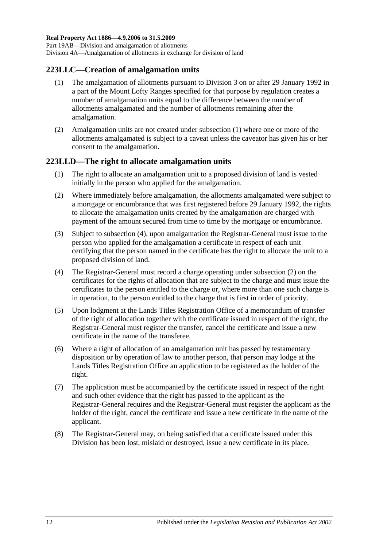#### <span id="page-115-0"></span>**223LLC—Creation of amalgamation units**

- (1) The amalgamation of allotments pursuant to [Division 3](#page-112-3) on or after 29 January 1992 in a part of the Mount Lofty Ranges specified for that purpose by regulation creates a number of amalgamation units equal to the difference between the number of allotments amalgamated and the number of allotments remaining after the amalgamation.
- (2) Amalgamation units are not created under [subsection](#page-115-0) (1) where one or more of the allotments amalgamated is subject to a caveat unless the caveator has given his or her consent to the amalgamation.

#### **223LLD—The right to allocate amalgamation units**

- (1) The right to allocate an amalgamation unit to a proposed division of land is vested initially in the person who applied for the amalgamation.
- <span id="page-115-2"></span>(2) Where immediately before amalgamation, the allotments amalgamated were subject to a mortgage or encumbrance that was first registered before 29 January 1992, the rights to allocate the amalgamation units created by the amalgamation are charged with payment of the amount secured from time to time by the mortgage or encumbrance.
- (3) Subject to [subsection](#page-115-1) (4), upon amalgamation the Registrar-General must issue to the person who applied for the amalgamation a certificate in respect of each unit certifying that the person named in the certificate has the right to allocate the unit to a proposed division of land.
- <span id="page-115-1"></span>(4) The Registrar-General must record a charge operating under [subsection](#page-115-2) (2) on the certificates for the rights of allocation that are subject to the charge and must issue the certificates to the person entitled to the charge or, where more than one such charge is in operation, to the person entitled to the charge that is first in order of priority.
- (5) Upon lodgment at the Lands Titles Registration Office of a memorandum of transfer of the right of allocation together with the certificate issued in respect of the right, the Registrar-General must register the transfer, cancel the certificate and issue a new certificate in the name of the transferee.
- (6) Where a right of allocation of an amalgamation unit has passed by testamentary disposition or by operation of law to another person, that person may lodge at the Lands Titles Registration Office an application to be registered as the holder of the right.
- (7) The application must be accompanied by the certificate issued in respect of the right and such other evidence that the right has passed to the applicant as the Registrar-General requires and the Registrar-General must register the applicant as the holder of the right, cancel the certificate and issue a new certificate in the name of the applicant.
- (8) The Registrar-General may, on being satisfied that a certificate issued under this Division has been lost, mislaid or destroyed, issue a new certificate in its place.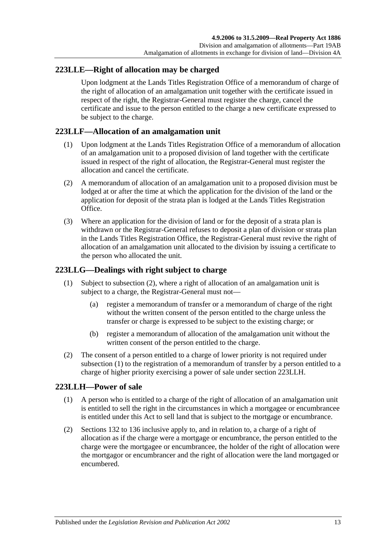#### <span id="page-116-3"></span>**223LLE—Right of allocation may be charged**

Upon lodgment at the Lands Titles Registration Office of a memorandum of charge of the right of allocation of an amalgamation unit together with the certificate issued in respect of the right, the Registrar-General must register the charge, cancel the certificate and issue to the person entitled to the charge a new certificate expressed to be subject to the charge.

#### **223LLF—Allocation of an amalgamation unit**

- (1) Upon lodgment at the Lands Titles Registration Office of a memorandum of allocation of an amalgamation unit to a proposed division of land together with the certificate issued in respect of the right of allocation, the Registrar-General must register the allocation and cancel the certificate.
- (2) A memorandum of allocation of an amalgamation unit to a proposed division must be lodged at or after the time at which the application for the division of the land or the application for deposit of the strata plan is lodged at the Lands Titles Registration Office.
- (3) Where an application for the division of land or for the deposit of a strata plan is withdrawn or the Registrar-General refuses to deposit a plan of division or strata plan in the Lands Titles Registration Office, the Registrar-General must revive the right of allocation of an amalgamation unit allocated to the division by issuing a certificate to the person who allocated the unit.

#### <span id="page-116-1"></span>**223LLG—Dealings with right subject to charge**

- (1) Subject to [subsection](#page-116-0) (2), where a right of allocation of an amalgamation unit is subject to a charge, the Registrar-General must not—
	- (a) register a memorandum of transfer or a memorandum of charge of the right without the written consent of the person entitled to the charge unless the transfer or charge is expressed to be subject to the existing charge; or
	- (b) register a memorandum of allocation of the amalgamation unit without the written consent of the person entitled to the charge.
- <span id="page-116-0"></span>(2) The consent of a person entitled to a charge of lower priority is not required under [subsection](#page-116-1) (1) to the registration of a memorandum of transfer by a person entitled to a charge of higher priority exercising a power of sale under section [223LLH.](#page-116-2)

#### <span id="page-116-2"></span>**223LLH—Power of sale**

- (1) A person who is entitled to a charge of the right of allocation of an amalgamation unit is entitled to sell the right in the circumstances in which a mortgagee or encumbrancee is entitled under this Act to sell land that is subject to the mortgage or encumbrance.
- (2) [Sections](#page-63-0) 132 to [136](#page-64-0) inclusive apply to, and in relation to, a charge of a right of allocation as if the charge were a mortgage or encumbrance, the person entitled to the charge were the mortgagee or encumbrancee, the holder of the right of allocation were the mortgagor or encumbrancer and the right of allocation were the land mortgaged or encumbered.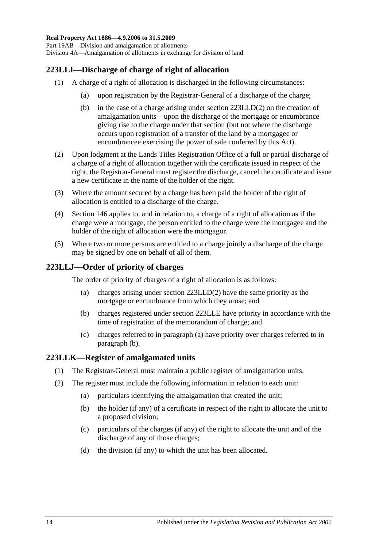## **223LLI—Discharge of charge of right of allocation**

- (1) A charge of a right of allocation is discharged in the following circumstances:
	- (a) upon registration by the Registrar-General of a discharge of the charge;
	- (b) in the case of a charge arising under section [223LLD\(2\)](#page-115-2) on the creation of amalgamation units—upon the discharge of the mortgage or encumbrance giving rise to the charge under that section (but not where the discharge occurs upon registration of a transfer of the land by a mortgagee or encumbrancee exercising the power of sale conferred by this Act).
- (2) Upon lodgment at the Lands Titles Registration Office of a full or partial discharge of a charge of a right of allocation together with the certificate issued in respect of the right, the Registrar-General must register the discharge, cancel the certificate and issue a new certificate in the name of the holder of the right.
- (3) Where the amount secured by a charge has been paid the holder of the right of allocation is entitled to a discharge of the charge.
- (4) [Section](#page-68-0) 146 applies to, and in relation to, a charge of a right of allocation as if the charge were a mortgage, the person entitled to the charge were the mortgagee and the holder of the right of allocation were the mortgagor.
- (5) Where two or more persons are entitled to a charge jointly a discharge of the charge may be signed by one on behalf of all of them.

#### <span id="page-117-0"></span>**223LLJ—Order of priority of charges**

The order of priority of charges of a right of allocation is as follows:

- (a) charges arising under section [223LLD\(2\)](#page-115-2) have the same priority as the mortgage or encumbrance from which they arose; and
- <span id="page-117-1"></span>(b) charges registered under section [223LLE](#page-116-3) have priority in accordance with the time of registration of the memorandum of charge; and
- (c) charges referred to in [paragraph](#page-117-0) (a) have priority over charges referred to in [paragraph](#page-117-1) (b).

#### **223LLK—Register of amalgamated units**

- (1) The Registrar-General must maintain a public register of amalgamation units.
- (2) The register must include the following information in relation to each unit:
	- (a) particulars identifying the amalgamation that created the unit;
	- (b) the holder (if any) of a certificate in respect of the right to allocate the unit to a proposed division;
	- (c) particulars of the charges (if any) of the right to allocate the unit and of the discharge of any of those charges;
	- (d) the division (if any) to which the unit has been allocated.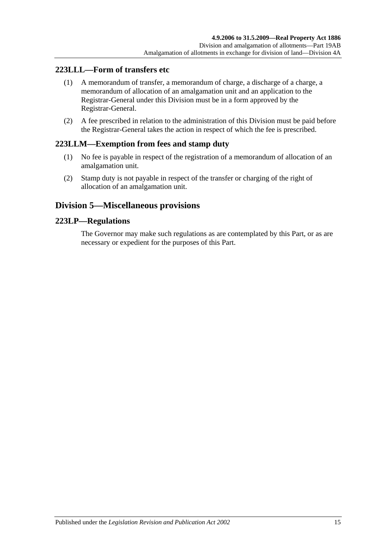#### **223LLL—Form of transfers etc**

- (1) A memorandum of transfer, a memorandum of charge, a discharge of a charge, a memorandum of allocation of an amalgamation unit and an application to the Registrar-General under this Division must be in a form approved by the Registrar-General.
- (2) A fee prescribed in relation to the administration of this Division must be paid before the Registrar-General takes the action in respect of which the fee is prescribed.

#### **223LLM—Exemption from fees and stamp duty**

- (1) No fee is payable in respect of the registration of a memorandum of allocation of an amalgamation unit.
- (2) Stamp duty is not payable in respect of the transfer or charging of the right of allocation of an amalgamation unit.

#### **Division 5—Miscellaneous provisions**

#### **223LP—Regulations**

The Governor may make such regulations as are contemplated by this Part, or as are necessary or expedient for the purposes of this Part.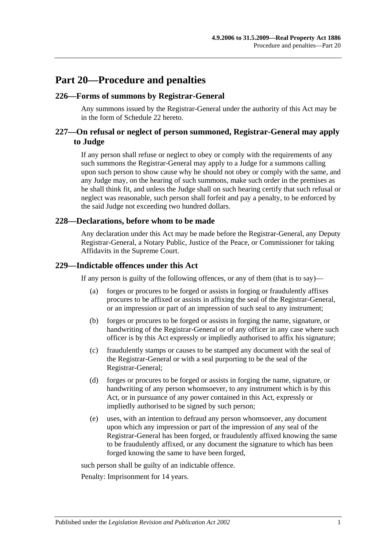## **Part 20—Procedure and penalties**

#### **226—Forms of summons by Registrar-General**

Any summons issued by the Registrar-General under the authority of this Act may be in the form of [Schedule 22](#page-140-0) hereto.

#### **227—On refusal or neglect of person summoned, Registrar-General may apply to Judge**

If any person shall refuse or neglect to obey or comply with the requirements of any such summons the Registrar-General may apply to a Judge for a summons calling upon such person to show cause why he should not obey or comply with the same, and any Judge may, on the hearing of such summons, make such order in the premises as he shall think fit, and unless the Judge shall on such hearing certify that such refusal or neglect was reasonable, such person shall forfeit and pay a penalty, to be enforced by the said Judge not exceeding two hundred dollars.

#### **228—Declarations, before whom to be made**

Any declaration under this Act may be made before the Registrar-General, any Deputy Registrar-General, a Notary Public, Justice of the Peace, or Commissioner for taking Affidavits in the Supreme Court.

#### **229—Indictable offences under this Act**

If any person is guilty of the following offences, or any of them (that is to say)—

- (a) forges or procures to be forged or assists in forging or fraudulently affixes procures to be affixed or assists in affixing the seal of the Registrar-General, or an impression or part of an impression of such seal to any instrument;
- (b) forges or procures to be forged or assists in forging the name, signature, or handwriting of the Registrar-General or of any officer in any case where such officer is by this Act expressly or impliedly authorised to affix his signature;
- (c) fraudulently stamps or causes to be stamped any document with the seal of the Registrar-General or with a seal purporting to be the seal of the Registrar-General;
- (d) forges or procures to be forged or assists in forging the name, signature, or handwriting of any person whomsoever, to any instrument which is by this Act, or in pursuance of any power contained in this Act, expressly or impliedly authorised to be signed by such person;
- (e) uses, with an intention to defraud any person whomsoever, any document upon which any impression or part of the impression of any seal of the Registrar-General has been forged, or fraudulently affixed knowing the same to be fraudulently affixed, or any document the signature to which has been forged knowing the same to have been forged,

such person shall be guilty of an indictable offence.

Penalty: Imprisonment for 14 years.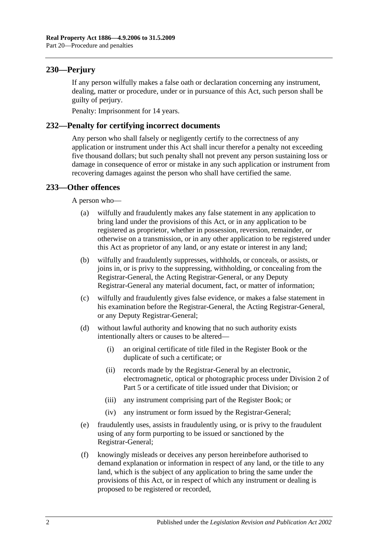#### **230—Perjury**

If any person wilfully makes a false oath or declaration concerning any instrument, dealing, matter or procedure, under or in pursuance of this Act, such person shall be guilty of perjury.

Penalty: Imprisonment for 14 years.

#### **232—Penalty for certifying incorrect documents**

Any person who shall falsely or negligently certify to the correctness of any application or instrument under this Act shall incur therefor a penalty not exceeding five thousand dollars; but such penalty shall not prevent any person sustaining loss or damage in consequence of error or mistake in any such application or instrument from recovering damages against the person who shall have certified the same.

#### **233—Other offences**

A person who—

- (a) wilfully and fraudulently makes any false statement in any application to bring land under the provisions of this Act, or in any application to be registered as proprietor, whether in possession, reversion, remainder, or otherwise on a transmission, or in any other application to be registered under this Act as proprietor of any land, or any estate or interest in any land;
- (b) wilfully and fraudulently suppresses, withholds, or conceals, or assists, or joins in, or is privy to the suppressing, withholding, or concealing from the Registrar-General, the Acting Registrar-General, or any Deputy Registrar-General any material document, fact, or matter of information;
- (c) wilfully and fraudulently gives false evidence, or makes a false statement in his examination before the Registrar-General, the Acting Registrar-General, or any Deputy Registrar-General;
- (d) without lawful authority and knowing that no such authority exists intentionally alters or causes to be altered—
	- (i) an original certificate of title filed in the Register Book or the duplicate of such a certificate; or
	- (ii) records made by the Registrar-General by an electronic, electromagnetic, optical or photographic process under [Division 2](#page-26-0) of [Part 5](#page-26-1) or a certificate of title issued under that Division; or
	- (iii) any instrument comprising part of the Register Book; or
	- (iv) any instrument or form issued by the Registrar-General;
- (e) fraudulently uses, assists in fraudulently using, or is privy to the fraudulent using of any form purporting to be issued or sanctioned by the Registrar-General;
- (f) knowingly misleads or deceives any person hereinbefore authorised to demand explanation or information in respect of any land, or the title to any land, which is the subject of any application to bring the same under the provisions of this Act, or in respect of which any instrument or dealing is proposed to be registered or recorded,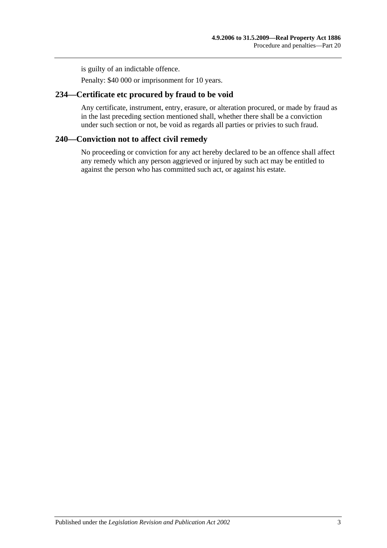is guilty of an indictable offence.

Penalty: \$40 000 or imprisonment for 10 years.

#### **234—Certificate etc procured by fraud to be void**

Any certificate, instrument, entry, erasure, or alteration procured, or made by fraud as in the last preceding section mentioned shall, whether there shall be a conviction under such section or not, be void as regards all parties or privies to such fraud.

#### **240—Conviction not to affect civil remedy**

No proceeding or conviction for any act hereby declared to be an offence shall affect any remedy which any person aggrieved or injured by such act may be entitled to against the person who has committed such act, or against his estate.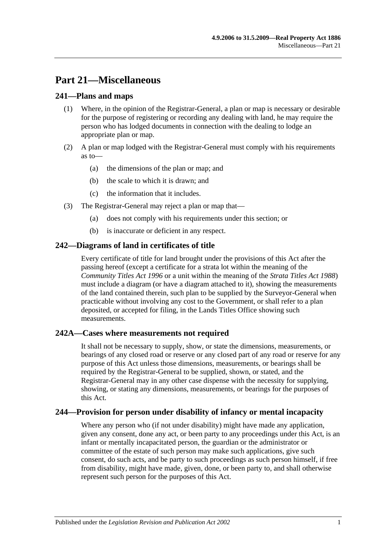## **Part 21—Miscellaneous**

#### **241—Plans and maps**

- (1) Where, in the opinion of the Registrar-General, a plan or map is necessary or desirable for the purpose of registering or recording any dealing with land, he may require the person who has lodged documents in connection with the dealing to lodge an appropriate plan or map.
- (2) A plan or map lodged with the Registrar-General must comply with his requirements as to—
	- (a) the dimensions of the plan or map; and
	- (b) the scale to which it is drawn; and
	- (c) the information that it includes.
- (3) The Registrar-General may reject a plan or map that—
	- (a) does not comply with his requirements under this section; or
	- (b) is inaccurate or deficient in any respect.

#### **242—Diagrams of land in certificates of title**

Every certificate of title for land brought under the provisions of this Act after the passing hereof (except a certificate for a strata lot within the meaning of the *[Community Titles Act](http://www.legislation.sa.gov.au/index.aspx?action=legref&type=act&legtitle=Community%20Titles%20Act%201996) 1996* or a unit within the meaning of the *[Strata Titles Act](http://www.legislation.sa.gov.au/index.aspx?action=legref&type=act&legtitle=Strata%20Titles%20Act%201988) 1988*) must include a diagram (or have a diagram attached to it), showing the measurements of the land contained therein, such plan to be supplied by the Surveyor-General when practicable without involving any cost to the Government, or shall refer to a plan deposited, or accepted for filing, in the Lands Titles Office showing such measurements.

#### **242A—Cases where measurements not required**

It shall not be necessary to supply, show, or state the dimensions, measurements, or bearings of any closed road or reserve or any closed part of any road or reserve for any purpose of this Act unless those dimensions, measurements, or bearings shall be required by the Registrar-General to be supplied, shown, or stated, and the Registrar-General may in any other case dispense with the necessity for supplying, showing, or stating any dimensions, measurements, or bearings for the purposes of this Act.

#### **244—Provision for person under disability of infancy or mental incapacity**

Where any person who (if not under disability) might have made any application, given any consent, done any act, or been party to any proceedings under this Act, is an infant or mentally incapacitated person, the guardian or the administrator or committee of the estate of such person may make such applications, give such consent, do such acts, and be party to such proceedings as such person himself, if free from disability, might have made, given, done, or been party to, and shall otherwise represent such person for the purposes of this Act.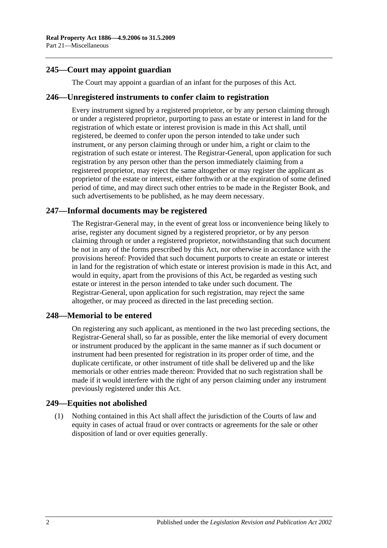#### **245—Court may appoint guardian**

The Court may appoint a guardian of an infant for the purposes of this Act.

#### **246—Unregistered instruments to confer claim to registration**

Every instrument signed by a registered proprietor, or by any person claiming through or under a registered proprietor, purporting to pass an estate or interest in land for the registration of which estate or interest provision is made in this Act shall, until registered, be deemed to confer upon the person intended to take under such instrument, or any person claiming through or under him, a right or claim to the registration of such estate or interest. The Registrar-General, upon application for such registration by any person other than the person immediately claiming from a registered proprietor, may reject the same altogether or may register the applicant as proprietor of the estate or interest, either forthwith or at the expiration of some defined period of time, and may direct such other entries to be made in the Register Book, and such advertisements to be published, as he may deem necessary.

#### **247—Informal documents may be registered**

The Registrar-General may, in the event of great loss or inconvenience being likely to arise, register any document signed by a registered proprietor, or by any person claiming through or under a registered proprietor, notwithstanding that such document be not in any of the forms prescribed by this Act, nor otherwise in accordance with the provisions hereof: Provided that such document purports to create an estate or interest in land for the registration of which estate or interest provision is made in this Act, and would in equity, apart from the provisions of this Act, be regarded as vesting such estate or interest in the person intended to take under such document. The Registrar-General, upon application for such registration, may reject the same altogether, or may proceed as directed in the last preceding section.

#### **248—Memorial to be entered**

On registering any such applicant, as mentioned in the two last preceding sections, the Registrar-General shall, so far as possible, enter the like memorial of every document or instrument produced by the applicant in the same manner as if such document or instrument had been presented for registration in its proper order of time, and the duplicate certificate, or other instrument of title shall be delivered up and the like memorials or other entries made thereon: Provided that no such registration shall be made if it would interfere with the right of any person claiming under any instrument previously registered under this Act.

#### **249—Equities not abolished**

(1) Nothing contained in this Act shall affect the jurisdiction of the Courts of law and equity in cases of actual fraud or over contracts or agreements for the sale or other disposition of land or over equities generally.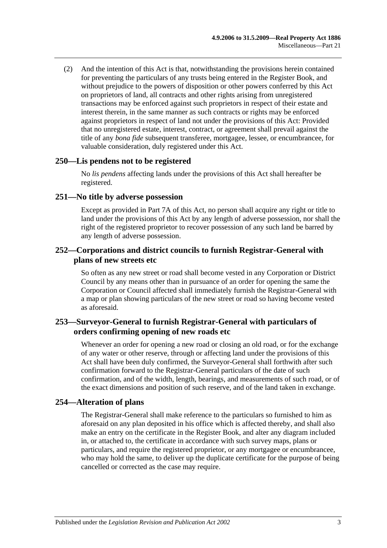(2) And the intention of this Act is that, notwithstanding the provisions herein contained for preventing the particulars of any trusts being entered in the Register Book, and without prejudice to the powers of disposition or other powers conferred by this Act on proprietors of land, all contracts and other rights arising from unregistered transactions may be enforced against such proprietors in respect of their estate and interest therein, in the same manner as such contracts or rights may be enforced against proprietors in respect of land not under the provisions of this Act: Provided that no unregistered estate, interest, contract, or agreement shall prevail against the title of any *bona fide* subsequent transferee, mortgagee, lessee, or encumbrancee, for valuable consideration, duly registered under this Act.

#### **250—Lis pendens not to be registered**

No *lis pendens* affecting lands under the provisions of this Act shall hereafter be registered.

#### **251—No title by adverse possession**

Except as provided in [Part 7A](#page-40-0) of this Act, no person shall acquire any right or title to land under the provisions of this Act by any length of adverse possession, nor shall the right of the registered proprietor to recover possession of any such land be barred by any length of adverse possession.

#### **252—Corporations and district councils to furnish Registrar-General with plans of new streets etc**

So often as any new street or road shall become vested in any Corporation or District Council by any means other than in pursuance of an order for opening the same the Corporation or Council affected shall immediately furnish the Registrar-General with a map or plan showing particulars of the new street or road so having become vested as aforesaid.

#### **253—Surveyor-General to furnish Registrar-General with particulars of orders confirming opening of new roads etc**

Whenever an order for opening a new road or closing an old road, or for the exchange of any water or other reserve, through or affecting land under the provisions of this Act shall have been duly confirmed, the Surveyor-General shall forthwith after such confirmation forward to the Registrar-General particulars of the date of such confirmation, and of the width, length, bearings, and measurements of such road, or of the exact dimensions and position of such reserve, and of the land taken in exchange.

#### **254—Alteration of plans**

The Registrar-General shall make reference to the particulars so furnished to him as aforesaid on any plan deposited in his office which is affected thereby, and shall also make an entry on the certificate in the Register Book, and alter any diagram included in, or attached to, the certificate in accordance with such survey maps, plans or particulars, and require the registered proprietor, or any mortgagee or encumbrancee, who may hold the same, to deliver up the duplicate certificate for the purpose of being cancelled or corrected as the case may require.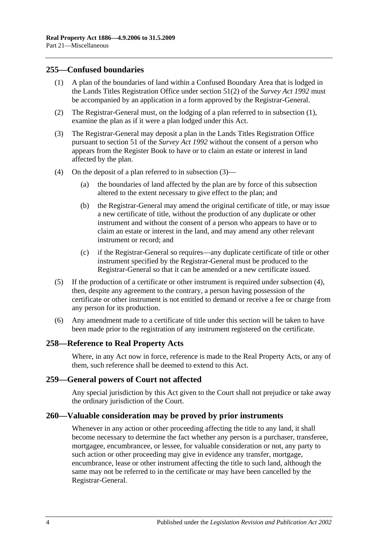#### <span id="page-127-0"></span>**255—Confused boundaries**

- (1) A plan of the boundaries of land within a Confused Boundary Area that is lodged in the Lands Titles Registration Office under section 51(2) of the *[Survey Act](http://www.legislation.sa.gov.au/index.aspx?action=legref&type=act&legtitle=Survey%20Act%201992) 1992* must be accompanied by an application in a form approved by the Registrar-General.
- (2) The Registrar-General must, on the lodging of a plan referred to in [subsection](#page-127-0) (1), examine the plan as if it were a plan lodged under this Act.
- <span id="page-127-1"></span>(3) The Registrar-General may deposit a plan in the Lands Titles Registration Office pursuant to section 51 of the *[Survey Act](http://www.legislation.sa.gov.au/index.aspx?action=legref&type=act&legtitle=Survey%20Act%201992) 1992* without the consent of a person who appears from the Register Book to have or to claim an estate or interest in land affected by the plan.
- <span id="page-127-2"></span>(4) On the deposit of a plan referred to in [subsection](#page-127-1) (3)—
	- (a) the boundaries of land affected by the plan are by force of this subsection altered to the extent necessary to give effect to the plan; and
	- (b) the Registrar-General may amend the original certificate of title, or may issue a new certificate of title, without the production of any duplicate or other instrument and without the consent of a person who appears to have or to claim an estate or interest in the land, and may amend any other relevant instrument or record; and
	- (c) if the Registrar-General so requires—any duplicate certificate of title or other instrument specified by the Registrar-General must be produced to the Registrar-General so that it can be amended or a new certificate issued.
- (5) If the production of a certificate or other instrument is required under [subsection](#page-127-2) (4), then, despite any agreement to the contrary, a person having possession of the certificate or other instrument is not entitled to demand or receive a fee or charge from any person for its production.
- (6) Any amendment made to a certificate of title under this section will be taken to have been made prior to the registration of any instrument registered on the certificate.

#### **258—Reference to Real Property Acts**

Where, in any Act now in force, reference is made to the Real Property Acts, or any of them, such reference shall be deemed to extend to this Act.

#### **259—General powers of Court not affected**

Any special jurisdiction by this Act given to the Court shall not prejudice or take away the ordinary jurisdiction of the Court.

#### **260—Valuable consideration may be proved by prior instruments**

Whenever in any action or other proceeding affecting the title to any land, it shall become necessary to determine the fact whether any person is a purchaser, transferee, mortgagee, encumbrancee, or lessee, for valuable consideration or not, any party to such action or other proceeding may give in evidence any transfer, mortgage, encumbrance, lease or other instrument affecting the title to such land, although the same may not be referred to in the certificate or may have been cancelled by the Registrar-General.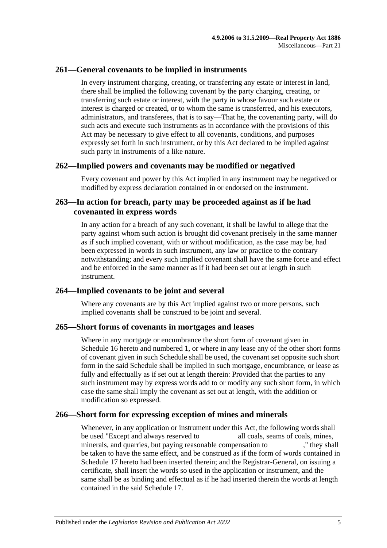#### **261—General covenants to be implied in instruments**

In every instrument charging, creating, or transferring any estate or interest in land, there shall be implied the following covenant by the party charging, creating, or transferring such estate or interest, with the party in whose favour such estate or interest is charged or created, or to whom the same is transferred, and his executors, administrators, and transferees, that is to say—That he, the covenanting party, will do such acts and execute such instruments as in accordance with the provisions of this Act may be necessary to give effect to all covenants, conditions, and purposes expressly set forth in such instrument, or by this Act declared to be implied against such party in instruments of a like nature.

#### **262—Implied powers and covenants may be modified or negatived**

Every covenant and power by this Act implied in any instrument may be negatived or modified by express declaration contained in or endorsed on the instrument.

#### **263—In action for breach, party may be proceeded against as if he had covenanted in express words**

In any action for a breach of any such covenant, it shall be lawful to allege that the party against whom such action is brought did covenant precisely in the same manner as if such implied covenant, with or without modification, as the case may be, had been expressed in words in such instrument, any law or practice to the contrary notwithstanding; and every such implied covenant shall have the same force and effect and be enforced in the same manner as if it had been set out at length in such instrument.

#### **264—Implied covenants to be joint and several**

Where any covenants are by this Act implied against two or more persons, such implied covenants shall be construed to be joint and several.

#### **265—Short forms of covenants in mortgages and leases**

Where in any mortgage or encumbrance the short form of covenant given in [Schedule](#page-138-0) 16 hereto and numbered 1, or where in any lease any of the other short forms of covenant given in such Schedule shall be used, the covenant set opposite such short form in the said Schedule shall be implied in such mortgage, encumbrance, or lease as fully and effectually as if set out at length therein: Provided that the parties to any such instrument may by express words add to or modify any such short form, in which case the same shall imply the covenant as set out at length, with the addition or modification so expressed.

#### **266—Short form for expressing exception of mines and minerals**

Whenever, in any application or instrument under this Act, the following words shall be used "Except and always reserved to all coals, seams of coals, mines, minerals, and quarries, but paying reasonable compensation to ," they shall be taken to have the same effect, and be construed as if the form of words contained in [Schedule 17](#page-140-1) hereto had been inserted therein; and the Registrar-General, on issuing a certificate, shall insert the words so used in the application or instrument, and the same shall be as binding and effectual as if he had inserted therein the words at length contained in the said [Schedule 17.](#page-140-1)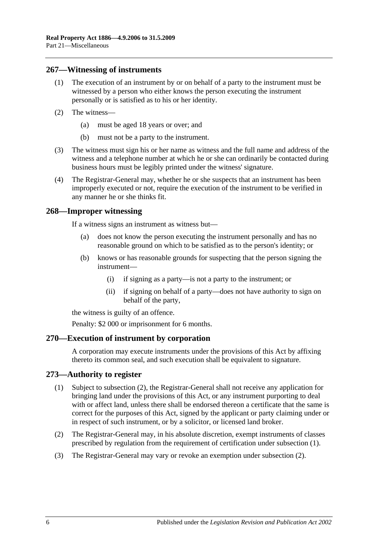#### **267—Witnessing of instruments**

- (1) The execution of an instrument by or on behalf of a party to the instrument must be witnessed by a person who either knows the person executing the instrument personally or is satisfied as to his or her identity.
- (2) The witness—
	- (a) must be aged 18 years or over; and
	- (b) must not be a party to the instrument.
- (3) The witness must sign his or her name as witness and the full name and address of the witness and a telephone number at which he or she can ordinarily be contacted during business hours must be legibly printed under the witness' signature.
- (4) The Registrar-General may, whether he or she suspects that an instrument has been improperly executed or not, require the execution of the instrument to be verified in any manner he or she thinks fit.

#### **268—Improper witnessing**

If a witness signs an instrument as witness but—

- (a) does not know the person executing the instrument personally and has no reasonable ground on which to be satisfied as to the person's identity; or
- (b) knows or has reasonable grounds for suspecting that the person signing the instrument—
	- (i) if signing as a party—is not a party to the instrument; or
	- (ii) if signing on behalf of a party—does not have authority to sign on behalf of the party,

the witness is guilty of an offence.

Penalty: \$2 000 or imprisonment for 6 months.

#### **270—Execution of instrument by corporation**

A corporation may execute instruments under the provisions of this Act by affixing thereto its common seal, and such execution shall be equivalent to signature.

#### <span id="page-129-1"></span>**273—Authority to register**

- (1) Subject to [subsection](#page-129-0) (2), the Registrar-General shall not receive any application for bringing land under the provisions of this Act, or any instrument purporting to deal with or affect land, unless there shall be endorsed thereon a certificate that the same is correct for the purposes of this Act, signed by the applicant or party claiming under or in respect of such instrument, or by a solicitor, or licensed land broker.
- <span id="page-129-0"></span>(2) The Registrar-General may, in his absolute discretion, exempt instruments of classes prescribed by regulation from the requirement of certification under [subsection](#page-129-1) (1).
- (3) The Registrar-General may vary or revoke an exemption under [subsection](#page-129-0) (2).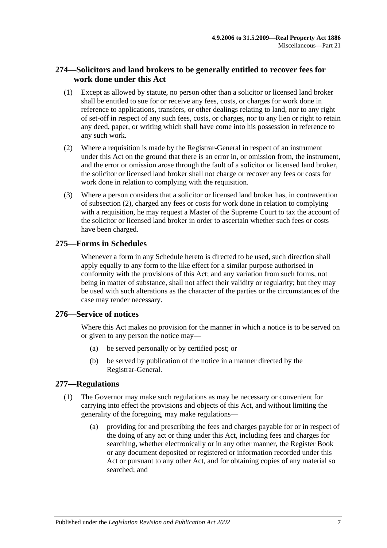#### **274—Solicitors and land brokers to be generally entitled to recover fees for work done under this Act**

- (1) Except as allowed by statute, no person other than a solicitor or licensed land broker shall be entitled to sue for or receive any fees, costs, or charges for work done in reference to applications, transfers, or other dealings relating to land, nor to any right of set-off in respect of any such fees, costs, or charges, nor to any lien or right to retain any deed, paper, or writing which shall have come into his possession in reference to any such work.
- <span id="page-130-0"></span>(2) Where a requisition is made by the Registrar-General in respect of an instrument under this Act on the ground that there is an error in, or omission from, the instrument, and the error or omission arose through the fault of a solicitor or licensed land broker, the solicitor or licensed land broker shall not charge or recover any fees or costs for work done in relation to complying with the requisition.
- (3) Where a person considers that a solicitor or licensed land broker has, in contravention of [subsection](#page-130-0) (2), charged any fees or costs for work done in relation to complying with a requisition, he may request a Master of the Supreme Court to tax the account of the solicitor or licensed land broker in order to ascertain whether such fees or costs have been charged.

#### **275—Forms in Schedules**

Whenever a form in any Schedule hereto is directed to be used, such direction shall apply equally to any form to the like effect for a similar purpose authorised in conformity with the provisions of this Act; and any variation from such forms, not being in matter of substance, shall not affect their validity or regularity; but they may be used with such alterations as the character of the parties or the circumstances of the case may render necessary.

#### **276—Service of notices**

Where this Act makes no provision for the manner in which a notice is to be served on or given to any person the notice may—

- (a) be served personally or by certified post; or
- (b) be served by publication of the notice in a manner directed by the Registrar-General.

#### <span id="page-130-1"></span>**277—Regulations**

- (1) The Governor may make such regulations as may be necessary or convenient for carrying into effect the provisions and objects of this Act, and without limiting the generality of the foregoing, may make regulations—
	- (a) providing for and prescribing the fees and charges payable for or in respect of the doing of any act or thing under this Act, including fees and charges for searching, whether electronically or in any other manner, the Register Book or any document deposited or registered or information recorded under this Act or pursuant to any other Act, and for obtaining copies of any material so searched; and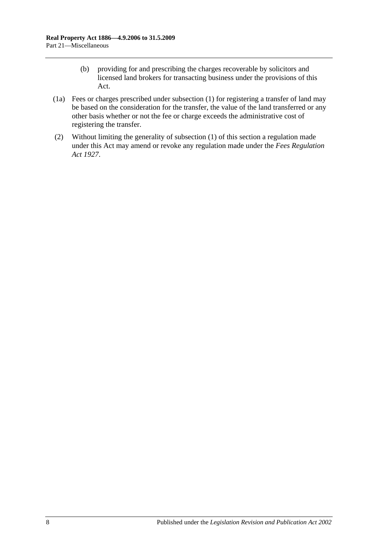- (b) providing for and prescribing the charges recoverable by solicitors and licensed land brokers for transacting business under the provisions of this Act.
- (1a) Fees or charges prescribed under [subsection](#page-130-1) (1) for registering a transfer of land may be based on the consideration for the transfer, the value of the land transferred or any other basis whether or not the fee or charge exceeds the administrative cost of registering the transfer.
- (2) Without limiting the generality of [subsection](#page-130-1) (1) of this section a regulation made under this Act may amend or revoke any regulation made under the *[Fees Regulation](http://www.legislation.sa.gov.au/index.aspx?action=legref&type=act&legtitle=Fees%20Regulation%20Act%201927)  Act [1927](http://www.legislation.sa.gov.au/index.aspx?action=legref&type=act&legtitle=Fees%20Regulation%20Act%201927)*.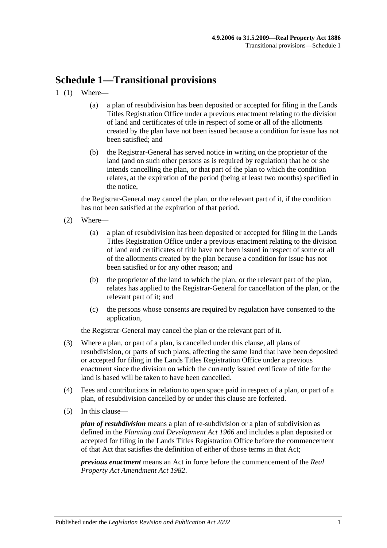# **Schedule 1—Transitional provisions**

- 1 (1) Where—
	- (a) a plan of resubdivision has been deposited or accepted for filing in the Lands Titles Registration Office under a previous enactment relating to the division of land and certificates of title in respect of some or all of the allotments created by the plan have not been issued because a condition for issue has not been satisfied; and
	- (b) the Registrar-General has served notice in writing on the proprietor of the land (and on such other persons as is required by regulation) that he or she intends cancelling the plan, or that part of the plan to which the condition relates, at the expiration of the period (being at least two months) specified in the notice,

the Registrar-General may cancel the plan, or the relevant part of it, if the condition has not been satisfied at the expiration of that period.

- (2) Where—
	- (a) a plan of resubdivision has been deposited or accepted for filing in the Lands Titles Registration Office under a previous enactment relating to the division of land and certificates of title have not been issued in respect of some or all of the allotments created by the plan because a condition for issue has not been satisfied or for any other reason; and
	- (b) the proprietor of the land to which the plan, or the relevant part of the plan, relates has applied to the Registrar-General for cancellation of the plan, or the relevant part of it; and
	- (c) the persons whose consents are required by regulation have consented to the application,

the Registrar-General may cancel the plan or the relevant part of it.

- (3) Where a plan, or part of a plan, is cancelled under this clause, all plans of resubdivision, or parts of such plans, affecting the same land that have been deposited or accepted for filing in the Lands Titles Registration Office under a previous enactment since the division on which the currently issued certificate of title for the land is based will be taken to have been cancelled.
- (4) Fees and contributions in relation to open space paid in respect of a plan, or part of a plan, of resubdivision cancelled by or under this clause are forfeited.
- (5) In this clause—

*plan of resubdivision* means a plan of re-subdivision or a plan of subdivision as defined in the *[Planning and Development Act](http://www.legislation.sa.gov.au/index.aspx?action=legref&type=act&legtitle=Planning%20and%20Development%20Act%201966) 1966* and includes a plan deposited or accepted for filing in the Lands Titles Registration Office before the commencement of that Act that satisfies the definition of either of those terms in that Act;

*previous enactment* means an Act in force before the commencement of the *[Real](http://www.legislation.sa.gov.au/index.aspx?action=legref&type=act&legtitle=Real%20Property%20Act%20Amendment%20Act%201982)  [Property Act Amendment Act](http://www.legislation.sa.gov.au/index.aspx?action=legref&type=act&legtitle=Real%20Property%20Act%20Amendment%20Act%201982) 1982*.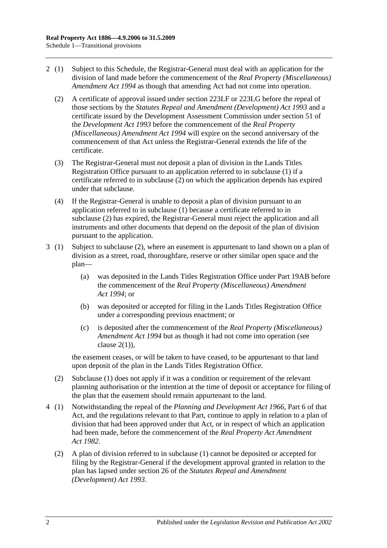- <span id="page-133-0"></span>2 (1) Subject to this Schedule, the Registrar-General must deal with an application for the division of land made before the commencement of the *[Real Property \(Miscellaneous\)](http://www.legislation.sa.gov.au/index.aspx?action=legref&type=act&legtitle=Real%20Property%20(Miscellaneous)%20Amendment%20Act%201994)  [Amendment Act](http://www.legislation.sa.gov.au/index.aspx?action=legref&type=act&legtitle=Real%20Property%20(Miscellaneous)%20Amendment%20Act%201994) 1994* as though that amending Act had not come into operation.
	- (2) A certificate of approval issued under [section](#page-109-3) 223LF or [223LG](#page-110-4) before the repeal of those sections by the *[Statutes Repeal and Amendment \(Development\) Act](http://www.legislation.sa.gov.au/index.aspx?action=legref&type=act&legtitle=Statutes%20Repeal%20and%20Amendment%20(Development)%20Act%201993) 1993* and a certificate issued by the Development Assessment Commission under section 51 of the *[Development Act](http://www.legislation.sa.gov.au/index.aspx?action=legref&type=act&legtitle=Development%20Act%201993) 1993* before the commencement of the *[Real Property](http://www.legislation.sa.gov.au/index.aspx?action=legref&type=act&legtitle=Real%20Property%20(Miscellaneous)%20Amendment%20Act%201994)  [\(Miscellaneous\) Amendment Act](http://www.legislation.sa.gov.au/index.aspx?action=legref&type=act&legtitle=Real%20Property%20(Miscellaneous)%20Amendment%20Act%201994) 1994* will expire on the second anniversary of the commencement of that Act unless the Registrar-General extends the life of the certificate.
	- (3) The Registrar-General must not deposit a plan of division in the Lands Titles Registration Office pursuant to an application referred to in subclause (1) if a certificate referred to in [subclause](#page-133-0) (2) on which the application depends has expired under that subclause.
	- (4) If the Registrar-General is unable to deposit a plan of division pursuant to an application referred to in subclause (1) because a certificate referred to in [subclause](#page-133-0) (2) has expired, the Registrar-General must reject the application and all instruments and other documents that depend on the deposit of the plan of division pursuant to the application.
- 3 (1) Subject to [subclause](#page-133-1) (2), where an easement is appurtenant to land shown on a plan of division as a street, road, thoroughfare, reserve or other similar open space and the plan—
	- (a) was deposited in the Lands Titles Registration Office under [Part 19AB](#page-104-0) before the commencement of the *[Real Property \(Miscellaneous\) Amendment](http://www.legislation.sa.gov.au/index.aspx?action=legref&type=act&legtitle=Real%20Property%20(Miscellaneous)%20Amendment%20Act%201994)  Act [1994](http://www.legislation.sa.gov.au/index.aspx?action=legref&type=act&legtitle=Real%20Property%20(Miscellaneous)%20Amendment%20Act%201994)*; or
	- (b) was deposited or accepted for filing in the Lands Titles Registration Office under a corresponding previous enactment; or
	- (c) is deposited after the commencement of the *[Real Property \(Miscellaneous\)](http://www.legislation.sa.gov.au/index.aspx?action=legref&type=act&legtitle=Real%20Property%20(Miscellaneous)%20Amendment%20Act%201994)  [Amendment Act](http://www.legislation.sa.gov.au/index.aspx?action=legref&type=act&legtitle=Real%20Property%20(Miscellaneous)%20Amendment%20Act%201994) 1994* but as though it had not come into operation (see clause  $2(1)$ ).

the easement ceases, or will be taken to have ceased, to be appurtenant to that land upon deposit of the plan in the Lands Titles Registration Office.

- <span id="page-133-1"></span>(2) Subclause (1) does not apply if it was a condition or requirement of the relevant planning authorisation or the intention at the time of deposit or acceptance for filing of the plan that the easement should remain appurtenant to the land.
- 4 (1) Notwithstanding the repeal of the *[Planning and Development Act](http://www.legislation.sa.gov.au/index.aspx?action=legref&type=act&legtitle=Planning%20and%20Development%20Act%201966) 1966*, Part 6 of that Act, and the regulations relevant to that Part, continue to apply in relation to a plan of division that had been approved under that Act, or in respect of which an application had been made, before the commencement of the *[Real Property Act Amendment](http://www.legislation.sa.gov.au/index.aspx?action=legref&type=act&legtitle=Real%20Property%20Act%20Amendment%20Act%201982)  Act [1982](http://www.legislation.sa.gov.au/index.aspx?action=legref&type=act&legtitle=Real%20Property%20Act%20Amendment%20Act%201982)*.
	- (2) A plan of division referred to in subclause (1) cannot be deposited or accepted for filing by the Registrar-General if the development approval granted in relation to the plan has lapsed under section 26 of the *[Statutes Repeal and Amendment](http://www.legislation.sa.gov.au/index.aspx?action=legref&type=act&legtitle=Statutes%20Repeal%20and%20Amendment%20(Development)%20Act%201993)  [\(Development\) Act](http://www.legislation.sa.gov.au/index.aspx?action=legref&type=act&legtitle=Statutes%20Repeal%20and%20Amendment%20(Development)%20Act%201993) 1993*.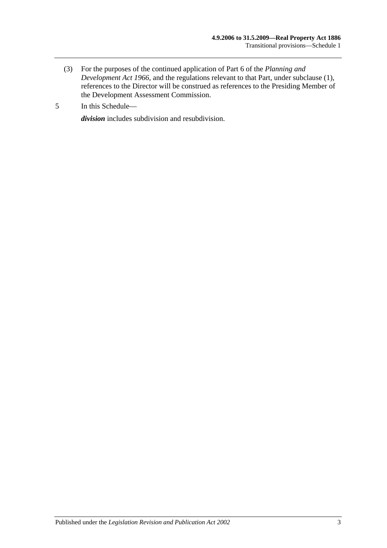- (3) For the purposes of the continued application of Part 6 of the *[Planning and](http://www.legislation.sa.gov.au/index.aspx?action=legref&type=act&legtitle=Planning%20and%20Development%20Act%201966)  [Development Act](http://www.legislation.sa.gov.au/index.aspx?action=legref&type=act&legtitle=Planning%20and%20Development%20Act%201966) 1966*, and the regulations relevant to that Part, under subclause (1), references to the Director will be construed as references to the Presiding Member of the Development Assessment Commission.
- 5 In this Schedule—

*division* includes subdivision and resubdivision.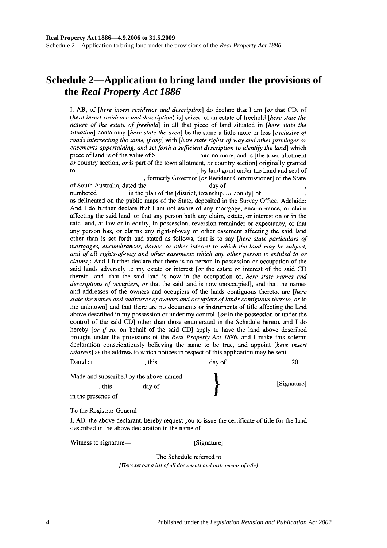## **Schedule 2—Application to bring land under the provisions of the** *Real Property Act 1886*

I, AB, of *[here insert residence and description*] do declare that I am *[or that CD, of* (here insert residence and description) is] seized of an estate of freehold [here state the nature of the estate of freehold] in all that piece of land situated in [here state the situation] containing [here state the area] be the same a little more or less [exclusive of roads intersecting the same, if any] with [here state rights-of-way and other privileges or easements appertaining, and set forth a sufficient description to identify the land which piece of land is of the value of \$ and no more, and is [the town allotment] or country section, or is part of the town allotment, or country section originally granted to , by land grant under the hand and seal of

, formerly Governor [or Resident Commissioner] of the State of South Australia, dated the day of numbered in the plan of the [district, township, or county] of as delineated on the public maps of the State, deposited in the Survey Office, Adelaide: And I do further declare that I am not aware of any mortgage, encumbrance, or claim affecting the said land, or that any person hath any claim, estate, or interest on or in the said land, at law or in equity, in possession, reversion remainder or expectancy, or that any person has, or claims any right-of-way or other easement affecting the said land other than is set forth and stated as follows, that is to say [here state particulars of mortgages, encumbrances, dower, or other interest to which the land may be subject, and of all rights-of-way and other easements which any other person is entitled to or *claims*]: And I further declare that there is no person in possession or occupation of the said lands adversely to my estate or interest [or the estate or interest of the said CD therein] and [that the said land is now in the occupation of, here state names and descriptions of occupiers, or that the said land is now unoccupied], and that the names and addresses of the owners and occupiers of the lands contiguous thereto, are [here state the names and addresses of owners and occupiers of lands contiguous thereto, or to

me unknown and that there are no documents or instruments of title affecting the land above described in my possession or under my control, [ $or$  in the possession or under the control of the said CD] other than those enumerated in the Schedule hereto, and I do hereby [or if so, on behalf of the said CD] apply to have the land above described brought under the provisions of the Real Property Act 1886, and I make this solemn declaration conscientiously believing the same to be true, and appoint [here insert address] as the address to which notices in respect of this application may be sent.

| Dated at           | . this                                 | day of |             |
|--------------------|----------------------------------------|--------|-------------|
|                    | Made and subscribed by the above-named |        |             |
| . this             | day of                                 |        | [Signature] |
| in the presence of |                                        |        |             |

To the Registrar-General

I, AB, the above declarant, hereby request you to issue the certificate of title for the land described in the above declaration in the name of

Witness to signature—

[Signature]

The Schedule referred to [Here set out a list of all documents and instruments of title]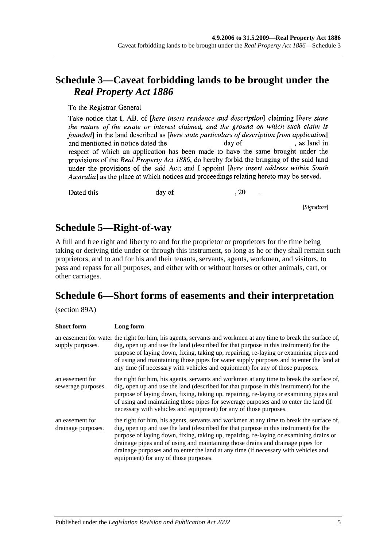## **Schedule 3—Caveat forbidding lands to be brought under the**  *Real Property Act 1886*

To the Registrar-General

Take notice that I, AB, of *[here insert residence and description*] claiming *[here state* the nature of the estate or interest claimed, and the ground on which such claim is founded in the land described as *[here state particulars of description from application*] , as land in and mentioned in notice dated the day of respect of which an application has been made to have the same brought under the provisions of the Real Property Act 1886, do hereby forbid the bringing of the said land under the provisions of the said Act; and I appoint *[here insert address within South* Australia] as the place at which notices and proceedings relating hereto may be served.

Dated this

day of

, 20

[Signature]

## **Schedule 5—Right-of-way**

A full and free right and liberty to and for the proprietor or proprietors for the time being taking or deriving title under or through this instrument, so long as he or they shall remain such proprietors, and to and for his and their tenants, servants, agents, workmen, and visitors, to pass and repass for all purposes, and either with or without horses or other animals, cart, or other carriages.

## **Schedule 6—Short forms of easements and their interpretation**

(section 89A)

| <b>Short</b> form                     | Long form                                                                                                                                                                                                                                                                                                                                                                                                                                                                                      |
|---------------------------------------|------------------------------------------------------------------------------------------------------------------------------------------------------------------------------------------------------------------------------------------------------------------------------------------------------------------------------------------------------------------------------------------------------------------------------------------------------------------------------------------------|
| supply purposes.                      | an easement for water the right for him, his agents, servants and workmen at any time to break the surface of,<br>dig, open up and use the land (described for that purpose in this instrument) for the<br>purpose of laying down, fixing, taking up, repairing, re-laying or examining pipes and<br>of using and maintaining those pipes for water supply purposes and to enter the land at<br>any time (if necessary with vehicles and equipment) for any of those purposes.                 |
| an easement for<br>sewerage purposes. | the right for him, his agents, servants and workmen at any time to break the surface of,<br>dig, open up and use the land (described for that purpose in this instrument) for the<br>purpose of laying down, fixing, taking up, repairing, re-laying or examining pipes and<br>of using and maintaining those pipes for sewerage purposes and to enter the land (if<br>necessary with vehicles and equipment) for any of those purposes.                                                       |
| an easement for<br>drainage purposes. | the right for him, his agents, servants and workmen at any time to break the surface of,<br>dig, open up and use the land (described for that purpose in this instrument) for the<br>purpose of laying down, fixing, taking up, repairing, re-laying or examining drains or<br>drainage pipes and of using and maintaining those drains and drainage pipes for<br>drainage purposes and to enter the land at any time (if necessary with vehicles and<br>equipment) for any of those purposes. |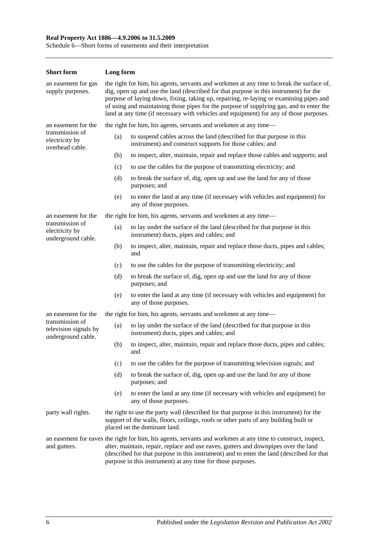#### **Real Property Act 1886—4.9.2006 to 31.5.2009**

Schedule 6—Short forms of easements and their interpretation

| <b>Short form</b>                                              | Long form                                                                                                                                                                                                                                                                                                                                                                                                                                                        |                                                                                                                                   |  |
|----------------------------------------------------------------|------------------------------------------------------------------------------------------------------------------------------------------------------------------------------------------------------------------------------------------------------------------------------------------------------------------------------------------------------------------------------------------------------------------------------------------------------------------|-----------------------------------------------------------------------------------------------------------------------------------|--|
| an easement for gas<br>supply purposes.                        | the right for him, his agents, servants and workmen at any time to break the surface of,<br>dig, open up and use the land (described for that purpose in this instrument) for the<br>purpose of laying down, fixing, taking up, repairing, re-laying or examining pipes and<br>of using and maintaining those pipes for the purpose of supplying gas, and to enter the<br>land at any time (if necessary with vehicles and equipment) for any of those purposes. |                                                                                                                                   |  |
| an easement for the                                            | the right for him, his agents, servants and workmen at any time—                                                                                                                                                                                                                                                                                                                                                                                                 |                                                                                                                                   |  |
| transmission of<br>electricity by<br>overhead cable.           | (a)                                                                                                                                                                                                                                                                                                                                                                                                                                                              | to suspend cables across the land (described for that purpose in this<br>instrument) and construct supports for those cables; and |  |
|                                                                | (b)                                                                                                                                                                                                                                                                                                                                                                                                                                                              | to inspect, alter, maintain, repair and replace those cables and supports; and                                                    |  |
|                                                                | (c)                                                                                                                                                                                                                                                                                                                                                                                                                                                              | to use the cables for the purpose of transmitting electricity; and                                                                |  |
|                                                                | (d)                                                                                                                                                                                                                                                                                                                                                                                                                                                              | to break the surface of, dig, open up and use the land for any of those<br>purposes; and                                          |  |
|                                                                | (e)                                                                                                                                                                                                                                                                                                                                                                                                                                                              | to enter the land at any time (if necessary with vehicles and equipment) for<br>any of those purposes.                            |  |
| an easement for the                                            | the right for him, his agents, servants and workmen at any time—                                                                                                                                                                                                                                                                                                                                                                                                 |                                                                                                                                   |  |
| transmission of<br>electricity by<br>underground cable.        | (a)                                                                                                                                                                                                                                                                                                                                                                                                                                                              | to lay under the surface of the land (described for that purpose in this<br>instrument) ducts, pipes and cables; and              |  |
|                                                                | (b)                                                                                                                                                                                                                                                                                                                                                                                                                                                              | to inspect, alter, maintain, repair and replace those ducts, pipes and cables;<br>and                                             |  |
|                                                                | (c)                                                                                                                                                                                                                                                                                                                                                                                                                                                              | to use the cables for the purpose of transmitting electricity; and                                                                |  |
|                                                                | (d)                                                                                                                                                                                                                                                                                                                                                                                                                                                              | to break the surface of, dig, open up and use the land for any of those<br>purposes; and                                          |  |
|                                                                | (e)                                                                                                                                                                                                                                                                                                                                                                                                                                                              | to enter the land at any time (if necessary with vehicles and equipment) for<br>any of those purposes.                            |  |
| an easement for the                                            |                                                                                                                                                                                                                                                                                                                                                                                                                                                                  | the right for him, his agents, servants and workmen at any time-                                                                  |  |
| transmission of<br>television signals by<br>underground cable. | (a)                                                                                                                                                                                                                                                                                                                                                                                                                                                              | to lay under the surface of the land (described for that purpose in this<br>instrument) ducts, pipes and cables; and              |  |
|                                                                | (b)                                                                                                                                                                                                                                                                                                                                                                                                                                                              | to inspect, alter, maintain, repair and replace those ducts, pipes and cables;<br>and                                             |  |
|                                                                | (c)                                                                                                                                                                                                                                                                                                                                                                                                                                                              | to use the cables for the purpose of transmitting television signals; and                                                         |  |
|                                                                | (d)                                                                                                                                                                                                                                                                                                                                                                                                                                                              | to break the surface of, dig, open up and use the land for any of those<br>purposes; and                                          |  |
|                                                                | (e)                                                                                                                                                                                                                                                                                                                                                                                                                                                              | to enter the land at any time (if necessary with vehicles and equipment) for<br>any of those purposes.                            |  |
| party wall rights.                                             | the right to use the party wall (described for that purpose in this instrument) for the<br>support of the walls, floors, ceilings, roofs or other parts of any building built or<br>placed on the dominant land.                                                                                                                                                                                                                                                 |                                                                                                                                   |  |
| and gutters.                                                   | an easement for eaves the right for him, his agents, servants and workmen at any time to construct, inspect,<br>alter, maintain, repair, replace and use eaves, gutters and downpipes over the land<br>(described for that purpose in this instrument) and to enter the land (described for that<br>purpose in this instrument) at any time for those purposes.                                                                                                  |                                                                                                                                   |  |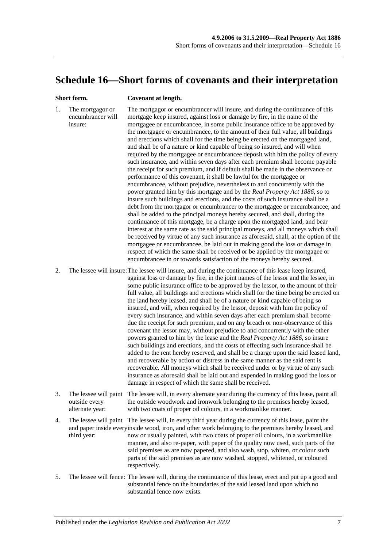## <span id="page-138-0"></span>**Schedule 16—Short forms of covenants and their interpretation**

#### **Short form. Covenant at length.**

1. The mortgagor or encumbrancer will insure: The mortgagor or encumbrancer will insure, and during the continuance of this mortgage keep insured, against loss or damage by fire, in the name of the mortgagee or encumbrancee, in some public insurance office to be approved by the mortgagee or encumbrancee, to the amount of their full value, all buildings and erections which shall for the time being be erected on the mortgaged land, and shall be of a nature or kind capable of being so insured, and will when required by the mortgagee or encumbrancee deposit with him the policy of every such insurance, and within seven days after each premium shall become payable the receipt for such premium, and if default shall be made in the observance or performance of this covenant, it shall be lawful for the mortgagee or encumbrancee, without prejudice, nevertheless to and concurrently with the power granted him by this mortgage and by the *[Real Property Act](http://www.legislation.sa.gov.au/index.aspx?action=legref&type=act&legtitle=Real%20Property%20Act%201886) 1886*, so to insure such buildings and erections, and the costs of such insurance shall be a debt from the mortgagor or encumbrancer to the mortgagee or encumbrancee, and shall be added to the principal moneys hereby secured, and shall, during the continuance of this mortgage, be a charge upon the mortgaged land, and bear interest at the same rate as the said principal moneys, and all moneys which shall be received by virtue of any such insurance as aforesaid, shall, at the option of the mortgagee or encumbrancee, be laid out in making good the loss or damage in respect of which the same shall be received or be applied by the mortgagee or encumbrancee in or towards satisfaction of the moneys hereby secured.

2. The lessee will insure:The lessee will insure, and during the continuance of this lease keep insured, against loss or damage by fire, in the joint names of the lessor and the lessee, in some public insurance office to be approved by the lessor, to the amount of their full value, all buildings and erections which shall for the time being be erected on the land hereby leased, and shall be of a nature or kind capable of being so insured, and will, when required by the lessor, deposit with him the policy of every such insurance, and within seven days after each premium shall become due the receipt for such premium, and on any breach or non-observance of this covenant the lessor may, without prejudice to and concurrently with the other powers granted to him by the lease and the *[Real Property Act](http://www.legislation.sa.gov.au/index.aspx?action=legref&type=act&legtitle=Real%20Property%20Act%201886) 1886*, so insure such buildings and erections, and the costs of effecting such insurance shall be added to the rent hereby reserved, and shall be a charge upon the said leased land, and recoverable by action or distress in the same manner as the said rent is recoverable. All moneys which shall be received under or by virtue of any such insurance as aforesaid shall be laid out and expended in making good the loss or damage in respect of which the same shall be received.

- 3. The lessee will paint The lessee will, in every alternate year during the currency of this lease, paint all outside every alternate year: the outside woodwork and ironwork belonging to the premises hereby leased, with two coats of proper oil colours, in a workmanlike manner.
- 4. The lessee will paint The lessee will, in every third year during the currency of this lease, paint the and paper inside everyinside wood, iron, and other work belonging to the premises hereby leased, and third year: now or usually painted, with two coats of proper oil colours, in a workmanlike manner, and also re-paper, with paper of the quality now used, such parts of the said premises as are now papered, and also wash, stop, whiten, or colour such parts of the said premises as are now washed, stopped, whitened, or coloured respectively.
- 5. The lessee will fence: The lessee will, during the continuance of this lease, erect and put up a good and substantial fence on the boundaries of the said leased land upon which no substantial fence now exists.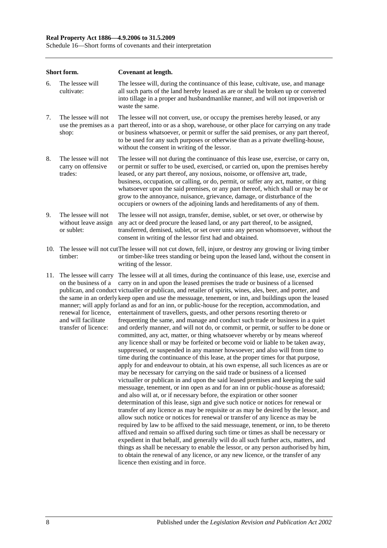#### **Real Property Act 1886—4.9.2006 to 31.5.2009**

Schedule 16—Short forms of covenants and their interpretation

|     | Short form.                                                                                                          | Covenant at length.                                                                                                                                                                                                                                                                                                                                                                                                                                                                                                                                                                                                                                                                                                                                                                                                                                                                                                                                                                                                                                                                                                                                                                                                                                                                                                                                                                                                                                                                                                                                                                                                                                                                                                                                                                                                                                                                                                                                                                                                                                                                                                                                                                                                                                                     |
|-----|----------------------------------------------------------------------------------------------------------------------|-------------------------------------------------------------------------------------------------------------------------------------------------------------------------------------------------------------------------------------------------------------------------------------------------------------------------------------------------------------------------------------------------------------------------------------------------------------------------------------------------------------------------------------------------------------------------------------------------------------------------------------------------------------------------------------------------------------------------------------------------------------------------------------------------------------------------------------------------------------------------------------------------------------------------------------------------------------------------------------------------------------------------------------------------------------------------------------------------------------------------------------------------------------------------------------------------------------------------------------------------------------------------------------------------------------------------------------------------------------------------------------------------------------------------------------------------------------------------------------------------------------------------------------------------------------------------------------------------------------------------------------------------------------------------------------------------------------------------------------------------------------------------------------------------------------------------------------------------------------------------------------------------------------------------------------------------------------------------------------------------------------------------------------------------------------------------------------------------------------------------------------------------------------------------------------------------------------------------------------------------------------------------|
| 6.  | The lessee will<br>cultivate:                                                                                        | The lessee will, during the continuance of this lease, cultivate, use, and manage<br>all such parts of the land hereby leased as are or shall be broken up or converted<br>into tillage in a proper and husbandmanlike manner, and will not impoverish or<br>waste the same.                                                                                                                                                                                                                                                                                                                                                                                                                                                                                                                                                                                                                                                                                                                                                                                                                                                                                                                                                                                                                                                                                                                                                                                                                                                                                                                                                                                                                                                                                                                                                                                                                                                                                                                                                                                                                                                                                                                                                                                            |
| 7.  | The lessee will not<br>use the premises as a<br>shop:                                                                | The lessee will not convert, use, or occupy the premises hereby leased, or any<br>part thereof, into or as a shop, warehouse, or other place for carrying on any trade<br>or business whatsoever, or permit or suffer the said premises, or any part thereof,<br>to be used for any such purposes or otherwise than as a private dwelling-house,<br>without the consent in writing of the lessor.                                                                                                                                                                                                                                                                                                                                                                                                                                                                                                                                                                                                                                                                                                                                                                                                                                                                                                                                                                                                                                                                                                                                                                                                                                                                                                                                                                                                                                                                                                                                                                                                                                                                                                                                                                                                                                                                       |
| 8.  | The lessee will not<br>carry on offensive<br>trades:                                                                 | The lessee will not during the continuance of this lease use, exercise, or carry on,<br>or permit or suffer to be used, exercised, or carried on, upon the premises hereby<br>leased, or any part thereof, any noxious, noisome, or offensive art, trade,<br>business, occupation, or calling, or do, permit, or suffer any act, matter, or thing<br>whatsoever upon the said premises, or any part thereof, which shall or may be or<br>grow to the annoyance, nuisance, grievance, damage, or disturbance of the<br>occupiers or owners of the adjoining lands and hereditaments of any of them.                                                                                                                                                                                                                                                                                                                                                                                                                                                                                                                                                                                                                                                                                                                                                                                                                                                                                                                                                                                                                                                                                                                                                                                                                                                                                                                                                                                                                                                                                                                                                                                                                                                                      |
| 9.  | The lessee will not<br>without leave assign<br>or sublet:                                                            | The lessee will not assign, transfer, demise, sublet, or set over, or otherwise by<br>any act or deed procure the leased land, or any part thereof, to be assigned,<br>transferred, demised, sublet, or set over unto any person whomsoever, without the<br>consent in writing of the lessor first had and obtained.                                                                                                                                                                                                                                                                                                                                                                                                                                                                                                                                                                                                                                                                                                                                                                                                                                                                                                                                                                                                                                                                                                                                                                                                                                                                                                                                                                                                                                                                                                                                                                                                                                                                                                                                                                                                                                                                                                                                                    |
| 10. | timber:                                                                                                              | The lessee will not cut The lessee will not cut down, fell, injure, or destroy any growing or living timber<br>or timber-like trees standing or being upon the leased land, without the consent in<br>writing of the lessor.                                                                                                                                                                                                                                                                                                                                                                                                                                                                                                                                                                                                                                                                                                                                                                                                                                                                                                                                                                                                                                                                                                                                                                                                                                                                                                                                                                                                                                                                                                                                                                                                                                                                                                                                                                                                                                                                                                                                                                                                                                            |
| 11. | The lessee will carry<br>on the business of a<br>renewal for licence,<br>and will facilitate<br>transfer of licence: | The lessee will at all times, during the continuance of this lease, use, exercise and<br>carry on in and upon the leased premises the trade or business of a licensed<br>publican, and conduct victualler or publican, and retailer of spirits, wines, ales, beer, and porter, and<br>the same in an orderly keep open and use the messuage, tenement, or inn, and buildings upon the leased<br>manner; will apply forland as and for an inn, or public-house for the reception, accommodation, and<br>entertainment of travellers, guests, and other persons resorting thereto or<br>frequenting the same, and manage and conduct such trade or business in a quiet<br>and orderly manner, and will not do, or commit, or permit, or suffer to be done or<br>committed, any act, matter, or thing whatsoever whereby or by means whereof<br>any licence shall or may be forfeited or become void or liable to be taken away,<br>suppressed, or suspended in any manner howsoever; and also will from time to<br>time during the continuance of this lease, at the proper times for that purpose,<br>apply for and endeavour to obtain, at his own expense, all such licences as are or<br>may be necessary for carrying on the said trade or business of a licensed<br>victualler or publican in and upon the said leased premises and keeping the said<br>messuage, tenement, or inn open as and for an inn or public-house as aforesaid;<br>and also will at, or if necessary before, the expiration or other sooner<br>determination of this lease, sign and give such notice or notices for renewal or<br>transfer of any licence as may be requisite or as may be desired by the lessor, and<br>allow such notice or notices for renewal or transfer of any licence as may be<br>required by law to be affixed to the said messuage, tenement, or inn, to be thereto<br>affixed and remain so affixed during such time or times as shall be necessary or<br>expedient in that behalf, and generally will do all such further acts, matters, and<br>things as shall be necessary to enable the lessor, or any person authorised by him,<br>to obtain the renewal of any licence, or any new licence, or the transfer of any<br>licence then existing and in force. |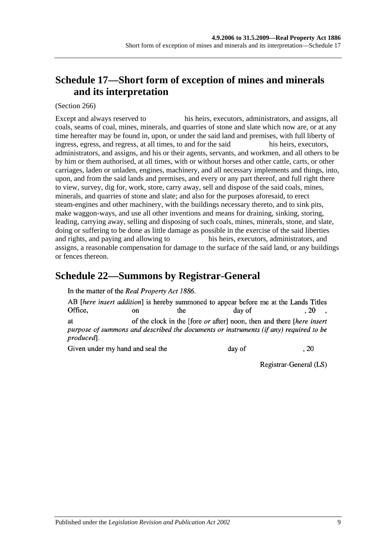# <span id="page-140-1"></span>**Schedule 17—Short form of exception of mines and minerals and its interpretation**

(Section 266)

Except and always reserved to his heirs, executors, administrators, and assigns, all coals, seams of coal, mines, minerals, and quarries of stone and slate which now are, or at any time hereafter may be found in, upon, or under the said land and premises, with full liberty of ingress, egress, and regress, at all times, to and for the said his heirs, executors, administrators, and assigns, and his or their agents, servants, and workmen, and all others to be by him or them authorised, at all times, with or without horses and other cattle, carts, or other carriages, laden or unladen, engines, machinery, and all necessary implements and things, into, upon, and from the said lands and premises, and every or any part thereof, and full right there to view, survey, dig for, work, store, carry away, sell and dispose of the said coals, mines, minerals, and quarries of stone and slate; and also for the purposes aforesaid, to erect steam-engines and other machinery, with the buildings necessary thereto, and to sink pits, make waggon-ways, and use all other inventions and means for draining, sinking, storing, leading, carrying away, selling and disposing of such coals, mines, minerals, stone, and slate, doing or suffering to be done as little damage as possible in the exercise of the said liberties and rights, and paying and allowing to his heirs, executors, administrators, and assigns, a reasonable compensation for damage to the surface of the said land, or any buildings or fences thereon.

## <span id="page-140-0"></span>**Schedule 22—Summons by Registrar-General**

In the matter of the Real Property Act 1886.

AB *[here insert addition]* is hereby summoned to appear before me at the Lands Titles Office. the day of  $.20$  $\alpha$ of the clock in the [fore *or* after] noon, then and there [*here insert* at purpose of summons and described the documents or instruments (if any) required to be produced].

Given under my hand and seal the

day of

Registrar-General (LS)

 $.20$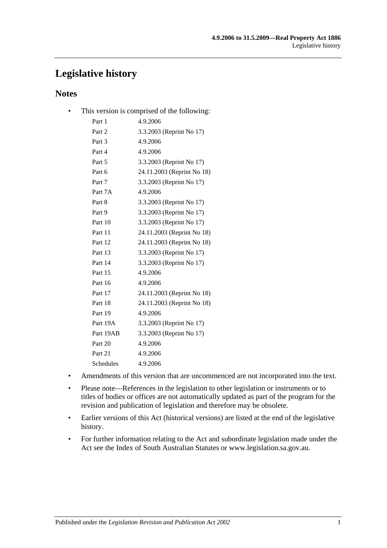## **Legislative history**

#### **Notes**

• This version is comprised of the following:

| Part 1    | 4.9.2006                   |
|-----------|----------------------------|
| Part 2    | 3.3.2003 (Reprint No 17)   |
| Part 3    | 4.9.2006                   |
| Part 4    | 4.9.2006                   |
| Part 5    | 3.3.2003 (Reprint No 17)   |
| Part 6    | 24.11.2003 (Reprint No 18) |
| Part 7    | 3.3.2003 (Reprint No 17)   |
| Part 7A   | 4.9.2006                   |
| Part 8    | 3.3.2003 (Reprint No 17)   |
| Part 9    | 3.3.2003 (Reprint No 17)   |
| Part 10   | 3.3.2003 (Reprint No 17)   |
| Part 11   | 24.11.2003 (Reprint No 18) |
| Part 12   | 24.11.2003 (Reprint No 18) |
| Part 13   | 3.3.2003 (Reprint No 17)   |
| Part 14   | 3.3.2003 (Reprint No 17)   |
| Part 15   | 4.9.2006                   |
| Part 16   | 4.9.2006                   |
| Part 17   | 24.11.2003 (Reprint No 18) |
| Part 18   | 24.11.2003 (Reprint No 18) |
| Part 19   | 4.9.2006                   |
| Part 19A  | 3.3.2003 (Reprint No 17)   |
| Part 19AB | 3.3.2003 (Reprint No 17)   |
| Part 20   | 4.9.2006                   |
| Part 21   | 4.9.2006                   |
| Schedules | 4.9.2006                   |
|           |                            |

- Amendments of this version that are uncommenced are not incorporated into the text.
- Please note—References in the legislation to other legislation or instruments or to titles of bodies or offices are not automatically updated as part of the program for the revision and publication of legislation and therefore may be obsolete.
- Earlier versions of this Act (historical versions) are listed at the end of the legislative history.
- For further information relating to the Act and subordinate legislation made under the Act see the Index of South Australian Statutes or www.legislation.sa.gov.au.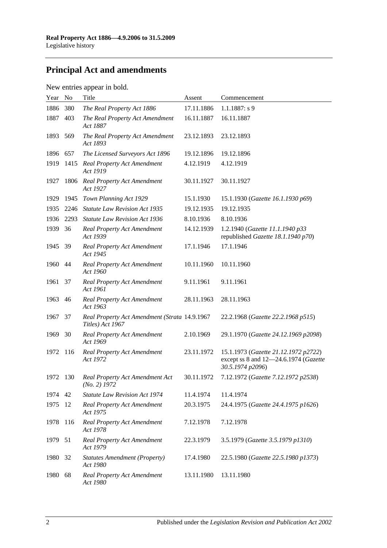# **Principal Act and amendments**

## New entries appear in bold.

| Year | No   | Title                                                             | Assent     | Commencement                                                                                      |
|------|------|-------------------------------------------------------------------|------------|---------------------------------------------------------------------------------------------------|
| 1886 | 380  | The Real Property Act 1886                                        | 17.11.1886 | $1.1.1887: s$ 9                                                                                   |
| 1887 | 403  | The Real Property Act Amendment<br>Act 1887                       | 16.11.1887 | 16.11.1887                                                                                        |
| 1893 | 569  | The Real Property Act Amendment<br>Act 1893                       | 23.12.1893 | 23.12.1893                                                                                        |
| 1896 | 657  | The Licensed Surveyors Act 1896                                   | 19.12.1896 | 19.12.1896                                                                                        |
| 1919 | 1415 | <b>Real Property Act Amendment</b><br>Act 1919                    | 4.12.1919  | 4.12.1919                                                                                         |
| 1927 | 1806 | Real Property Act Amendment<br>Act 1927                           | 30.11.1927 | 30.11.1927                                                                                        |
| 1929 | 1945 | Town Planning Act 1929                                            | 15.1.1930  | 15.1.1930 (Gazette 16.1.1930 p69)                                                                 |
| 1935 | 2246 | <b>Statute Law Revision Act 1935</b>                              | 19.12.1935 | 19.12.1935                                                                                        |
| 1936 | 2293 | <b>Statute Law Revision Act 1936</b>                              | 8.10.1936  | 8.10.1936                                                                                         |
| 1939 | 36   | <b>Real Property Act Amendment</b><br>Act 1939                    | 14.12.1939 | 1.2.1940 (Gazette 11.1.1940 p33<br>republished Gazette 18.1.1940 p70)                             |
| 1945 | -39  | <b>Real Property Act Amendment</b><br>Act 1945                    | 17.1.1946  | 17.1.1946                                                                                         |
| 1960 | 44   | <b>Real Property Act Amendment</b><br>Act 1960                    | 10.11.1960 | 10.11.1960                                                                                        |
| 1961 | 37   | <b>Real Property Act Amendment</b><br>Act 1961                    | 9.11.1961  | 9.11.1961                                                                                         |
| 1963 | 46   | <b>Real Property Act Amendment</b><br>Act 1963                    | 28.11.1963 | 28.11.1963                                                                                        |
| 1967 | 37   | Real Property Act Amendment (Strata 14.9.1967<br>Titles) Act 1967 |            | 22.2.1968 (Gazette 22.2.1968 p515)                                                                |
| 1969 | 30   | <b>Real Property Act Amendment</b><br>Act 1969                    | 2.10.1969  | 29.1.1970 (Gazette 24.12.1969 p2098)                                                              |
| 1972 | 116  | <b>Real Property Act Amendment</b><br>Act 1972                    | 23.11.1972 | 15.1.1973 (Gazette 21.12.1972 p2722)<br>except ss 8 and 12-24.6.1974 (Gazette<br>30.5.1974 p2096) |
| 1972 | 130  | Real Property Act Amendment Act<br>$(No. 2)$ 1972                 | 30.11.1972 | 7.12.1972 (Gazette 7.12.1972 p2538)                                                               |
| 1974 | 42   | <b>Statute Law Revision Act 1974</b>                              | 11.4.1974  | 11.4.1974                                                                                         |
| 1975 | 12   | <b>Real Property Act Amendment</b><br>Act 1975                    | 20.3.1975  | 24.4.1975 (Gazette 24.4.1975 p1626)                                                               |
| 1978 | 116  | Real Property Act Amendment<br>Act 1978                           | 7.12.1978  | 7.12.1978                                                                                         |
| 1979 | 51   | Real Property Act Amendment<br>Act 1979                           | 22.3.1979  | 3.5.1979 (Gazette 3.5.1979 p1310)                                                                 |
| 1980 | 32   | <b>Statutes Amendment (Property)</b><br>Act 1980                  | 17.4.1980  | 22.5.1980 (Gazette 22.5.1980 p1373)                                                               |
| 1980 | 68   | <b>Real Property Act Amendment</b><br>Act 1980                    | 13.11.1980 | 13.11.1980                                                                                        |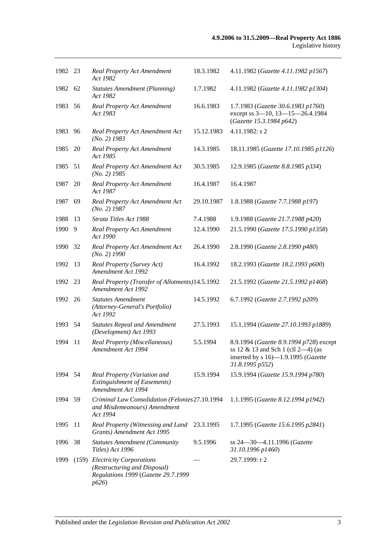| 1982 23 |      | <b>Real Property Act Amendment</b><br>Act 1982                                                                | 18.3.1982  | 4.11.1982 (Gazette 4.11.1982 p1567)                                                                                                                  |
|---------|------|---------------------------------------------------------------------------------------------------------------|------------|------------------------------------------------------------------------------------------------------------------------------------------------------|
| 1982 62 |      | <b>Statutes Amendment (Planning)</b><br>Act 1982                                                              | 1.7.1982   | 4.11.1982 (Gazette 4.11.1982 p1304)                                                                                                                  |
| 1983    | 56   | Real Property Act Amendment<br>Act 1983                                                                       | 16.6.1983  | 1.7.1983 (Gazette 30.6.1983 p1760)<br>except ss 3-10, 13-15-26.4.1984<br>(Gazette 15.3.1984 p642)                                                    |
| 1983    | 96   | Real Property Act Amendment Act<br>$(No. 2)$ 1983                                                             | 15.12.1983 | 4.11.1982: s 2                                                                                                                                       |
| 1985    | 20   | <b>Real Property Act Amendment</b><br>Act 1985                                                                | 14.3.1985  | 18.11.1985 (Gazette 17.10.1985 p1126)                                                                                                                |
| 1985    | - 51 | Real Property Act Amendment Act<br>$(No. 2)$ 1985                                                             | 30.5.1985  | 12.9.1985 (Gazette 8.8.1985 p334)                                                                                                                    |
| 1987    | 20   | <b>Real Property Act Amendment</b><br>Act 1987                                                                | 16.4.1987  | 16.4.1987                                                                                                                                            |
| 1987    | 69   | Real Property Act Amendment Act<br>$(No. 2)$ 1987                                                             | 29.10.1987 | 1.8.1988 (Gazette 7.7.1988 p197)                                                                                                                     |
| 1988    | 13   | Strata Titles Act 1988                                                                                        | 7.4.1988   | 1.9.1988 (Gazette 21.7.1988 p420)                                                                                                                    |
| 1990    | 9    | <b>Real Property Act Amendment</b><br>Act 1990                                                                | 12.4.1990  | 21.5.1990 (Gazette 17.5.1990 p1358)                                                                                                                  |
| 1990    | 32   | Real Property Act Amendment Act<br>$(No. 2)$ 1990                                                             | 26.4.1990  | 2.8.1990 (Gazette 2.8.1990 p480)                                                                                                                     |
| 1992    | 13   | Real Property (Survey Act)<br>Amendment Act 1992                                                              | 16.4.1992  | 18.2.1993 (Gazette 18.2.1993 p600)                                                                                                                   |
| 1992    | 23   | Real Property (Transfer of Allotments) 14.5.1992<br>Amendment Act 1992                                        |            | 21.5.1992 (Gazette 21.5.1992 p1468)                                                                                                                  |
| 1992 26 |      | <b>Statutes Amendment</b><br>(Attorney-General's Portfolio)<br>Act 1992                                       | 14.5.1992  | 6.7.1992 (Gazette 2.7.1992 p209)                                                                                                                     |
| 1993 54 |      | <b>Statutes Repeal and Amendment</b><br>(Development) Act 1993                                                | 27.5.1993  | 15.1.1994 (Gazette 27.10.1993 p1889)                                                                                                                 |
| 1994    | 11   | Real Property (Miscellaneous)<br>Amendment Act 1994                                                           | 5.5.1994   | 8.9.1994 (Gazette 8.9.1994 p728) except<br>ss 12 $\&$ 13 and Sch 1 (cll 2-4) (as<br>inserted by $s 16$ —1.9.1995 ( <i>Gazette</i><br>31.8.1995 p552) |
| 1994    | 54   | Real Property (Variation and<br><b>Extinguishment of Easements)</b><br>Amendment Act 1994                     | 15.9.1994  | 15.9.1994 (Gazette 15.9.1994 p780)                                                                                                                   |
| 1994 59 |      | Criminal Law Consolidation (Felonies 27.10.1994<br>and Misdemeanours) Amendment<br>Act 1994                   |            | 1.1.1995 (Gazette 8.12.1994 p1942)                                                                                                                   |
| 1995    | 11   | Real Property (Witnessing and Land<br>Grants) Amendment Act 1995                                              | 23.3.1995  | 1.7.1995 (Gazette 15.6.1995 p2841)                                                                                                                   |
| 1996    | 38   | <b>Statutes Amendment (Community</b><br>Titles) Act 1996                                                      | 9.5.1996   | ss 24-30-4.11.1996 (Gazette<br>31.10.1996 p1460)                                                                                                     |
| 1999    |      | (159) Electricity Corporations<br>(Restructuring and Disposal)<br>Regulations 1999 (Gazette 29.7.1999<br>p626 |            | 29.7.1999: r 2                                                                                                                                       |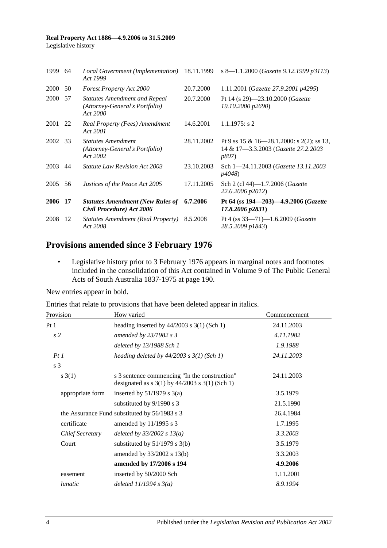| 1999 64 |    | Local Government (Implementation) 18.11.1999<br>Act 1999                           |            | s 8-1.1.2000 (Gazette 9.12.1999 p3113)                                                            |
|---------|----|------------------------------------------------------------------------------------|------------|---------------------------------------------------------------------------------------------------|
| 2000    | 50 | <b>Forest Property Act 2000</b>                                                    | 20.7.2000  | 1.11.2001 (Gazette 27.9.2001 p4295)                                                               |
| 2000    | 57 | <b>Statutes Amendment and Repeal</b><br>(Attorney-General's Portfolio)<br>Act 2000 | 20.7.2000  | Pt 14 (s 29)-23.10.2000 ( <i>Gazette</i><br>19.10.2000 p2690)                                     |
| 2001 22 |    | Real Property (Fees) Amendment<br>Act 2001                                         | 14.6.2001  | $1.1.1975$ : s 2                                                                                  |
| 2002 33 |    | <b>Statutes Amendment</b><br>(Attorney-General's Portfolio)<br>Act 2002            | 28.11.2002 | Pt 9 ss 15 & 16—28.1.2000: s 2(2); ss 13,<br>14 & 17-3.3.2003 (Gazette 27.2.2003<br><i>p807</i> ) |
| 2003    | 44 | <i>Statute Law Revision Act 2003</i>                                               | 23.10.2003 | Sch 1-24.11.2003 ( <i>Gazette 13.11.2003</i><br><i>p4048</i> )                                    |
| 2005    | 56 | Justices of the Peace Act 2005                                                     | 17.11.2005 | Sch 2 (cl 44)-1.7.2006 ( <i>Gazette</i><br>22.6.2006 p2012)                                       |
| 2006    | 17 | <b>Statutes Amendment (New Rules of</b><br>Civil Procedure) Act 2006               | 6.7.2006   | Pt 64 (ss $194 - 203$ ) -4.9.2006 ( <i>Gazette</i><br>$17.8.2006$ $p2831$ )                       |
| 2008    | 12 | <b>Statutes Amendment (Real Property)</b><br>Act 2008                              | 8.5.2008   | Pt 4 (ss $33-71$ )-1.6.2009 ( <i>Gazette</i><br>28.5.2009 p1843)                                  |

## **Provisions amended since 3 February 1976**

• Legislative history prior to 3 February 1976 appears in marginal notes and footnotes included in the consolidation of this Act contained in Volume 9 of The Public General Acts of South Australia 1837-1975 at page 190.

New entries appear in bold.

Entries that relate to provisions that have been deleted appear in italics.

| Provision        | How varied                                                                                          | Commencement |
|------------------|-----------------------------------------------------------------------------------------------------|--------------|
| Pt1              | heading inserted by $44/2003$ s 3(1) (Sch 1)                                                        | 24.11.2003   |
| s <sub>2</sub>   | amended by 23/1982 s 3                                                                              | 4.11.1982    |
|                  | deleted by 13/1988 Sch 1                                                                            | 1.9.1988     |
| PtI              | heading deleted by $44/2003$ s $3(1)$ (Sch 1)                                                       | 24.11.2003   |
| s 3              |                                                                                                     |              |
| s(3(1))          | s 3 sentence commencing "In the construction"<br>designated as $s \ 3(1)$ by 44/2003 s 3(1) (Sch 1) | 24.11.2003   |
| appropriate form | inserted by $51/1979$ s $3(a)$                                                                      | 3.5.1979     |
|                  | substituted by 9/1990 s 3                                                                           | 21.5.1990    |
|                  | the Assurance Fund substituted by 56/1983 s 3                                                       | 26.4.1984    |
| certificate      | amended by 11/1995 s 3                                                                              | 1.7.1995     |
| Chief Secretary  | deleted by $33/2002 s 13(a)$                                                                        | 3.3.2003     |
| Court            | substituted by $51/1979$ s 3(b)                                                                     | 3.5.1979     |
|                  | amended by 33/2002 s 13(b)                                                                          | 3.3.2003     |
|                  | amended by 17/2006 s 194                                                                            | 4.9.2006     |
| easement         | inserted by 50/2000 Sch                                                                             | 1.11.2001    |
| lunatic          | deleted $11/1994$ s $3(a)$                                                                          | 8.9.1994     |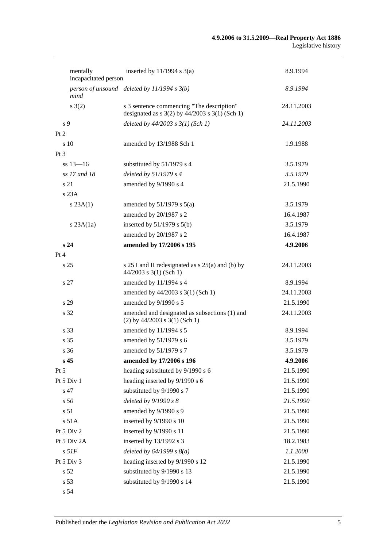### **4.9.2006 to 31.5.2009—Real Property Act 1886** Legislative history

| mentally<br>incapacitated person | inserted by $11/1994$ s $3(a)$                                                                  | 8.9.1994   |
|----------------------------------|-------------------------------------------------------------------------------------------------|------------|
| mind                             | person of unsound deleted by $11/1994 s 3(b)$                                                   | 8.9.1994   |
| $s \; 3(2)$                      | s 3 sentence commencing "The description"<br>designated as $s$ 3(2) by 44/2003 $s$ 3(1) (Sch 1) | 24.11.2003 |
| s 9                              | deleted by $44/2003$ s $3(1)$ (Sch 1)                                                           | 24.11.2003 |
| Pt 2                             |                                                                                                 |            |
| s 10                             | amended by 13/1988 Sch 1                                                                        | 1.9.1988   |
| Pt <sub>3</sub>                  |                                                                                                 |            |
| $ss 13 - 16$                     | substituted by 51/1979 s 4                                                                      | 3.5.1979   |
| ss 17 and 18                     | deleted by $51/1979 s 4$                                                                        | 3.5.1979   |
| s 21                             | amended by 9/1990 s 4                                                                           | 21.5.1990  |
| s 23A                            |                                                                                                 |            |
| s 23A(1)                         | amended by $51/1979$ s $5(a)$                                                                   | 3.5.1979   |
|                                  | amended by 20/1987 s 2                                                                          | 16.4.1987  |
| $s$ 23A $(1a)$                   | inserted by $51/1979$ s $5(b)$                                                                  | 3.5.1979   |
|                                  | amended by 20/1987 s 2                                                                          | 16.4.1987  |
| s24                              | amended by 17/2006 s 195                                                                        | 4.9.2006   |
| Pt 4                             |                                                                                                 |            |
| s <sub>25</sub>                  | s 25 I and II redesignated as s 25(a) and (b) by<br>44/2003 s 3(1) (Sch 1)                      | 24.11.2003 |
| s 27                             | amended by 11/1994 s 4                                                                          | 8.9.1994   |
|                                  | amended by 44/2003 s 3(1) (Sch 1)                                                               | 24.11.2003 |
| s 29                             | amended by 9/1990 s 5                                                                           | 21.5.1990  |
| s 32                             | amended and designated as subsections (1) and<br>$(2)$ by 44/2003 s 3(1) (Sch 1)                | 24.11.2003 |
| s 33                             | amended by 11/1994 s 5                                                                          | 8.9.1994   |
| s 35                             | amended by 51/1979 s 6                                                                          | 3.5.1979   |
| s 36                             | amended by 51/1979 s 7                                                                          | 3.5.1979   |
| s 45                             | amended by 17/2006 s 196                                                                        | 4.9.2006   |
| $Pt\,5$                          | heading substituted by 9/1990 s 6                                                               | 21.5.1990  |
| Pt 5 Div 1                       | heading inserted by 9/1990 s 6                                                                  | 21.5.1990  |
| s 47                             | substituted by 9/1990 s 7                                                                       | 21.5.1990  |
| s50                              | deleted by 9/1990 s 8                                                                           | 21.5.1990  |
| s 51                             | amended by 9/1990 s 9                                                                           | 21.5.1990  |
| s 51A                            | inserted by 9/1990 s 10                                                                         | 21.5.1990  |
| Pt 5 Div 2                       | inserted by 9/1990 s 11                                                                         | 21.5.1990  |
| Pt 5 Div 2A                      | inserted by 13/1992 s 3                                                                         | 18.2.1983  |
| s <sub>51F</sub>                 | deleted by $64/1999 s 8(a)$                                                                     | 1.1.2000   |
| Pt 5 Div 3                       | heading inserted by 9/1990 s 12                                                                 | 21.5.1990  |
| s 52                             | substituted by 9/1990 s 13                                                                      | 21.5.1990  |
| s 53                             | substituted by 9/1990 s 14                                                                      | 21.5.1990  |
| s 54                             |                                                                                                 |            |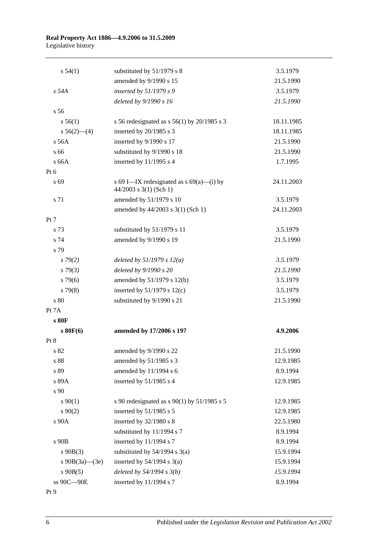| s 54(1)           | substituted by 51/1979 s 8                                           | 3.5.1979   |
|-------------------|----------------------------------------------------------------------|------------|
|                   | amended by 9/1990 s 15                                               | 21.5.1990  |
| $s$ 54 $A$        | inserted by $51/1979 s 9$                                            | 3.5.1979   |
|                   | deleted by 9/1990 s 16                                               | 21.5.1990  |
| s <sub>56</sub>   |                                                                      |            |
| s 56(1)           | s 56 redesignated as s $56(1)$ by 20/1985 s 3                        | 18.11.1985 |
| s $56(2)$ - (4)   | inserted by 20/1985 s 3                                              | 18.11.1985 |
| $s$ 56A           | inserted by 9/1990 s 17                                              | 21.5.1990  |
| s 66              | substituted by 9/1990 s 18                                           | 21.5.1990  |
| s 66A             | inserted by 11/1995 s 4                                              | 1.7.1995   |
| Pt 6              |                                                                      |            |
| s 69              | s 69 I—IX redesignated as $s$ 69(a)—(i) by<br>44/2003 s 3(1) (Sch 1) | 24.11.2003 |
| s 71              | amended by 51/1979 s 10                                              | 3.5.1979   |
|                   | amended by 44/2003 s 3(1) (Sch 1)                                    | 24.11.2003 |
| Pt 7              |                                                                      |            |
| s 73              | substituted by 51/1979 s 11                                          | 3.5.1979   |
| s 74              | amended by 9/1990 s 19                                               | 21.5.1990  |
| s 79              |                                                                      |            |
| $s\,79(2)$        | deleted by $51/1979$ s $12(a)$                                       | 3.5.1979   |
| $s \, 79(3)$      | deleted by 9/1990 s 20                                               | 21.5.1990  |
| $s\,79(6)$        | amended by 51/1979 s 12(b)                                           | 3.5.1979   |
| s79(8)            | inserted by $51/1979$ s $12(c)$                                      | 3.5.1979   |
| s 80              | substituted by 9/1990 s 21                                           | 21.5.1990  |
| Pt 7A             |                                                                      |            |
| s 80F             |                                                                      |            |
| $s$ 80 $F(6)$     | amended by 17/2006 s 197                                             | 4.9.2006   |
| Pt 8              |                                                                      |            |
| s 82              | amended by 9/1990 s 22                                               | 21.5.1990  |
| s 88              | amended by 51/1985 s 3                                               | 12.9.1985  |
| s 89              | amended by 11/1994 s 6                                               | 8.9.1994   |
| s 89A             | inserted by 51/1985 s 4                                              | 12.9.1985  |
| s 90              |                                                                      |            |
| $s \, 90(1)$      | s 90 redesignated as s 90(1) by 51/1985 s 5                          | 12.9.1985  |
| $s \ 90(2)$       | inserted by 51/1985 s 5                                              | 12.9.1985  |
| s 90A             | inserted by 32/1980 s 8                                              | 22.5.1980  |
|                   | substituted by 11/1994 s 7                                           | 8.9.1994   |
| s 90B             | inserted by 11/1994 s 7                                              | 8.9.1994   |
| $s\ 90B(3)$       | substituted by 54/1994 s 3(a)                                        | 15.9.1994  |
| s $90B(3a)$ —(3e) | inserted by $54/1994$ s $3(a)$                                       | 15.9.1994  |
| $s$ 90 $B(5)$     | deleted by $54/1994 s 3(b)$                                          | 15.9.1994  |
| ss 90C-90E        | inserted by 11/1994 s 7                                              | 8.9.1994   |
|                   |                                                                      |            |

Pt 9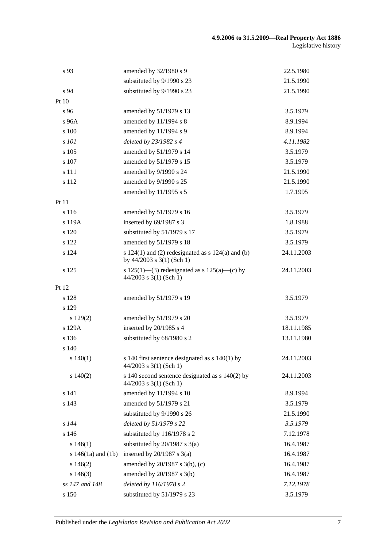| s 93                   | amended by 32/1980 s 9                                                             | 22.5.1980  |
|------------------------|------------------------------------------------------------------------------------|------------|
|                        | substituted by 9/1990 s 23                                                         | 21.5.1990  |
| s 94                   | substituted by 9/1990 s 23                                                         | 21.5.1990  |
| Pt 10                  |                                                                                    |            |
| s 96                   | amended by 51/1979 s 13                                                            | 3.5.1979   |
| $s\,96A$               | amended by 11/1994 s 8                                                             | 8.9.1994   |
| s 100                  | amended by 11/1994 s 9                                                             | 8.9.1994   |
| s 101                  | deleted by 23/1982 s 4                                                             | 4.11.1982  |
| s 105                  | amended by 51/1979 s 14                                                            | 3.5.1979   |
| s 107                  | amended by 51/1979 s 15                                                            | 3.5.1979   |
| s 111                  | amended by 9/1990 s 24                                                             | 21.5.1990  |
| s 112                  | amended by 9/1990 s 25                                                             | 21.5.1990  |
|                        | amended by 11/1995 s 5                                                             | 1.7.1995   |
| Pt 11                  |                                                                                    |            |
| s <sub>116</sub>       | amended by 51/1979 s 16                                                            | 3.5.1979   |
| s 119A                 | inserted by 69/1987 s 3                                                            | 1.8.1988   |
| s 120                  | substituted by 51/1979 s 17                                                        | 3.5.1979   |
| s 122                  | amended by 51/1979 s 18                                                            | 3.5.1979   |
| s 124                  | s $124(1)$ and (2) redesignated as s $124(a)$ and (b)<br>by 44/2003 s 3(1) (Sch 1) | 24.11.2003 |
| s 125                  | s 125(1)—(3) redesignated as s 125(a)—(c) by<br>$44/2003$ s 3(1) (Sch 1)           | 24.11.2003 |
| Pt 12                  |                                                                                    |            |
| s 128                  | amended by 51/1979 s 19                                                            | 3.5.1979   |
| s 129                  |                                                                                    |            |
| s 129(2)               | amended by 51/1979 s 20                                                            | 3.5.1979   |
| s 129A                 | inserted by 20/1985 s 4                                                            | 18.11.1985 |
| s 136                  | substituted by 68/1980 s 2                                                         | 13.11.1980 |
| s 140                  |                                                                                    |            |
| s 140(1)               | s 140 first sentence designated as $s$ 140(1) by<br>$44/2003$ s 3(1) (Sch 1)       | 24.11.2003 |
| $s\ 140(2)$            | s 140 second sentence designated as $s$ 140(2) by<br>$44/2003$ s 3(1) (Sch 1)      | 24.11.2003 |
| s 141                  | amended by 11/1994 s 10                                                            | 8.9.1994   |
| s 143                  | amended by 51/1979 s 21                                                            | 3.5.1979   |
|                        | substituted by 9/1990 s 26                                                         | 21.5.1990  |
| s 144                  | deleted by 51/1979 s 22                                                            | 3.5.1979   |
| s 146                  | substituted by 116/1978 s 2                                                        | 7.12.1978  |
| s 146(1)               | substituted by $20/1987$ s $3(a)$                                                  | 16.4.1987  |
| s $146(1a)$ and $(1b)$ | inserted by $20/1987$ s $3(a)$                                                     | 16.4.1987  |
| $s\,146(2)$            | amended by 20/1987 s 3(b), (c)                                                     | 16.4.1987  |
| s 146(3)               | amended by $20/1987$ s $3(b)$                                                      | 16.4.1987  |
| ss 147 and 148         | deleted by 116/1978 s 2                                                            | 7.12.1978  |
| s 150                  | substituted by 51/1979 s 23                                                        | 3.5.1979   |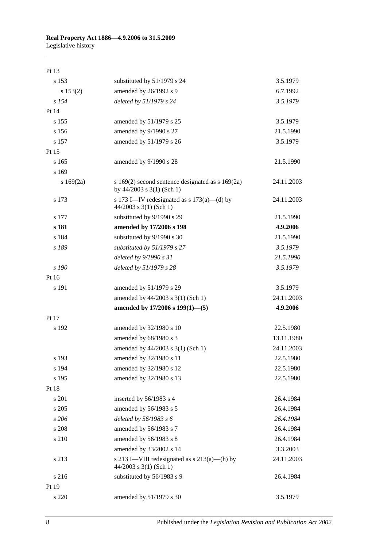| Pt 13    |                                                                                     |            |
|----------|-------------------------------------------------------------------------------------|------------|
| s 153    | substituted by 51/1979 s 24                                                         | 3.5.1979   |
| s 153(2) | amended by 26/1992 s 9                                                              | 6.7.1992   |
| $s$ 154  | deleted by 51/1979 s 24                                                             | 3.5.1979   |
| Pt 14    |                                                                                     |            |
| s 155    | amended by 51/1979 s 25                                                             | 3.5.1979   |
| s 156    | amended by 9/1990 s 27                                                              | 21.5.1990  |
| s 157    | amended by 51/1979 s 26                                                             | 3.5.1979   |
| Pt 15    |                                                                                     |            |
| s 165    | amended by 9/1990 s 28                                                              | 21.5.1990  |
| s 169    |                                                                                     |            |
| s169(2a) | s $169(2)$ second sentence designated as s $169(2a)$<br>by $44/2003$ s 3(1) (Sch 1) | 24.11.2003 |
| s 173    | s 173 I—IV redesignated as s $173(a)$ —(d) by<br>$44/2003$ s 3(1) (Sch 1)           | 24.11.2003 |
| s 177    | substituted by 9/1990 s 29                                                          | 21.5.1990  |
| s 181    | amended by 17/2006 s 198                                                            | 4.9.2006   |
| s 184    | substituted by 9/1990 s 30                                                          | 21.5.1990  |
| s 189    | substituted by $51/1979$ s 27                                                       | 3.5.1979   |
|          | deleted by 9/1990 s 31                                                              | 21.5.1990  |
| s 190    | deleted by 51/1979 s 28                                                             | 3.5.1979   |
| Pt 16    |                                                                                     |            |
| s 191    | amended by 51/1979 s 29                                                             | 3.5.1979   |
|          | amended by 44/2003 s 3(1) (Sch 1)                                                   | 24.11.2003 |
|          | amended by 17/2006 s 199(1)-(5)                                                     | 4.9.2006   |
| Pt 17    |                                                                                     |            |
| s 192    | amended by 32/1980 s 10                                                             | 22.5.1980  |
|          | amended by 68/1980 s 3                                                              | 13.11.1980 |
|          | amended by 44/2003 s 3(1) (Sch 1)                                                   | 24.11.2003 |
| s 193    | amended by 32/1980 s 11                                                             | 22.5.1980  |
| s 194    | amended by 32/1980 s 12                                                             | 22.5.1980  |
| s 195    | amended by 32/1980 s 13                                                             | 22.5.1980  |
| Pt 18    |                                                                                     |            |
| s 201    | inserted by 56/1983 s 4                                                             | 26.4.1984  |
| s 205    | amended by 56/1983 s 5                                                              | 26.4.1984  |
| s 206    | deleted by 56/1983 s 6                                                              | 26.4.1984  |
| s 208    | amended by 56/1983 s 7                                                              | 26.4.1984  |
| s 210    | amended by 56/1983 s 8                                                              | 26.4.1984  |
|          | amended by 33/2002 s 14                                                             | 3.3.2003   |
| s 213    | s 213 I—VIII redesignated as $s$ 213(a)—(h) by<br>$44/2003$ s 3(1) (Sch 1)          | 24.11.2003 |
| s 216    | substituted by 56/1983 s 9                                                          | 26.4.1984  |
| Pt 19    |                                                                                     |            |
| s 220    | amended by 51/1979 s 30                                                             | 3.5.1979   |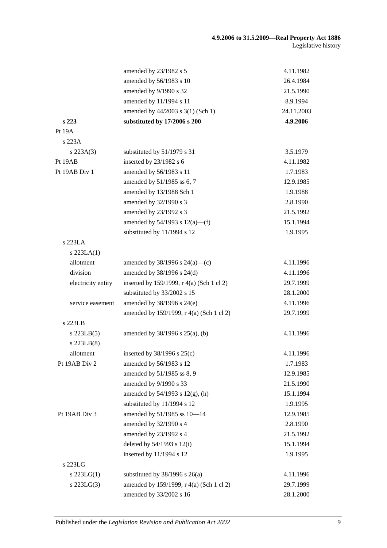#### **4.9.2006 to 31.5.2009—Real Property Act 1886** Legislative history

|                    | amended by 23/1982 s 5                    | 4.11.1982  |
|--------------------|-------------------------------------------|------------|
|                    | amended by 56/1983 s 10                   | 26.4.1984  |
|                    | amended by 9/1990 s 32                    | 21.5.1990  |
|                    | amended by 11/1994 s 11                   | 8.9.1994   |
|                    | amended by 44/2003 s 3(1) (Sch 1)         | 24.11.2003 |
| s 223              | substituted by 17/2006 s 200              | 4.9.2006   |
| Pt 19A             |                                           |            |
| s 223A             |                                           |            |
| $s\,223A(3)$       | substituted by 51/1979 s 31               | 3.5.1979   |
| Pt 19AB            | inserted by 23/1982 s 6                   | 4.11.1982  |
| Pt 19AB Div 1      | amended by 56/1983 s 11                   | 1.7.1983   |
|                    | amended by 51/1985 ss 6, 7                | 12.9.1985  |
|                    | amended by 13/1988 Sch 1                  | 1.9.1988   |
|                    | amended by 32/1990 s 3                    | 2.8.1990   |
|                    | amended by 23/1992 s 3                    | 21.5.1992  |
|                    | amended by $54/1993$ s $12(a)$ —(f)       | 15.1.1994  |
|                    | substituted by 11/1994 s 12               | 1.9.1995   |
| s 223LA            |                                           |            |
| $s$ 223LA $(1)$    |                                           |            |
| allotment          | amended by $38/1996$ s $24(a)$ —(c)       | 4.11.1996  |
| division           | amended by 38/1996 s 24(d)                | 4.11.1996  |
| electricity entity | inserted by 159/1999, r 4(a) (Sch 1 cl 2) | 29.7.1999  |
|                    | substituted by 33/2002 s 15               | 28.1.2000  |
| service easement   | amended by 38/1996 s 24(e)                | 4.11.1996  |
|                    | amended by 159/1999, r 4(a) (Sch 1 cl 2)  | 29.7.1999  |
| s 223LB            |                                           |            |
| $s$ 223LB $(5)$    | amended by $38/1996$ s $25(a)$ , (b)      | 4.11.1996  |
| $s$ 223LB $(8)$    |                                           |            |
| allotment          | inserted by $38/1996$ s $25(c)$           | 4.11.1996  |
| Pt 19AB Div 2      | amended by 56/1983 s 12                   | 1.7.1983   |
|                    | amended by 51/1985 ss 8, 9                | 12.9.1985  |
|                    | amended by 9/1990 s 33                    | 21.5.1990  |
|                    | amended by $54/1993$ s $12(g)$ , (h)      | 15.1.1994  |
|                    | substituted by 11/1994 s 12               | 1.9.1995   |
| Pt 19AB Div 3      | amended by 51/1985 ss 10-14               | 12.9.1985  |
|                    | amended by 32/1990 s 4                    | 2.8.1990   |
|                    | amended by 23/1992 s 4                    | 21.5.1992  |
|                    | deleted by 54/1993 s 12(i)                | 15.1.1994  |
|                    | inserted by 11/1994 s 12                  | 1.9.1995   |
| s 223LG            |                                           |            |
| $s$ 223LG(1)       | substituted by $38/1996$ s $26(a)$        | 4.11.1996  |
| s 223LG(3)         | amended by 159/1999, r 4(a) (Sch 1 cl 2)  | 29.7.1999  |
|                    | amended by 33/2002 s 16                   | 28.1.2000  |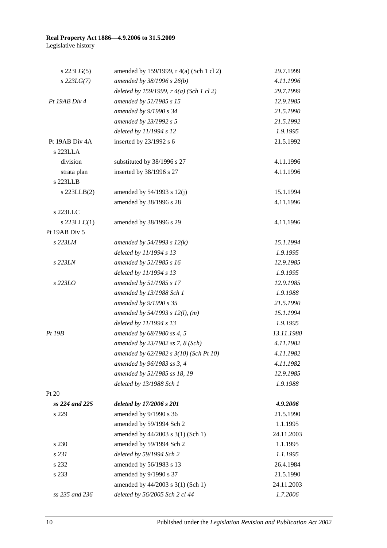| $s$ 223LG $(5)$  | amended by 159/1999, r 4(a) (Sch 1 cl 2) | 29.7.1999  |
|------------------|------------------------------------------|------------|
| $s$ 223LG(7)     | amended by $38/1996 s 26(b)$             | 4.11.1996  |
|                  | deleted by 159/1999, r 4(a) (Sch 1 cl 2) | 29.7.1999  |
| Pt 19AB Div 4    | amended by 51/1985 s 15                  | 12.9.1985  |
|                  | amended by 9/1990 s 34                   | 21.5.1990  |
|                  | amended by 23/1992 s 5                   | 21.5.1992  |
|                  | deleted by 11/1994 s 12                  | 1.9.1995   |
| Pt 19AB Div 4A   | inserted by 23/1992 s 6                  | 21.5.1992  |
| s 223LLA         |                                          |            |
| division         | substituted by 38/1996 s 27              | 4.11.1996  |
| strata plan      | inserted by 38/1996 s 27                 | 4.11.1996  |
| s 223LLB         |                                          |            |
| s 223LLB(2)      | amended by $54/1993$ s $12(j)$           | 15.1.1994  |
|                  | amended by 38/1996 s 28                  | 4.11.1996  |
| s 223LLC         |                                          |            |
| $s$ 223LLC $(1)$ | amended by 38/1996 s 29                  | 4.11.1996  |
| Pt 19AB Div 5    |                                          |            |
| s 223LM          | amended by $54/1993 s 12(k)$             | 15.1.1994  |
|                  | deleted by 11/1994 s 13                  | 1.9.1995   |
| s 223LN          | amended by 51/1985 s 16                  | 12.9.1985  |
|                  | deleted by 11/1994 s 13                  | 1.9.1995   |
| s 223LO          | amended by 51/1985 s 17                  | 12.9.1985  |
|                  | amended by 13/1988 Sch 1                 | 1.9.1988   |
|                  | amended by 9/1990 s 35                   | 21.5.1990  |
|                  | amended by $54/1993$ s $12(l)$ , (m)     | 15.1.1994  |
|                  | deleted by 11/1994 s 13                  | 1.9.1995   |
| Pt 19B           | amended by 68/1980 ss 4, 5               | 13.11.1980 |
|                  | amended by 23/1982 ss 7, 8 (Sch)         | 4.11.1982  |
|                  | amended by 62/1982 s 3(10) (Sch Pt 10)   | 4.11.1982  |
|                  | amended by 96/1983 ss 3, 4               | 4.11.1982  |
|                  | amended by 51/1985 ss 18, 19             | 12.9.1985  |
|                  | deleted by 13/1988 Sch 1                 | 1.9.1988   |
| Pt 20            |                                          |            |
| ss 224 and 225   | deleted by 17/2006 s 201                 | 4.9.2006   |
| s 229            | amended by 9/1990 s 36                   | 21.5.1990  |
|                  | amended by 59/1994 Sch 2                 | 1.1.1995   |
|                  | amended by 44/2003 s 3(1) (Sch 1)        | 24.11.2003 |
| s 230            | amended by 59/1994 Sch 2                 | 1.1.1995   |
| s 231            | deleted by 59/1994 Sch 2                 | 1.1.1995   |
| s 232            | amended by 56/1983 s 13                  | 26.4.1984  |
| s 233            | amended by 9/1990 s 37                   | 21.5.1990  |
|                  | amended by 44/2003 s 3(1) (Sch 1)        | 24.11.2003 |
| ss 235 and 236   | deleted by 56/2005 Sch 2 cl 44           | 1.7.2006   |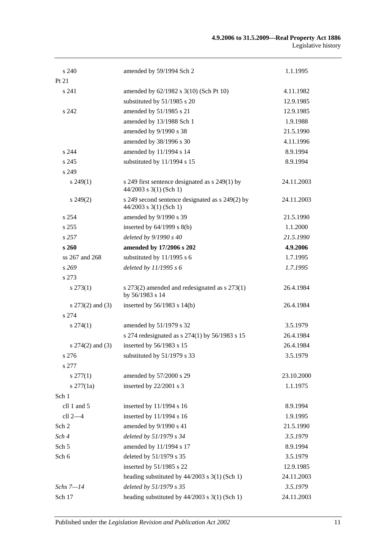| s 240                | amended by 59/1994 Sch 2                                                    | 1.1.1995   |
|----------------------|-----------------------------------------------------------------------------|------------|
| Pt 21                |                                                                             |            |
| s 241                | amended by 62/1982 s 3(10) (Sch Pt 10)                                      | 4.11.1982  |
|                      | substituted by 51/1985 s 20                                                 | 12.9.1985  |
| s 242                | amended by 51/1985 s 21                                                     | 12.9.1985  |
|                      | amended by 13/1988 Sch 1                                                    | 1.9.1988   |
|                      | amended by 9/1990 s 38                                                      | 21.5.1990  |
|                      | amended by 38/1996 s 30                                                     | 4.11.1996  |
| s 244                | amended by 11/1994 s 14                                                     | 8.9.1994   |
| s 245                | substituted by 11/1994 s 15                                                 | 8.9.1994   |
| s 249                |                                                                             |            |
| $s\,249(1)$          | s 249 first sentence designated as s 249(1) by<br>$44/2003$ s 3(1) (Sch 1)  | 24.11.2003 |
| $s\,249(2)$          | s 249 second sentence designated as s 249(2) by<br>$44/2003$ s 3(1) (Sch 1) | 24.11.2003 |
| s 254                | amended by 9/1990 s 39                                                      | 21.5.1990  |
| s 255                | inserted by $64/1999$ s $8(b)$                                              | 1.1.2000   |
| s257                 | deleted by 9/1990 s 40                                                      | 21.5.1990  |
| s <sub>260</sub>     | amended by 17/2006 s 202                                                    | 4.9.2006   |
| ss 267 and 268       | substituted by 11/1995 s 6                                                  | 1.7.1995   |
| s269                 | deleted by $11/1995 s 6$                                                    | 1.7.1995   |
| s 273                |                                                                             |            |
| $s\,273(1)$          | s 273(2) amended and redesignated as s 273(1)<br>by 56/1983 s 14            | 26.4.1984  |
| s $273(2)$ and $(3)$ | inserted by $56/1983$ s $14(b)$                                             | 26.4.1984  |
| s 274                |                                                                             |            |
| $s\,274(1)$          | amended by 51/1979 s 32                                                     | 3.5.1979   |
|                      | s 274 redesignated as s 274(1) by 56/1983 s 15                              | 26.4.1984  |
| s $274(2)$ and (3)   | inserted by 56/1983 s 15                                                    | 26.4.1984  |
| s 276                | substituted by 51/1979 s 33                                                 | 3.5.1979   |
| s 277                |                                                                             |            |
| $s \, 277(1)$        | amended by 57/2000 s 29                                                     | 23.10.2000 |
| $s \, 277(1a)$       | inserted by 22/2001 s 3                                                     | 1.1.1975   |
| Sch 1                |                                                                             |            |
| cll 1 and 5          | inserted by 11/1994 s 16                                                    | 8.9.1994   |
| cll 2-4              | inserted by 11/1994 s 16                                                    | 1.9.1995   |
| Sch 2                | amended by 9/1990 s 41                                                      | 21.5.1990  |
| Sch 4                | deleted by 51/1979 s 34                                                     | 3.5.1979   |
| Sch 5                | amended by 11/1994 s 17                                                     | 8.9.1994   |
| Sch 6                | deleted by 51/1979 s 35                                                     | 3.5.1979   |
|                      | inserted by 51/1985 s 22                                                    | 12.9.1985  |
|                      | heading substituted by $44/2003$ s $3(1)$ (Sch 1)                           | 24.11.2003 |
| Schs $7 - 14$        | deleted by 51/1979 s 35                                                     | 3.5.1979   |
| Sch 17               | heading substituted by 44/2003 s 3(1) (Sch 1)                               | 24.11.2003 |